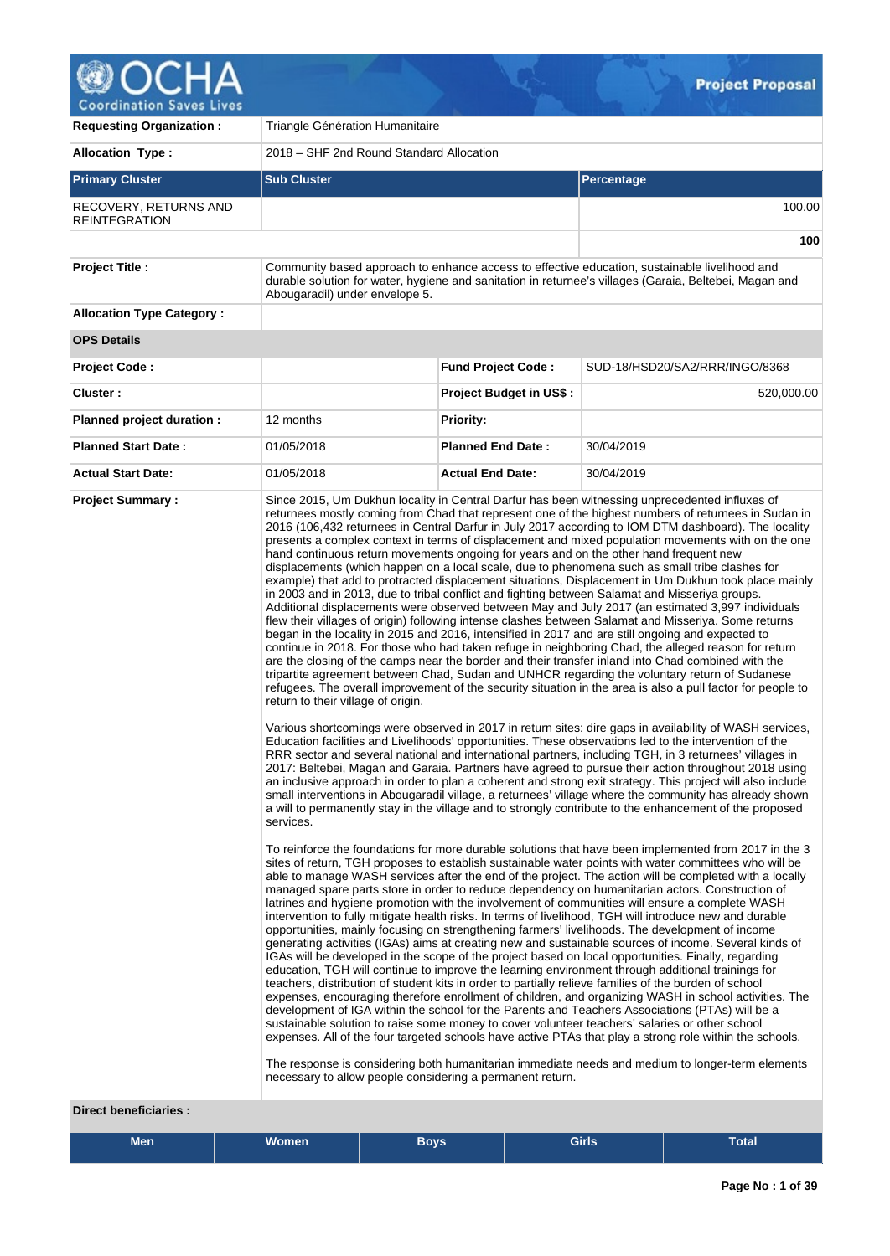

| <b>Requesting Organization:</b>               | Triangle Génération Humanitaire                                                                                                          |                                |                                                                                                                                                                                                                                                                                                                                                                                                                                                                                                                                                                                                                                                                                                                                                                                                                                                                                                                                                                                                                                                                                                                                                                                                                                                                                                                                                                                                                                                                                                                                                                                                                                                                                                                                                                                                                                                                                                                                                                                                                                                                                                                                                                                                                                                                                                                                                                  |  |  |  |  |  |  |  |
|-----------------------------------------------|------------------------------------------------------------------------------------------------------------------------------------------|--------------------------------|------------------------------------------------------------------------------------------------------------------------------------------------------------------------------------------------------------------------------------------------------------------------------------------------------------------------------------------------------------------------------------------------------------------------------------------------------------------------------------------------------------------------------------------------------------------------------------------------------------------------------------------------------------------------------------------------------------------------------------------------------------------------------------------------------------------------------------------------------------------------------------------------------------------------------------------------------------------------------------------------------------------------------------------------------------------------------------------------------------------------------------------------------------------------------------------------------------------------------------------------------------------------------------------------------------------------------------------------------------------------------------------------------------------------------------------------------------------------------------------------------------------------------------------------------------------------------------------------------------------------------------------------------------------------------------------------------------------------------------------------------------------------------------------------------------------------------------------------------------------------------------------------------------------------------------------------------------------------------------------------------------------------------------------------------------------------------------------------------------------------------------------------------------------------------------------------------------------------------------------------------------------------------------------------------------------------------------------------------------------|--|--|--|--|--|--|--|
| <b>Allocation Type:</b>                       | 2018 - SHF 2nd Round Standard Allocation                                                                                                 |                                |                                                                                                                                                                                                                                                                                                                                                                                                                                                                                                                                                                                                                                                                                                                                                                                                                                                                                                                                                                                                                                                                                                                                                                                                                                                                                                                                                                                                                                                                                                                                                                                                                                                                                                                                                                                                                                                                                                                                                                                                                                                                                                                                                                                                                                                                                                                                                                  |  |  |  |  |  |  |  |
| <b>Primary Cluster</b>                        | <b>Sub Cluster</b>                                                                                                                       |                                | Percentage                                                                                                                                                                                                                                                                                                                                                                                                                                                                                                                                                                                                                                                                                                                                                                                                                                                                                                                                                                                                                                                                                                                                                                                                                                                                                                                                                                                                                                                                                                                                                                                                                                                                                                                                                                                                                                                                                                                                                                                                                                                                                                                                                                                                                                                                                                                                                       |  |  |  |  |  |  |  |
| RECOVERY, RETURNS AND<br><b>REINTEGRATION</b> |                                                                                                                                          |                                | 100.00                                                                                                                                                                                                                                                                                                                                                                                                                                                                                                                                                                                                                                                                                                                                                                                                                                                                                                                                                                                                                                                                                                                                                                                                                                                                                                                                                                                                                                                                                                                                                                                                                                                                                                                                                                                                                                                                                                                                                                                                                                                                                                                                                                                                                                                                                                                                                           |  |  |  |  |  |  |  |
|                                               |                                                                                                                                          |                                | 100                                                                                                                                                                                                                                                                                                                                                                                                                                                                                                                                                                                                                                                                                                                                                                                                                                                                                                                                                                                                                                                                                                                                                                                                                                                                                                                                                                                                                                                                                                                                                                                                                                                                                                                                                                                                                                                                                                                                                                                                                                                                                                                                                                                                                                                                                                                                                              |  |  |  |  |  |  |  |
| <b>Project Title:</b>                         | Abougaradil) under envelope 5.                                                                                                           |                                | Community based approach to enhance access to effective education, sustainable livelihood and<br>durable solution for water, hygiene and sanitation in returnee's villages (Garaia, Beltebei, Magan and                                                                                                                                                                                                                                                                                                                                                                                                                                                                                                                                                                                                                                                                                                                                                                                                                                                                                                                                                                                                                                                                                                                                                                                                                                                                                                                                                                                                                                                                                                                                                                                                                                                                                                                                                                                                                                                                                                                                                                                                                                                                                                                                                          |  |  |  |  |  |  |  |
| <b>Allocation Type Category:</b>              |                                                                                                                                          |                                |                                                                                                                                                                                                                                                                                                                                                                                                                                                                                                                                                                                                                                                                                                                                                                                                                                                                                                                                                                                                                                                                                                                                                                                                                                                                                                                                                                                                                                                                                                                                                                                                                                                                                                                                                                                                                                                                                                                                                                                                                                                                                                                                                                                                                                                                                                                                                                  |  |  |  |  |  |  |  |
| <b>OPS Details</b>                            |                                                                                                                                          |                                |                                                                                                                                                                                                                                                                                                                                                                                                                                                                                                                                                                                                                                                                                                                                                                                                                                                                                                                                                                                                                                                                                                                                                                                                                                                                                                                                                                                                                                                                                                                                                                                                                                                                                                                                                                                                                                                                                                                                                                                                                                                                                                                                                                                                                                                                                                                                                                  |  |  |  |  |  |  |  |
| <b>Project Code:</b>                          |                                                                                                                                          | <b>Fund Project Code:</b>      | SUD-18/HSD20/SA2/RRR/INGO/8368                                                                                                                                                                                                                                                                                                                                                                                                                                                                                                                                                                                                                                                                                                                                                                                                                                                                                                                                                                                                                                                                                                                                                                                                                                                                                                                                                                                                                                                                                                                                                                                                                                                                                                                                                                                                                                                                                                                                                                                                                                                                                                                                                                                                                                                                                                                                   |  |  |  |  |  |  |  |
| Cluster:                                      |                                                                                                                                          | <b>Project Budget in US\$:</b> | 520,000.00                                                                                                                                                                                                                                                                                                                                                                                                                                                                                                                                                                                                                                                                                                                                                                                                                                                                                                                                                                                                                                                                                                                                                                                                                                                                                                                                                                                                                                                                                                                                                                                                                                                                                                                                                                                                                                                                                                                                                                                                                                                                                                                                                                                                                                                                                                                                                       |  |  |  |  |  |  |  |
| Planned project duration :                    | 12 months                                                                                                                                | <b>Priority:</b>               |                                                                                                                                                                                                                                                                                                                                                                                                                                                                                                                                                                                                                                                                                                                                                                                                                                                                                                                                                                                                                                                                                                                                                                                                                                                                                                                                                                                                                                                                                                                                                                                                                                                                                                                                                                                                                                                                                                                                                                                                                                                                                                                                                                                                                                                                                                                                                                  |  |  |  |  |  |  |  |
| <b>Planned Start Date:</b>                    | 01/05/2018                                                                                                                               | <b>Planned End Date:</b>       | 30/04/2019                                                                                                                                                                                                                                                                                                                                                                                                                                                                                                                                                                                                                                                                                                                                                                                                                                                                                                                                                                                                                                                                                                                                                                                                                                                                                                                                                                                                                                                                                                                                                                                                                                                                                                                                                                                                                                                                                                                                                                                                                                                                                                                                                                                                                                                                                                                                                       |  |  |  |  |  |  |  |
| <b>Actual Start Date:</b>                     | 01/05/2018                                                                                                                               | <b>Actual End Date:</b>        | 30/04/2019                                                                                                                                                                                                                                                                                                                                                                                                                                                                                                                                                                                                                                                                                                                                                                                                                                                                                                                                                                                                                                                                                                                                                                                                                                                                                                                                                                                                                                                                                                                                                                                                                                                                                                                                                                                                                                                                                                                                                                                                                                                                                                                                                                                                                                                                                                                                                       |  |  |  |  |  |  |  |
|                                               | hand continuous return movements ongoing for years and on the other hand frequent new<br>return to their village of origin.<br>services. |                                | Since 2015, Um Dukhun locality in Central Darfur has been witnessing unprecedented influxes of<br>returnees mostly coming from Chad that represent one of the highest numbers of returnees in Sudan in<br>2016 (106,432 returnees in Central Darfur in July 2017 according to IOM DTM dashboard). The locality<br>presents a complex context in terms of displacement and mixed population movements with on the one<br>displacements (which happen on a local scale, due to phenomena such as small tribe clashes for<br>example) that add to protracted displacement situations, Displacement in Um Dukhun took place mainly<br>in 2003 and in 2013, due to tribal conflict and fighting between Salamat and Misseriya groups.<br>Additional displacements were observed between May and July 2017 (an estimated 3,997 individuals<br>flew their villages of origin) following intense clashes between Salamat and Misseriya. Some returns<br>began in the locality in 2015 and 2016, intensified in 2017 and are still ongoing and expected to<br>continue in 2018. For those who had taken refuge in neighboring Chad, the alleged reason for return<br>are the closing of the camps near the border and their transfer inland into Chad combined with the<br>tripartite agreement between Chad, Sudan and UNHCR regarding the voluntary return of Sudanese<br>refugees. The overall improvement of the security situation in the area is also a pull factor for people to<br>Various shortcomings were observed in 2017 in return sites: dire gaps in availability of WASH services,<br>Education facilities and Livelihoods' opportunities. These observations led to the intervention of the<br>RRR sector and several national and international partners, including TGH, in 3 returnees' villages in<br>2017: Beltebei, Magan and Garaia. Partners have agreed to pursue their action throughout 2018 using<br>an inclusive approach in order to plan a coherent and strong exit strategy. This project will also include<br>small interventions in Abougaradil village, a returnees' village where the community has already shown<br>a will to permanently stay in the village and to strongly contribute to the enhancement of the proposed<br>To reinforce the foundations for more durable solutions that have been implemented from 2017 in the 3 |  |  |  |  |  |  |  |
|                                               | necessary to allow people considering a permanent return.                                                                                |                                | sites of return, TGH proposes to establish sustainable water points with water committees who will be<br>able to manage WASH services after the end of the project. The action will be completed with a locally<br>managed spare parts store in order to reduce dependency on humanitarian actors. Construction of<br>latrines and hygiene promotion with the involvement of communities will ensure a complete WASH<br>intervention to fully mitigate health risks. In terms of livelihood, TGH will introduce new and durable<br>opportunities, mainly focusing on strengthening farmers' livelihoods. The development of income<br>generating activities (IGAs) aims at creating new and sustainable sources of income. Several kinds of<br>IGAs will be developed in the scope of the project based on local opportunities. Finally, regarding<br>education, TGH will continue to improve the learning environment through additional trainings for<br>teachers, distribution of student kits in order to partially relieve families of the burden of school<br>expenses, encouraging therefore enrollment of children, and organizing WASH in school activities. The<br>development of IGA within the school for the Parents and Teachers Associations (PTAs) will be a<br>sustainable solution to raise some money to cover volunteer teachers' salaries or other school<br>expenses. All of the four targeted schools have active PTAs that play a strong role within the schools.<br>The response is considering both humanitarian immediate needs and medium to longer-term elements                                                                                                                                                                                                                                                                                                                                                                                                                                                                                                                                                                                                                                                                                                                                                                    |  |  |  |  |  |  |  |

# **Direct beneficiaries :**

| Girls<br>Women <sup>1</sup><br><b>Men</b><br>-<br>Total<br>Boys. |  |
|------------------------------------------------------------------|--|
|------------------------------------------------------------------|--|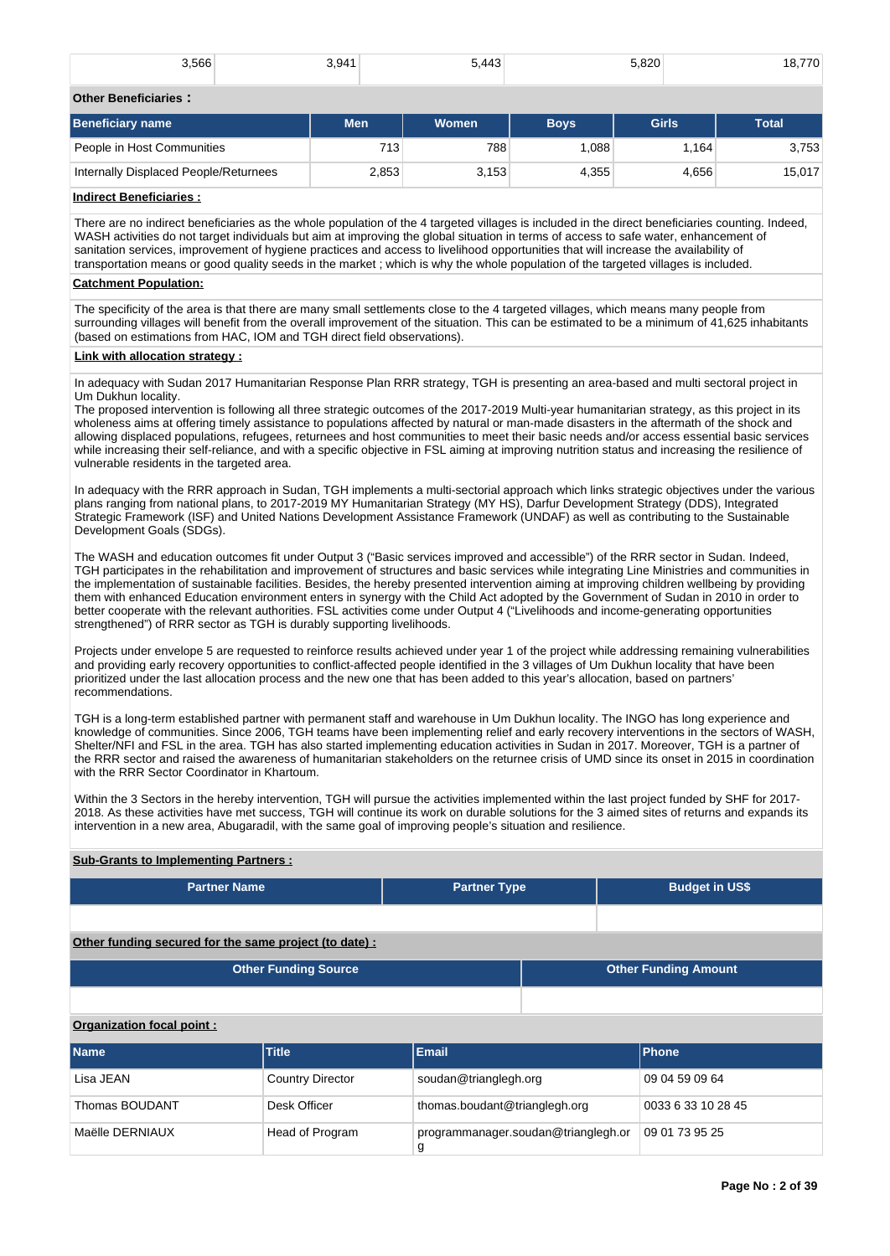| 3,566 | 3.941<br>ن. ب<br>– TI | 5.443<br>∽∼<br>___ | 5.820<br>__ | 18,770 |
|-------|-----------------------|--------------------|-------------|--------|
|       |                       |                    |             |        |

## **Other Beneficiaries :**

| <b>Beneficiary name</b>               | <b>Men</b> | Women | <b>Boys</b> | <b>Girls</b> | Total  |
|---------------------------------------|------------|-------|-------------|--------------|--------|
| People in Host Communities            | 713        | 788   | 0.088       | l.164        | 3,753  |
| Internally Displaced People/Returnees | 2,853      | 3,153 | 4,355       | 4.656        | 15,017 |

# **Indirect Beneficiaries :**

There are no indirect beneficiaries as the whole population of the 4 targeted villages is included in the direct beneficiaries counting. Indeed, WASH activities do not target individuals but aim at improving the global situation in terms of access to safe water, enhancement of sanitation services, improvement of hygiene practices and access to livelihood opportunities that will increase the availability of transportation means or good quality seeds in the market ; which is why the whole population of the targeted villages is included.

## **Catchment Population:**

The specificity of the area is that there are many small settlements close to the 4 targeted villages, which means many people from surrounding villages will benefit from the overall improvement of the situation. This can be estimated to be a minimum of 41,625 inhabitants (based on estimations from HAC, IOM and TGH direct field observations).

## **Link with allocation strategy :**

In adequacy with Sudan 2017 Humanitarian Response Plan RRR strategy, TGH is presenting an area-based and multi sectoral project in Um Dukhun locality.

The proposed intervention is following all three strategic outcomes of the 2017-2019 Multi-year humanitarian strategy, as this project in its wholeness aims at offering timely assistance to populations affected by natural or man-made disasters in the aftermath of the shock and allowing displaced populations, refugees, returnees and host communities to meet their basic needs and/or access essential basic services while increasing their self-reliance, and with a specific objective in FSL aiming at improving nutrition status and increasing the resilience of vulnerable residents in the targeted area.

In adequacy with the RRR approach in Sudan, TGH implements a multi-sectorial approach which links strategic objectives under the various plans ranging from national plans, to 2017-2019 MY Humanitarian Strategy (MY HS), Darfur Development Strategy (DDS), Integrated Strategic Framework (ISF) and United Nations Development Assistance Framework (UNDAF) as well as contributing to the Sustainable Development Goals (SDGs).

The WASH and education outcomes fit under Output 3 ("Basic services improved and accessible") of the RRR sector in Sudan. Indeed, TGH participates in the rehabilitation and improvement of structures and basic services while integrating Line Ministries and communities in the implementation of sustainable facilities. Besides, the hereby presented intervention aiming at improving children wellbeing by providing them with enhanced Education environment enters in synergy with the Child Act adopted by the Government of Sudan in 2010 in order to better cooperate with the relevant authorities. FSL activities come under Output 4 ("Livelihoods and income-generating opportunities strengthened") of RRR sector as TGH is durably supporting livelihoods.

Projects under envelope 5 are requested to reinforce results achieved under year 1 of the project while addressing remaining vulnerabilities and providing early recovery opportunities to conflict-affected people identified in the 3 villages of Um Dukhun locality that have been prioritized under the last allocation process and the new one that has been added to this year's allocation, based on partners' recommendations.

TGH is a long-term established partner with permanent staff and warehouse in Um Dukhun locality. The INGO has long experience and knowledge of communities. Since 2006, TGH teams have been implementing relief and early recovery interventions in the sectors of WASH, Shelter/NFI and FSL in the area. TGH has also started implementing education activities in Sudan in 2017. Moreover, TGH is a partner of the RRR sector and raised the awareness of humanitarian stakeholders on the returnee crisis of UMD since its onset in 2015 in coordination with the RRR Sector Coordinator in Khartoum.

Within the 3 Sectors in the hereby intervention, TGH will pursue the activities implemented within the last project funded by SHF for 2017- 2018. As these activities have met success, TGH will continue its work on durable solutions for the 3 aimed sites of returns and expands its intervention in a new area, Abugaradil, with the same goal of improving people's situation and resilience.

# **Sub-Grants to Implementing Partners :**

| <b>Partner Name</b>                                    |                             | <b>Partner Type</b>   |  | <b>Budget in US\$</b> |  |  |  |  |  |
|--------------------------------------------------------|-----------------------------|-----------------------|--|-----------------------|--|--|--|--|--|
|                                                        |                             |                       |  |                       |  |  |  |  |  |
| Other funding secured for the same project (to date) : |                             |                       |  |                       |  |  |  |  |  |
|                                                        | <b>Other Funding Source</b> |                       |  |                       |  |  |  |  |  |
|                                                        |                             |                       |  |                       |  |  |  |  |  |
| Organization focal point:                              |                             |                       |  |                       |  |  |  |  |  |
| <b>Name</b>                                            | <b>Title</b>                | Email                 |  | <b>Phone</b>          |  |  |  |  |  |
| Lisa JEAN                                              | <b>Country Director</b>     | soudan@trianglegh.org |  | 09 04 59 09 64        |  |  |  |  |  |

Thomas BOUDANT Desk Officer thomas.boudant@trianglegh.org 0033 6 33 10 28 45

g

Maëlle DERNIAUX Head of Program programmanager.soudan@trianglegh.or

09 01 73 95 25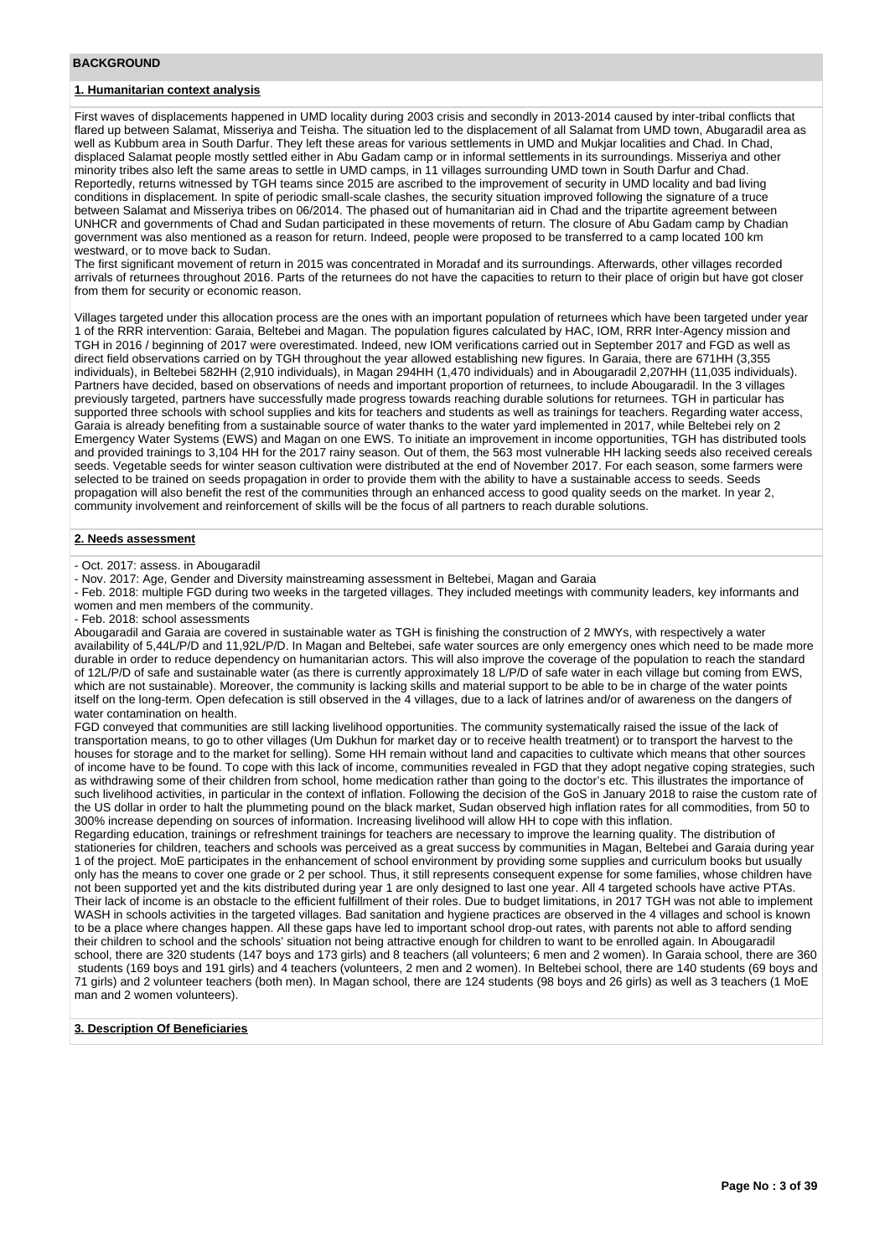# **1. Humanitarian context analysis**

First waves of displacements happened in UMD locality during 2003 crisis and secondly in 2013-2014 caused by inter-tribal conflicts that flared up between Salamat, Misseriya and Teisha. The situation led to the displacement of all Salamat from UMD town, Abugaradil area as well as Kubbum area in South Darfur. They left these areas for various settlements in UMD and Mukjar localities and Chad. In Chad, displaced Salamat people mostly settled either in Abu Gadam camp or in informal settlements in its surroundings. Misseriya and other minority tribes also left the same areas to settle in UMD camps, in 11 villages surrounding UMD town in South Darfur and Chad. Reportedly, returns witnessed by TGH teams since 2015 are ascribed to the improvement of security in UMD locality and bad living conditions in displacement. In spite of periodic small-scale clashes, the security situation improved following the signature of a truce between Salamat and Misseriya tribes on 06/2014. The phased out of humanitarian aid in Chad and the tripartite agreement between UNHCR and governments of Chad and Sudan participated in these movements of return. The closure of Abu Gadam camp by Chadian government was also mentioned as a reason for return. Indeed, people were proposed to be transferred to a camp located 100 km westward, or to move back to Sudan.

The first significant movement of return in 2015 was concentrated in Moradaf and its surroundings. Afterwards, other villages recorded arrivals of returnees throughout 2016. Parts of the returnees do not have the capacities to return to their place of origin but have got closer from them for security or economic reason.

Villages targeted under this allocation process are the ones with an important population of returnees which have been targeted under year 1 of the RRR intervention: Garaia, Beltebei and Magan. The population figures calculated by HAC, IOM, RRR Inter-Agency mission and TGH in 2016 / beginning of 2017 were overestimated. Indeed, new IOM verifications carried out in September 2017 and FGD as well as direct field observations carried on by TGH throughout the year allowed establishing new figures. In Garaia, there are 671HH (3,355 individuals), in Beltebei 582HH (2,910 individuals), in Magan 294HH (1,470 individuals) and in Abougaradil 2,207HH (11,035 individuals). Partners have decided, based on observations of needs and important proportion of returnees, to include Abougaradil. In the 3 villages previously targeted, partners have successfully made progress towards reaching durable solutions for returnees. TGH in particular has supported three schools with school supplies and kits for teachers and students as well as trainings for teachers. Regarding water access, Garaia is already benefiting from a sustainable source of water thanks to the water yard implemented in 2017, while Beltebei rely on 2 Emergency Water Systems (EWS) and Magan on one EWS. To initiate an improvement in income opportunities, TGH has distributed tools and provided trainings to 3,104 HH for the 2017 rainy season. Out of them, the 563 most vulnerable HH lacking seeds also received cereals seeds. Vegetable seeds for winter season cultivation were distributed at the end of November 2017. For each season, some farmers were selected to be trained on seeds propagation in order to provide them with the ability to have a sustainable access to seeds. Seeds propagation will also benefit the rest of the communities through an enhanced access to good quality seeds on the market. In year 2, community involvement and reinforcement of skills will be the focus of all partners to reach durable solutions.

#### **2. Needs assessment**

- Oct. 2017: assess. in Abougaradil

- Nov. 2017: Age, Gender and Diversity mainstreaming assessment in Beltebei, Magan and Garaia

- Feb. 2018: multiple FGD during two weeks in the targeted villages. They included meetings with community leaders, key informants and women and men members of the community.

- Feb. 2018: school assessments

Abougaradil and Garaia are covered in sustainable water as TGH is finishing the construction of 2 MWYs, with respectively a water availability of 5,44L/P/D and 11,92L/P/D. In Magan and Beltebei, safe water sources are only emergency ones which need to be made more durable in order to reduce dependency on humanitarian actors. This will also improve the coverage of the population to reach the standard of 12L/P/D of safe and sustainable water (as there is currently approximately 18 L/P/D of safe water in each village but coming from EWS, which are not sustainable). Moreover, the community is lacking skills and material support to be able to be in charge of the water points itself on the long-term. Open defecation is still observed in the 4 villages, due to a lack of latrines and/or of awareness on the dangers of water contamination on health.

FGD conveyed that communities are still lacking livelihood opportunities. The community systematically raised the issue of the lack of transportation means, to go to other villages (Um Dukhun for market day or to receive health treatment) or to transport the harvest to the houses for storage and to the market for selling). Some HH remain without land and capacities to cultivate which means that other sources of income have to be found. To cope with this lack of income, communities revealed in FGD that they adopt negative coping strategies, such as withdrawing some of their children from school, home medication rather than going to the doctor's etc. This illustrates the importance of such livelihood activities, in particular in the context of inflation. Following the decision of the GoS in January 2018 to raise the custom rate of the US dollar in order to halt the plummeting pound on the black market, Sudan observed high inflation rates for all commodities, from 50 to 300% increase depending on sources of information. Increasing livelihood will allow HH to cope with this inflation.

Regarding education, trainings or refreshment trainings for teachers are necessary to improve the learning quality. The distribution of stationeries for children, teachers and schools was perceived as a great success by communities in Magan, Beltebei and Garaia during year 1 of the project. MoE participates in the enhancement of school environment by providing some supplies and curriculum books but usually only has the means to cover one grade or 2 per school. Thus, it still represents consequent expense for some families, whose children have not been supported yet and the kits distributed during year 1 are only designed to last one year. All 4 targeted schools have active PTAs. Their lack of income is an obstacle to the efficient fulfillment of their roles. Due to budget limitations, in 2017 TGH was not able to implement WASH in schools activities in the targeted villages. Bad sanitation and hygiene practices are observed in the 4 villages and school is known to be a place where changes happen. All these gaps have led to important school drop-out rates, with parents not able to afford sending their children to school and the schools' situation not being attractive enough for children to want to be enrolled again. In Abougaradil school, there are 320 students (147 boys and 173 girls) and 8 teachers (all volunteers; 6 men and 2 women). In Garaia school, there are 360 students (169 boys and 191 girls) and 4 teachers (volunteers, 2 men and 2 women). In Beltebei school, there are 140 students (69 boys and 71 girls) and 2 volunteer teachers (both men). In Magan school, there are 124 students (98 boys and 26 girls) as well as 3 teachers (1 MoE man and 2 women volunteers).

#### **3. Description Of Beneficiaries**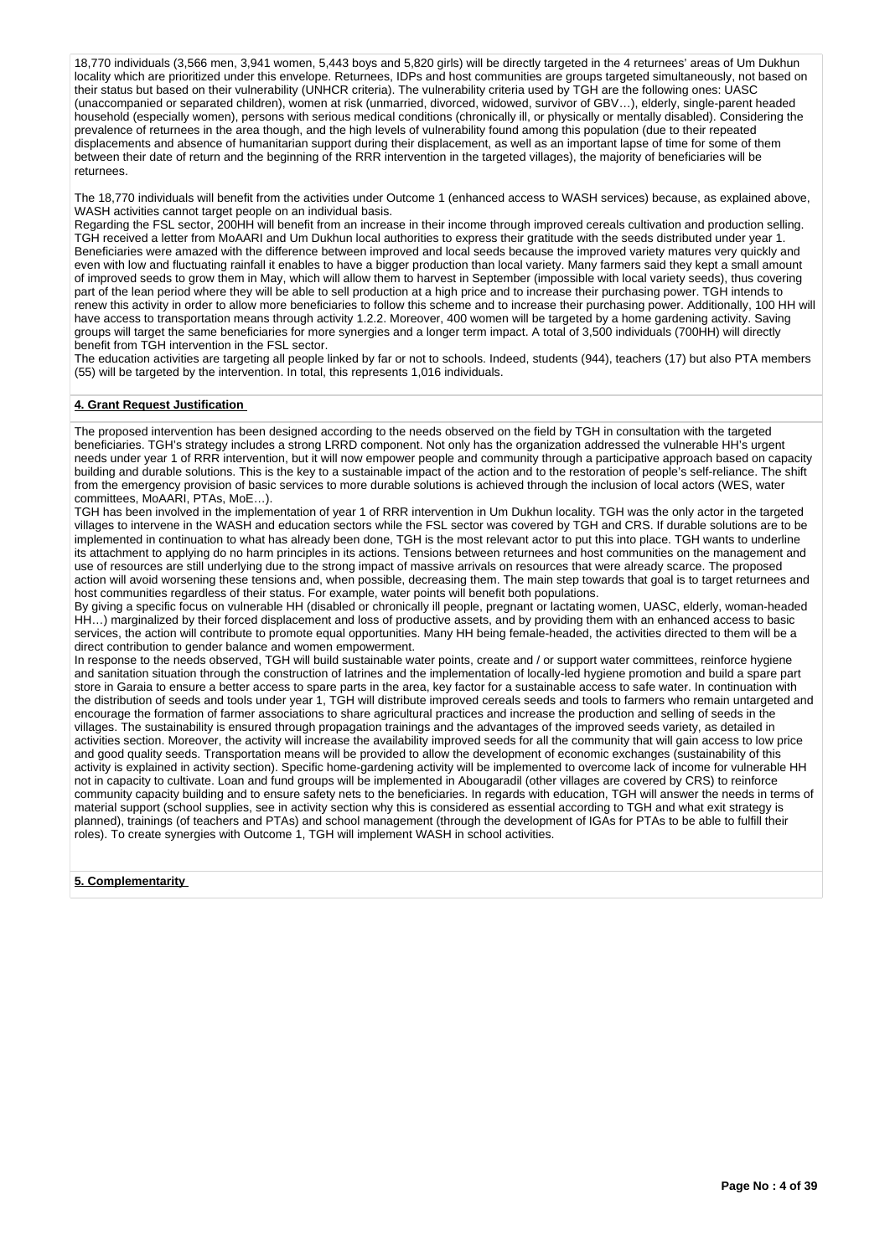18,770 individuals (3,566 men, 3,941 women, 5,443 boys and 5,820 girls) will be directly targeted in the 4 returnees' areas of Um Dukhun locality which are prioritized under this envelope. Returnees, IDPs and host communities are groups targeted simultaneously, not based on their status but based on their vulnerability (UNHCR criteria). The vulnerability criteria used by TGH are the following ones: UASC (unaccompanied or separated children), women at risk (unmarried, divorced, widowed, survivor of GBV…), elderly, single-parent headed household (especially women), persons with serious medical conditions (chronically ill, or physically or mentally disabled). Considering the prevalence of returnees in the area though, and the high levels of vulnerability found among this population (due to their repeated displacements and absence of humanitarian support during their displacement, as well as an important lapse of time for some of them between their date of return and the beginning of the RRR intervention in the targeted villages), the majority of beneficiaries will be returnees.

The 18,770 individuals will benefit from the activities under Outcome 1 (enhanced access to WASH services) because, as explained above, WASH activities cannot target people on an individual basis.

Regarding the FSL sector, 200HH will benefit from an increase in their income through improved cereals cultivation and production selling. TGH received a letter from MoAARI and Um Dukhun local authorities to express their gratitude with the seeds distributed under year 1. Beneficiaries were amazed with the difference between improved and local seeds because the improved variety matures very quickly and even with low and fluctuating rainfall it enables to have a bigger production than local variety. Many farmers said they kept a small amount of improved seeds to grow them in May, which will allow them to harvest in September (impossible with local variety seeds), thus covering part of the lean period where they will be able to sell production at a high price and to increase their purchasing power. TGH intends to renew this activity in order to allow more beneficiaries to follow this scheme and to increase their purchasing power. Additionally, 100 HH will have access to transportation means through activity 1.2.2. Moreover, 400 women will be targeted by a home gardening activity. Saving groups will target the same beneficiaries for more synergies and a longer term impact. A total of 3,500 individuals (700HH) will directly benefit from TGH intervention in the FSL sector.

The education activities are targeting all people linked by far or not to schools. Indeed, students (944), teachers (17) but also PTA members (55) will be targeted by the intervention. In total, this represents 1,016 individuals.

## **4. Grant Request Justification**

The proposed intervention has been designed according to the needs observed on the field by TGH in consultation with the targeted beneficiaries. TGH's strategy includes a strong LRRD component. Not only has the organization addressed the vulnerable HH's urgent needs under year 1 of RRR intervention, but it will now empower people and community through a participative approach based on capacity building and durable solutions. This is the key to a sustainable impact of the action and to the restoration of people's self-reliance. The shift from the emergency provision of basic services to more durable solutions is achieved through the inclusion of local actors (WES, water committees, MoAARI, PTAs, MoE…).

TGH has been involved in the implementation of year 1 of RRR intervention in Um Dukhun locality. TGH was the only actor in the targeted villages to intervene in the WASH and education sectors while the FSL sector was covered by TGH and CRS. If durable solutions are to be implemented in continuation to what has already been done, TGH is the most relevant actor to put this into place. TGH wants to underline its attachment to applying do no harm principles in its actions. Tensions between returnees and host communities on the management and use of resources are still underlying due to the strong impact of massive arrivals on resources that were already scarce. The proposed action will avoid worsening these tensions and, when possible, decreasing them. The main step towards that goal is to target returnees and host communities regardless of their status. For example, water points will benefit both populations.

By giving a specific focus on vulnerable HH (disabled or chronically ill people, pregnant or lactating women, UASC, elderly, woman-headed HH…) marginalized by their forced displacement and loss of productive assets, and by providing them with an enhanced access to basic services, the action will contribute to promote equal opportunities. Many HH being female-headed, the activities directed to them will be a direct contribution to gender balance and women empowerment.

In response to the needs observed, TGH will build sustainable water points, create and / or support water committees, reinforce hygiene and sanitation situation through the construction of latrines and the implementation of locally-led hygiene promotion and build a spare part store in Garaia to ensure a better access to spare parts in the area, key factor for a sustainable access to safe water. In continuation with the distribution of seeds and tools under year 1, TGH will distribute improved cereals seeds and tools to farmers who remain untargeted and encourage the formation of farmer associations to share agricultural practices and increase the production and selling of seeds in the villages. The sustainability is ensured through propagation trainings and the advantages of the improved seeds variety, as detailed in activities section. Moreover, the activity will increase the availability improved seeds for all the community that will gain access to low price and good quality seeds. Transportation means will be provided to allow the development of economic exchanges (sustainability of this activity is explained in activity section). Specific home-gardening activity will be implemented to overcome lack of income for vulnerable HH not in capacity to cultivate. Loan and fund groups will be implemented in Abougaradil (other villages are covered by CRS) to reinforce community capacity building and to ensure safety nets to the beneficiaries. In regards with education, TGH will answer the needs in terms of material support (school supplies, see in activity section why this is considered as essential according to TGH and what exit strategy is planned), trainings (of teachers and PTAs) and school management (through the development of IGAs for PTAs to be able to fulfill their roles). To create synergies with Outcome 1, TGH will implement WASH in school activities.

**5. Complementarity**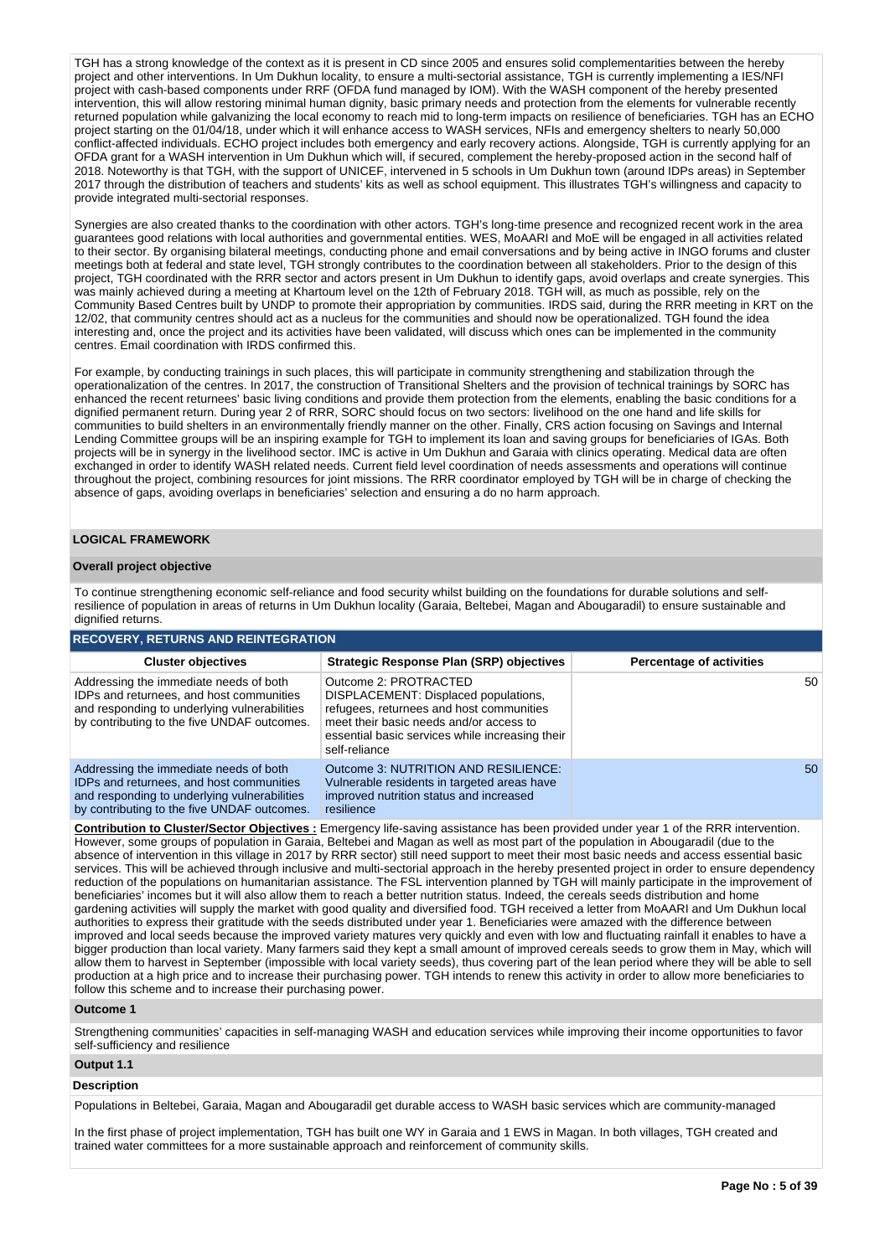TGH has a strong knowledge of the context as it is present in CD since 2005 and ensures solid complementarities between the hereby project and other interventions. In Um Dukhun locality, to ensure a multi-sectorial assistance, TGH is currently implementing a IES/NFI project with cash-based components under RRF (OFDA fund managed by IOM). With the WASH component of the hereby presented intervention, this will allow restoring minimal human dignity, basic primary needs and protection from the elements for vulnerable recently returned population while galvanizing the local economy to reach mid to long-term impacts on resilience of beneficiaries. TGH has an ECHO project starting on the 01/04/18, under which it will enhance access to WASH services, NFIs and emergency shelters to nearly 50,000 conflict-affected individuals. ECHO project includes both emergency and early recovery actions. Alongside, TGH is currently applying for an OFDA grant for a WASH intervention in Um Dukhun which will, if secured, complement the hereby-proposed action in the second half of 2018. Noteworthy is that TGH, with the support of UNICEF, intervened in 5 schools in Um Dukhun town (around IDPs areas) in September 2017 through the distribution of teachers and students' kits as well as school equipment. This illustrates TGH's willingness and capacity to provide integrated multi-sectorial responses.

Synergies are also created thanks to the coordination with other actors. TGH's long-time presence and recognized recent work in the area guarantees good relations with local authorities and governmental entities. WES, MoAARI and MoE will be engaged in all activities related to their sector. By organising bilateral meetings, conducting phone and email conversations and by being active in INGO forums and cluster meetings both at federal and state level, TGH strongly contributes to the coordination between all stakeholders. Prior to the design of this project, TGH coordinated with the RRR sector and actors present in Um Dukhun to identify gaps, avoid overlaps and create synergies. This was mainly achieved during a meeting at Khartoum level on the 12th of February 2018. TGH will, as much as possible, rely on the Community Based Centres built by UNDP to promote their appropriation by communities. IRDS said, during the RRR meeting in KRT on the 12/02, that community centres should act as a nucleus for the communities and should now be operationalized. TGH found the idea interesting and, once the project and its activities have been validated, will discuss which ones can be implemented in the community centres. Email coordination with IRDS confirmed this.

For example, by conducting trainings in such places, this will participate in community strengthening and stabilization through the operationalization of the centres. In 2017, the construction of Transitional Shelters and the provision of technical trainings by SORC has enhanced the recent returnees' basic living conditions and provide them protection from the elements, enabling the basic conditions for a dignified permanent return. During year 2 of RRR, SORC should focus on two sectors: livelihood on the one hand and life skills for communities to build shelters in an environmentally friendly manner on the other. Finally, CRS action focusing on Savings and Internal Lending Committee groups will be an inspiring example for TGH to implement its loan and saving groups for beneficiaries of IGAs. Both projects will be in synergy in the livelihood sector. IMC is active in Um Dukhun and Garaia with clinics operating. Medical data are often exchanged in order to identify WASH related needs. Current field level coordination of needs assessments and operations will continue throughout the project, combining resources for joint missions. The RRR coordinator employed by TGH will be in charge of checking the absence of gaps, avoiding overlaps in beneficiaries' selection and ensuring a do no harm approach.

## **LOGICAL FRAMEWORK**

## **Overall project objective**

To continue strengthening economic self-reliance and food security whilst building on the foundations for durable solutions and selfresilience of population in areas of returns in Um Dukhun locality (Garaia, Beltebei, Magan and Abougaradil) to ensure sustainable and dignified returns.

| <b>RECOVERY, RETURNS AND REINTEGRATION</b>                                                                                                                                        |                                                                                                                                                                                                                          |                                 |  |  |  |  |  |  |  |  |
|-----------------------------------------------------------------------------------------------------------------------------------------------------------------------------------|--------------------------------------------------------------------------------------------------------------------------------------------------------------------------------------------------------------------------|---------------------------------|--|--|--|--|--|--|--|--|
| <b>Cluster objectives</b>                                                                                                                                                         | Strategic Response Plan (SRP) objectives                                                                                                                                                                                 | <b>Percentage of activities</b> |  |  |  |  |  |  |  |  |
| Addressing the immediate needs of both<br>IDPs and returnees, and host communities<br>and responding to underlying vulnerabilities<br>by contributing to the five UNDAF outcomes. | Outcome 2: PROTRACTED<br>DISPLACEMENT: Displaced populations,<br>refugees, returnees and host communities<br>meet their basic needs and/or access to<br>essential basic services while increasing their<br>self-reliance | 50                              |  |  |  |  |  |  |  |  |
| Addressing the immediate needs of both<br>IDPs and returnees, and host communities<br>and responding to underlying vulnerabilities<br>by contributing to the five UNDAF outcomes. | Outcome 3: NUTRITION AND RESILIENCE:<br>Vulnerable residents in targeted areas have<br>improved nutrition status and increased<br>resilience                                                                             | 50                              |  |  |  |  |  |  |  |  |

**Contribution to Cluster/Sector Objectives :** Emergency life-saving assistance has been provided under year 1 of the RRR intervention. However, some groups of population in Garaia, Beltebei and Magan as well as most part of the population in Abougaradil (due to the absence of intervention in this village in 2017 by RRR sector) still need support to meet their most basic needs and access essential basic services. This will be achieved through inclusive and multi-sectorial approach in the hereby presented project in order to ensure dependency reduction of the populations on humanitarian assistance. The FSL intervention planned by TGH will mainly participate in the improvement of beneficiaries' incomes but it will also allow them to reach a better nutrition status. Indeed, the cereals seeds distribution and home gardening activities will supply the market with good quality and diversified food. TGH received a letter from MoAARI and Um Dukhun local authorities to express their gratitude with the seeds distributed under year 1. Beneficiaries were amazed with the difference between improved and local seeds because the improved variety matures very quickly and even with low and fluctuating rainfall it enables to have a bigger production than local variety. Many farmers said they kept a small amount of improved cereals seeds to grow them in May, which will allow them to harvest in September (impossible with local variety seeds), thus covering part of the lean period where they will be able to sell production at a high price and to increase their purchasing power. TGH intends to renew this activity in order to allow more beneficiaries to follow this scheme and to increase their purchasing power.

#### **Outcome 1**

Strengthening communities' capacities in self-managing WASH and education services while improving their income opportunities to favor self-sufficiency and resilience

# **Output 1.1**

## **Description**

Populations in Beltebei, Garaia, Magan and Abougaradil get durable access to WASH basic services which are community-managed

In the first phase of project implementation, TGH has built one WY in Garaia and 1 EWS in Magan. In both villages, TGH created and trained water committees for a more sustainable approach and reinforcement of community skills.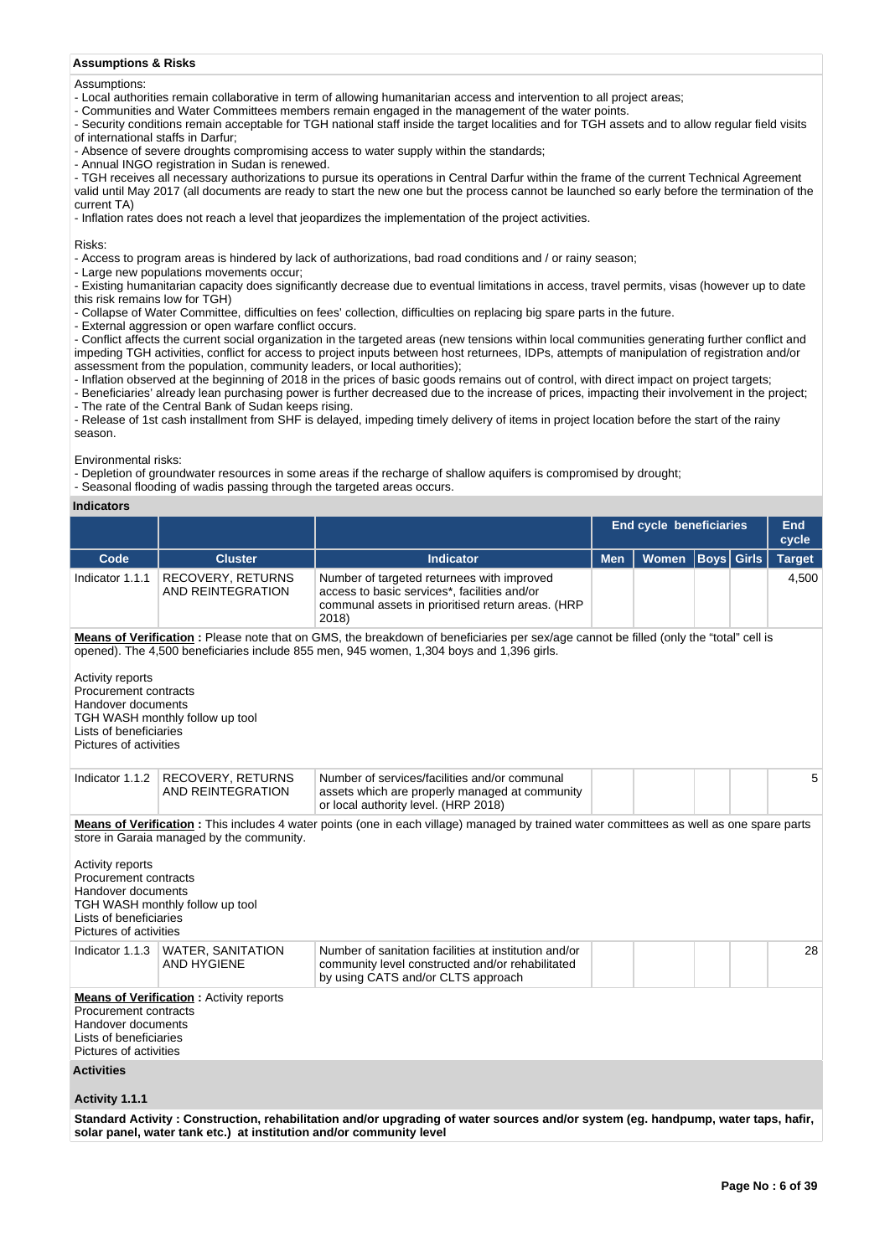## **Assumptions & Risks**

#### Assumptions:

- Local authorities remain collaborative in term of allowing humanitarian access and intervention to all project areas;
- Communities and Water Committees members remain engaged in the management of the water points.
- Security conditions remain acceptable for TGH national staff inside the target localities and for TGH assets and to allow regular field visits of international staffs in Darfur;
- 
- Absence of severe droughts compromising access to water supply within the standards;

- Annual INGO registration in Sudan is renewed.

- TGH receives all necessary authorizations to pursue its operations in Central Darfur within the frame of the current Technical Agreement valid until May 2017 (all documents are ready to start the new one but the process cannot be launched so early before the termination of the current TA)

- Inflation rates does not reach a level that jeopardizes the implementation of the project activities.

Risks:

- Access to program areas is hindered by lack of authorizations, bad road conditions and / or rainy season;

- Large new populations movements occur;

- Existing humanitarian capacity does significantly decrease due to eventual limitations in access, travel permits, visas (however up to date this risk remains low for TGH)

- Collapse of Water Committee, difficulties on fees' collection, difficulties on replacing big spare parts in the future.

- External aggression or open warfare conflict occurs.

- Conflict affects the current social organization in the targeted areas (new tensions within local communities generating further conflict and impeding TGH activities, conflict for access to project inputs between host returnees, IDPs, attempts of manipulation of registration and/or assessment from the population, community leaders, or local authorities);

- Inflation observed at the beginning of 2018 in the prices of basic goods remains out of control, with direct impact on project targets;

- Beneficiaries' already lean purchasing power is further decreased due to the increase of prices, impacting their involvement in the project; - The rate of the Central Bank of Sudan keeps rising.

- Release of 1st cash installment from SHF is delayed, impeding timely delivery of items in project location before the start of the rainy season.

Environmental risks:

- Depletion of groundwater resources in some areas if the recharge of shallow aquifers is compromised by drought;

- Seasonal flooding of wadis passing through the targeted areas occurs.

## **Indicators**

|                                                                                                                                       |                                                                              |                                                                                                                                                          | <b>End cycle beneficiaries</b> | End<br>cycle |                   |  |               |  |  |  |
|---------------------------------------------------------------------------------------------------------------------------------------|------------------------------------------------------------------------------|----------------------------------------------------------------------------------------------------------------------------------------------------------|--------------------------------|--------------|-------------------|--|---------------|--|--|--|
| Code                                                                                                                                  | <b>Cluster</b>                                                               | <b>Indicator</b>                                                                                                                                         | <b>Men</b>                     | Women        | <b>Boys</b> Girls |  | <b>Target</b> |  |  |  |
| Indicator 1.1.1                                                                                                                       | <b>RECOVERY, RETURNS</b><br>AND REINTEGRATION                                | Number of targeted returnees with improved<br>access to basic services*, facilities and/or<br>communal assets in prioritised return areas. (HRP<br>2018) |                                |              |                   |  | 4,500         |  |  |  |
| Means of Verification: Please note that on GMS, the breakdown of beneficiaries per sex/age cannot be filled (only the "total" cell is |                                                                              |                                                                                                                                                          |                                |              |                   |  |               |  |  |  |
|                                                                                                                                       |                                                                              | opened). The 4,500 beneficiaries include 855 men, 945 women, 1,304 boys and 1,396 girls.                                                                 |                                |              |                   |  |               |  |  |  |
| Activity reports<br>Procurement contracts<br>Handover documents<br>Lists of beneficiaries<br>Pictures of activities                   | TGH WASH monthly follow up tool                                              |                                                                                                                                                          |                                |              |                   |  |               |  |  |  |
| Indicator 1.1.2                                                                                                                       | <b>RECOVERY, RETURNS</b><br>AND REINTEGRATION                                | Number of services/facilities and/or communal<br>assets which are properly managed at community<br>or local authority level. (HRP 2018)                  |                                |              |                   |  | 5             |  |  |  |
| Activity reports<br>Procurement contracts<br>Handover documents<br>Lists of beneficiaries<br>Pictures of activities                   | store in Garaia managed by the community.<br>TGH WASH monthly follow up tool | Means of Verification: This includes 4 water points (one in each village) managed by trained water committees as well as one spare parts                 |                                |              |                   |  |               |  |  |  |
|                                                                                                                                       | Indicator 1.1.3   WATER, SANITATION<br><b>AND HYGIENE</b>                    | Number of sanitation facilities at institution and/or<br>community level constructed and/or rehabilitated<br>by using CATS and/or CLTS approach          |                                |              |                   |  | 28            |  |  |  |
| Procurement contracts<br>Handover documents<br>Lists of beneficiaries<br>Pictures of activities                                       | <b>Means of Verification: Activity reports</b>                               |                                                                                                                                                          |                                |              |                   |  |               |  |  |  |
| <b>Activities</b>                                                                                                                     |                                                                              |                                                                                                                                                          |                                |              |                   |  |               |  |  |  |
| Activity 1.1.1                                                                                                                        |                                                                              |                                                                                                                                                          |                                |              |                   |  |               |  |  |  |
|                                                                                                                                       | solar panel, water tank etc.) at institution and/or community level          | Standard Activity: Construction, rehabilitation and/or upgrading of water sources and/or system (eq. handpump, water taps, hafir,                        |                                |              |                   |  |               |  |  |  |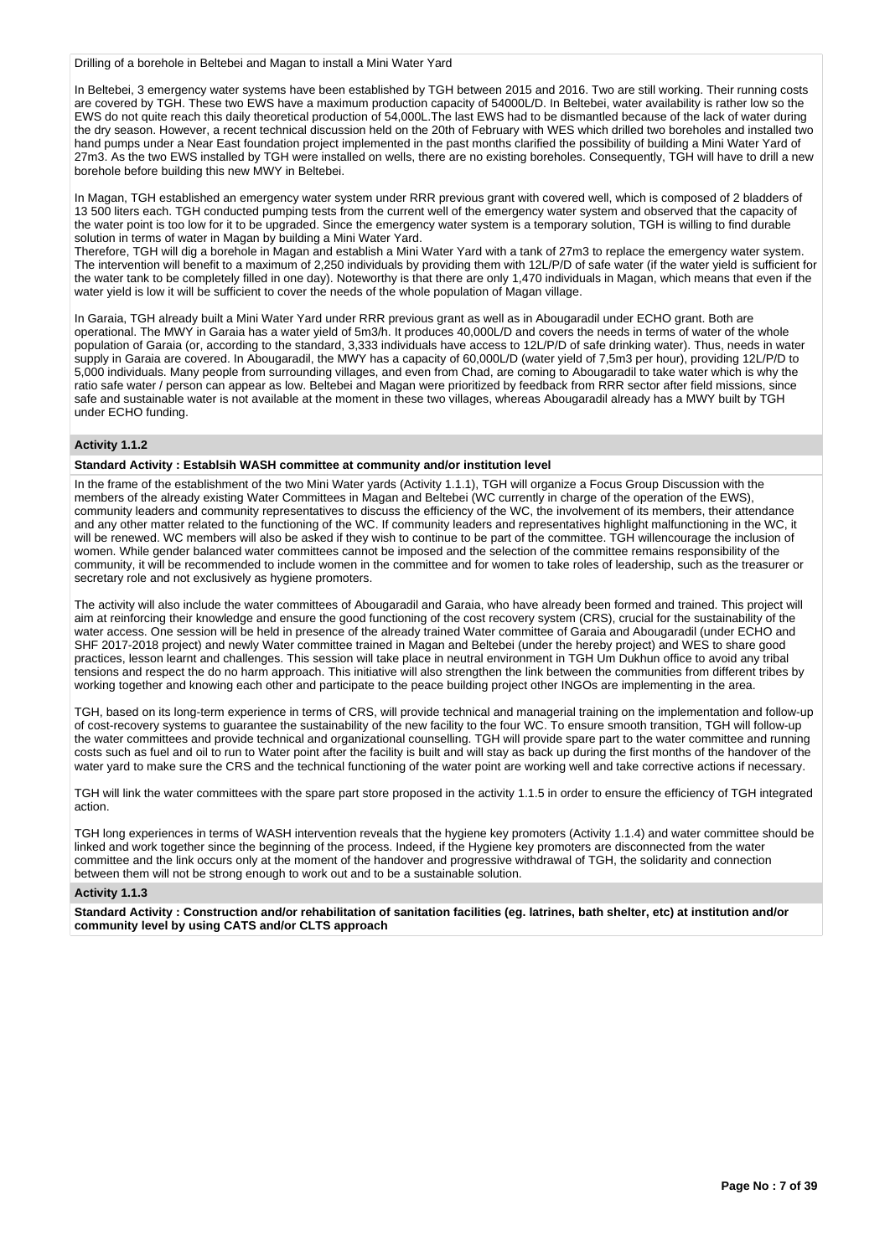Drilling of a borehole in Beltebei and Magan to install a Mini Water Yard

In Beltebei, 3 emergency water systems have been established by TGH between 2015 and 2016. Two are still working. Their running costs are covered by TGH. These two EWS have a maximum production capacity of 54000L/D. In Beltebei, water availability is rather low so the EWS do not quite reach this daily theoretical production of 54,000L.The last EWS had to be dismantled because of the lack of water during the dry season. However, a recent technical discussion held on the 20th of February with WES which drilled two boreholes and installed two hand pumps under a Near East foundation project implemented in the past months clarified the possibility of building a Mini Water Yard of 27m3. As the two EWS installed by TGH were installed on wells, there are no existing boreholes. Consequently, TGH will have to drill a new borehole before building this new MWY in Beltebei.

In Magan, TGH established an emergency water system under RRR previous grant with covered well, which is composed of 2 bladders of 13 500 liters each. TGH conducted pumping tests from the current well of the emergency water system and observed that the capacity of the water point is too low for it to be upgraded. Since the emergency water system is a temporary solution, TGH is willing to find durable solution in terms of water in Magan by building a Mini Water Yard.

Therefore, TGH will dig a borehole in Magan and establish a Mini Water Yard with a tank of 27m3 to replace the emergency water system. The intervention will benefit to a maximum of 2,250 individuals by providing them with 12L/P/D of safe water (if the water yield is sufficient for the water tank to be completely filled in one day). Noteworthy is that there are only 1,470 individuals in Magan, which means that even if the water yield is low it will be sufficient to cover the needs of the whole population of Magan village.

In Garaia, TGH already built a Mini Water Yard under RRR previous grant as well as in Abougaradil under ECHO grant. Both are operational. The MWY in Garaia has a water yield of 5m3/h. It produces 40,000L/D and covers the needs in terms of water of the whole population of Garaia (or, according to the standard, 3,333 individuals have access to 12L/P/D of safe drinking water). Thus, needs in water supply in Garaia are covered. In Abougaradil, the MWY has a capacity of 60,000L/D (water yield of 7,5m3 per hour), providing 12L/P/D to 5,000 individuals. Many people from surrounding villages, and even from Chad, are coming to Abougaradil to take water which is why the ratio safe water / person can appear as low. Beltebei and Magan were prioritized by feedback from RRR sector after field missions, since safe and sustainable water is not available at the moment in these two villages, whereas Abougaradil already has a MWY built by TGH under ECHO funding.

## **Activity 1.1.2**

## **Standard Activity : Establsih WASH committee at community and/or institution level**

In the frame of the establishment of the two Mini Water yards (Activity 1.1.1), TGH will organize a Focus Group Discussion with the members of the already existing Water Committees in Magan and Beltebei (WC currently in charge of the operation of the EWS), community leaders and community representatives to discuss the efficiency of the WC, the involvement of its members, their attendance and any other matter related to the functioning of the WC. If community leaders and representatives highlight malfunctioning in the WC, it will be renewed. WC members will also be asked if they wish to continue to be part of the committee. TGH willencourage the inclusion of women. While gender balanced water committees cannot be imposed and the selection of the committee remains responsibility of the community, it will be recommended to include women in the committee and for women to take roles of leadership, such as the treasurer or secretary role and not exclusively as hygiene promoters.

The activity will also include the water committees of Abougaradil and Garaia, who have already been formed and trained. This project will aim at reinforcing their knowledge and ensure the good functioning of the cost recovery system (CRS), crucial for the sustainability of the water access. One session will be held in presence of the already trained Water committee of Garaia and Abougaradil (under ECHO and SHF 2017-2018 project) and newly Water committee trained in Magan and Beltebei (under the hereby project) and WES to share good practices, lesson learnt and challenges. This session will take place in neutral environment in TGH Um Dukhun office to avoid any tribal tensions and respect the do no harm approach. This initiative will also strengthen the link between the communities from different tribes by working together and knowing each other and participate to the peace building project other INGOs are implementing in the area.

TGH, based on its long-term experience in terms of CRS, will provide technical and managerial training on the implementation and follow-up of cost-recovery systems to guarantee the sustainability of the new facility to the four WC. To ensure smooth transition, TGH will follow-up the water committees and provide technical and organizational counselling. TGH will provide spare part to the water committee and running costs such as fuel and oil to run to Water point after the facility is built and will stay as back up during the first months of the handover of the water yard to make sure the CRS and the technical functioning of the water point are working well and take corrective actions if necessary.

TGH will link the water committees with the spare part store proposed in the activity 1.1.5 in order to ensure the efficiency of TGH integrated action.

TGH long experiences in terms of WASH intervention reveals that the hygiene key promoters (Activity 1.1.4) and water committee should be linked and work together since the beginning of the process. Indeed, if the Hygiene key promoters are disconnected from the water committee and the link occurs only at the moment of the handover and progressive withdrawal of TGH, the solidarity and connection between them will not be strong enough to work out and to be a sustainable solution.

## **Activity 1.1.3**

**Standard Activity : Construction and/or rehabilitation of sanitation facilities (eg. latrines, bath shelter, etc) at institution and/or community level by using CATS and/or CLTS approach**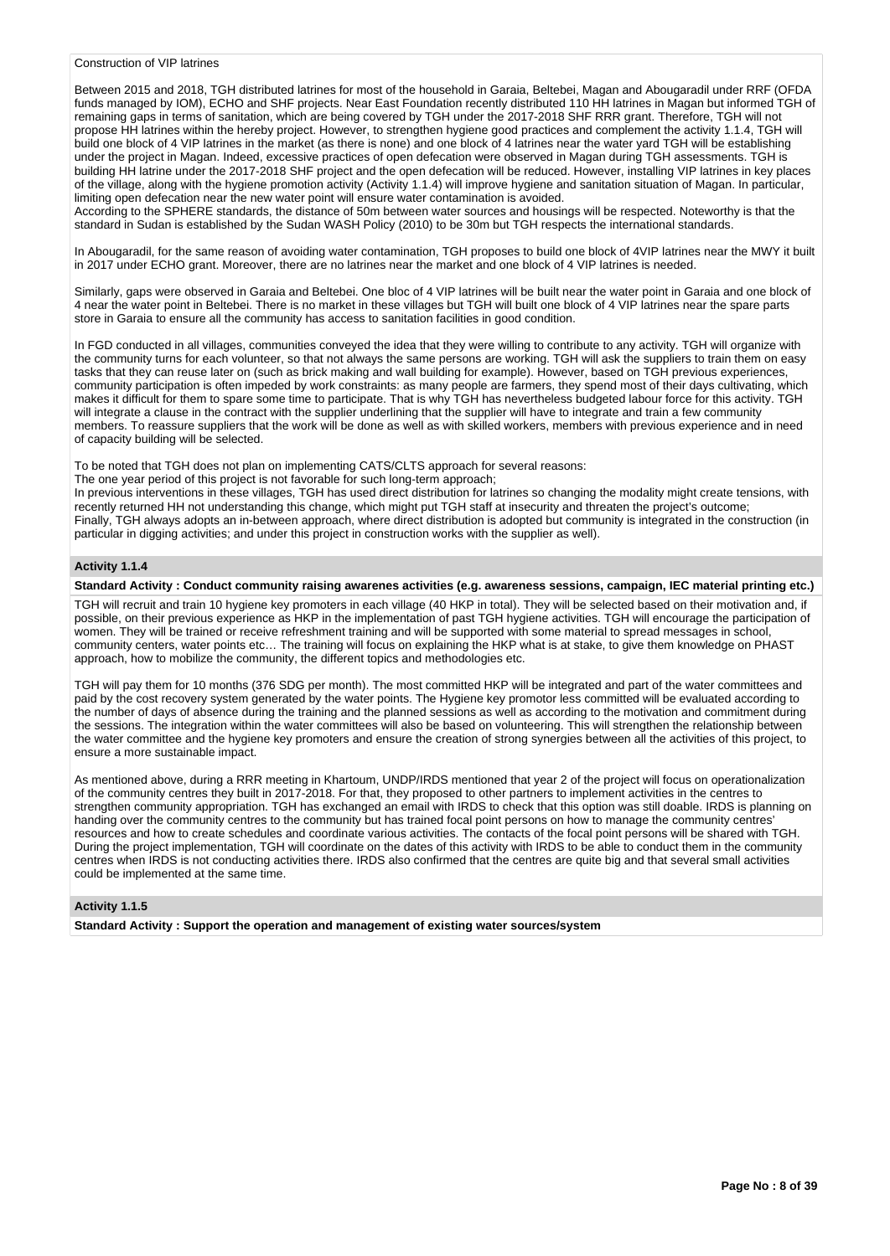## Construction of VIP latrines

Between 2015 and 2018, TGH distributed latrines for most of the household in Garaia, Beltebei, Magan and Abougaradil under RRF (OFDA funds managed by IOM), ECHO and SHF projects. Near East Foundation recently distributed 110 HH latrines in Magan but informed TGH of remaining gaps in terms of sanitation, which are being covered by TGH under the 2017-2018 SHF RRR grant. Therefore, TGH will not propose HH latrines within the hereby project. However, to strengthen hygiene good practices and complement the activity 1.1.4, TGH will build one block of 4 VIP latrines in the market (as there is none) and one block of 4 latrines near the water yard TGH will be establishing under the project in Magan. Indeed, excessive practices of open defecation were observed in Magan during TGH assessments. TGH is building HH latrine under the 2017-2018 SHF project and the open defecation will be reduced. However, installing VIP latrines in key places of the village, along with the hygiene promotion activity (Activity 1.1.4) will improve hygiene and sanitation situation of Magan. In particular, limiting open defecation near the new water point will ensure water contamination is avoided.

According to the SPHERE standards, the distance of 50m between water sources and housings will be respected. Noteworthy is that the standard in Sudan is established by the Sudan WASH Policy (2010) to be 30m but TGH respects the international standards.

In Abougaradil, for the same reason of avoiding water contamination, TGH proposes to build one block of 4VIP latrines near the MWY it built in 2017 under ECHO grant. Moreover, there are no latrines near the market and one block of 4 VIP latrines is needed.

Similarly, gaps were observed in Garaia and Beltebei. One bloc of 4 VIP latrines will be built near the water point in Garaia and one block of 4 near the water point in Beltebei. There is no market in these villages but TGH will built one block of 4 VIP latrines near the spare parts store in Garaia to ensure all the community has access to sanitation facilities in good condition.

In FGD conducted in all villages, communities conveyed the idea that they were willing to contribute to any activity. TGH will organize with the community turns for each volunteer, so that not always the same persons are working. TGH will ask the suppliers to train them on easy tasks that they can reuse later on (such as brick making and wall building for example). However, based on TGH previous experiences, community participation is often impeded by work constraints: as many people are farmers, they spend most of their days cultivating, which makes it difficult for them to spare some time to participate. That is why TGH has nevertheless budgeted labour force for this activity. TGH will integrate a clause in the contract with the supplier underlining that the supplier will have to integrate and train a few community members. To reassure suppliers that the work will be done as well as with skilled workers, members with previous experience and in need of capacity building will be selected.

To be noted that TGH does not plan on implementing CATS/CLTS approach for several reasons:

The one year period of this project is not favorable for such long-term approach;

In previous interventions in these villages, TGH has used direct distribution for latrines so changing the modality might create tensions, with recently returned HH not understanding this change, which might put TGH staff at insecurity and threaten the project's outcome; Finally, TGH always adopts an in-between approach, where direct distribution is adopted but community is integrated in the construction (in particular in digging activities; and under this project in construction works with the supplier as well).

## **Activity 1.1.4**

#### **Standard Activity : Conduct community raising awarenes activities (e.g. awareness sessions, campaign, IEC material printing etc.)**

TGH will recruit and train 10 hygiene key promoters in each village (40 HKP in total). They will be selected based on their motivation and, if possible, on their previous experience as HKP in the implementation of past TGH hygiene activities. TGH will encourage the participation of women. They will be trained or receive refreshment training and will be supported with some material to spread messages in school, community centers, water points etc… The training will focus on explaining the HKP what is at stake, to give them knowledge on PHAST approach, how to mobilize the community, the different topics and methodologies etc.

TGH will pay them for 10 months (376 SDG per month). The most committed HKP will be integrated and part of the water committees and paid by the cost recovery system generated by the water points. The Hygiene key promotor less committed will be evaluated according to the number of days of absence during the training and the planned sessions as well as according to the motivation and commitment during the sessions. The integration within the water committees will also be based on volunteering. This will strengthen the relationship between the water committee and the hygiene key promoters and ensure the creation of strong synergies between all the activities of this project, to ensure a more sustainable impact.

As mentioned above, during a RRR meeting in Khartoum, UNDP/IRDS mentioned that year 2 of the project will focus on operationalization of the community centres they built in 2017-2018. For that, they proposed to other partners to implement activities in the centres to strengthen community appropriation. TGH has exchanged an email with IRDS to check that this option was still doable. IRDS is planning on handing over the community centres to the community but has trained focal point persons on how to manage the community centres' resources and how to create schedules and coordinate various activities. The contacts of the focal point persons will be shared with TGH. During the project implementation, TGH will coordinate on the dates of this activity with IRDS to be able to conduct them in the community centres when IRDS is not conducting activities there. IRDS also confirmed that the centres are quite big and that several small activities could be implemented at the same time.

#### **Activity 1.1.5**

**Standard Activity : Support the operation and management of existing water sources/system**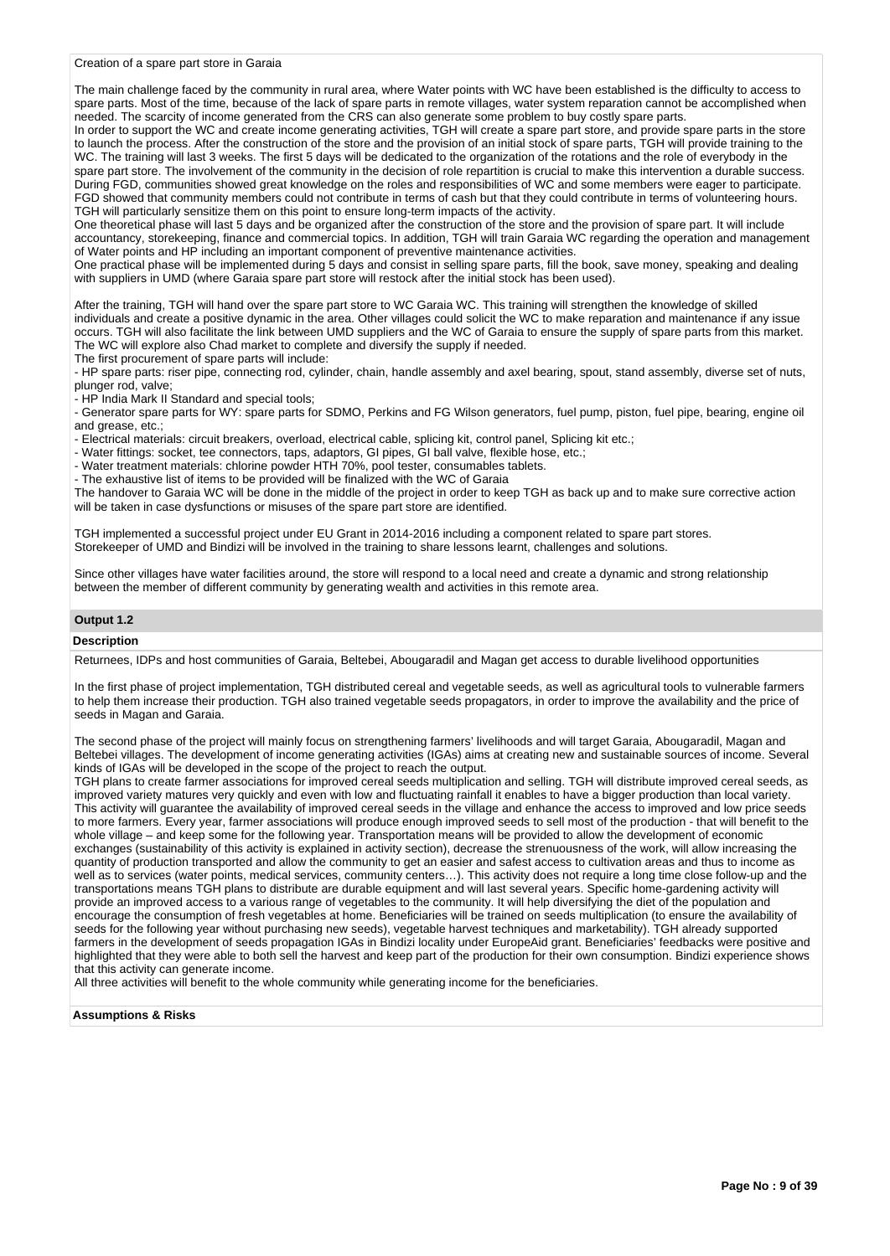#### Creation of a spare part store in Garaia

The main challenge faced by the community in rural area, where Water points with WC have been established is the difficulty to access to spare parts. Most of the time, because of the lack of spare parts in remote villages, water system reparation cannot be accomplished when needed. The scarcity of income generated from the CRS can also generate some problem to buy costly spare parts.

In order to support the WC and create income generating activities, TGH will create a spare part store, and provide spare parts in the store to launch the process. After the construction of the store and the provision of an initial stock of spare parts, TGH will provide training to the WC. The training will last 3 weeks. The first 5 days will be dedicated to the organization of the rotations and the role of everybody in the spare part store. The involvement of the community in the decision of role repartition is crucial to make this intervention a durable success. During FGD, communities showed great knowledge on the roles and responsibilities of WC and some members were eager to participate. FGD showed that community members could not contribute in terms of cash but that they could contribute in terms of volunteering hours. TGH will particularly sensitize them on this point to ensure long-term impacts of the activity.

One theoretical phase will last 5 days and be organized after the construction of the store and the provision of spare part. It will include accountancy, storekeeping, finance and commercial topics. In addition, TGH will train Garaia WC regarding the operation and management of Water points and HP including an important component of preventive maintenance activities.

One practical phase will be implemented during 5 days and consist in selling spare parts, fill the book, save money, speaking and dealing with suppliers in UMD (where Garaia spare part store will restock after the initial stock has been used).

After the training, TGH will hand over the spare part store to WC Garaia WC. This training will strengthen the knowledge of skilled individuals and create a positive dynamic in the area. Other villages could solicit the WC to make reparation and maintenance if any issue occurs. TGH will also facilitate the link between UMD suppliers and the WC of Garaia to ensure the supply of spare parts from this market. The WC will explore also Chad market to complete and diversify the supply if needed.

The first procurement of spare parts will include:

- HP spare parts: riser pipe, connecting rod, cylinder, chain, handle assembly and axel bearing, spout, stand assembly, diverse set of nuts, plunger rod, valve;

- HP India Mark II Standard and special tools;

- Generator spare parts for WY: spare parts for SDMO, Perkins and FG Wilson generators, fuel pump, piston, fuel pipe, bearing, engine oil and grease, etc.;

- Electrical materials: circuit breakers, overload, electrical cable, splicing kit, control panel, Splicing kit etc.;

- Water fittings: socket, tee connectors, taps, adaptors, GI pipes, GI ball valve, flexible hose, etc.;

- Water treatment materials: chlorine powder HTH 70%, pool tester, consumables tablets.

- The exhaustive list of items to be provided will be finalized with the WC of Garaia

The handover to Garaia WC will be done in the middle of the project in order to keep TGH as back up and to make sure corrective action will be taken in case dysfunctions or misuses of the spare part store are identified.

TGH implemented a successful project under EU Grant in 2014-2016 including a component related to spare part stores. Storekeeper of UMD and Bindizi will be involved in the training to share lessons learnt, challenges and solutions.

Since other villages have water facilities around, the store will respond to a local need and create a dynamic and strong relationship between the member of different community by generating wealth and activities in this remote area.

# **Output 1.2**

#### **Description**

Returnees, IDPs and host communities of Garaia, Beltebei, Abougaradil and Magan get access to durable livelihood opportunities

In the first phase of project implementation, TGH distributed cereal and vegetable seeds, as well as agricultural tools to vulnerable farmers to help them increase their production. TGH also trained vegetable seeds propagators, in order to improve the availability and the price of seeds in Magan and Garaia.

The second phase of the project will mainly focus on strengthening farmers' livelihoods and will target Garaia, Abougaradil, Magan and Beltebei villages. The development of income generating activities (IGAs) aims at creating new and sustainable sources of income. Several kinds of IGAs will be developed in the scope of the project to reach the output.

TGH plans to create farmer associations for improved cereal seeds multiplication and selling. TGH will distribute improved cereal seeds, as improved variety matures very quickly and even with low and fluctuating rainfall it enables to have a bigger production than local variety. This activity will guarantee the availability of improved cereal seeds in the village and enhance the access to improved and low price seeds to more farmers. Every year, farmer associations will produce enough improved seeds to sell most of the production - that will benefit to the whole village – and keep some for the following year. Transportation means will be provided to allow the development of economic exchanges (sustainability of this activity is explained in activity section), decrease the strenuousness of the work, will allow increasing the quantity of production transported and allow the community to get an easier and safest access to cultivation areas and thus to income as well as to services (water points, medical services, community centers…). This activity does not require a long time close follow-up and the transportations means TGH plans to distribute are durable equipment and will last several years. Specific home-gardening activity will provide an improved access to a various range of vegetables to the community. It will help diversifying the diet of the population and encourage the consumption of fresh vegetables at home. Beneficiaries will be trained on seeds multiplication (to ensure the availability of seeds for the following year without purchasing new seeds), vegetable harvest techniques and marketability). TGH already supported farmers in the development of seeds propagation IGAs in Bindizi locality under EuropeAid grant. Beneficiaries' feedbacks were positive and highlighted that they were able to both sell the harvest and keep part of the production for their own consumption. Bindizi experience shows that this activity can generate income.

All three activities will benefit to the whole community while generating income for the beneficiaries.

**Assumptions & Risks**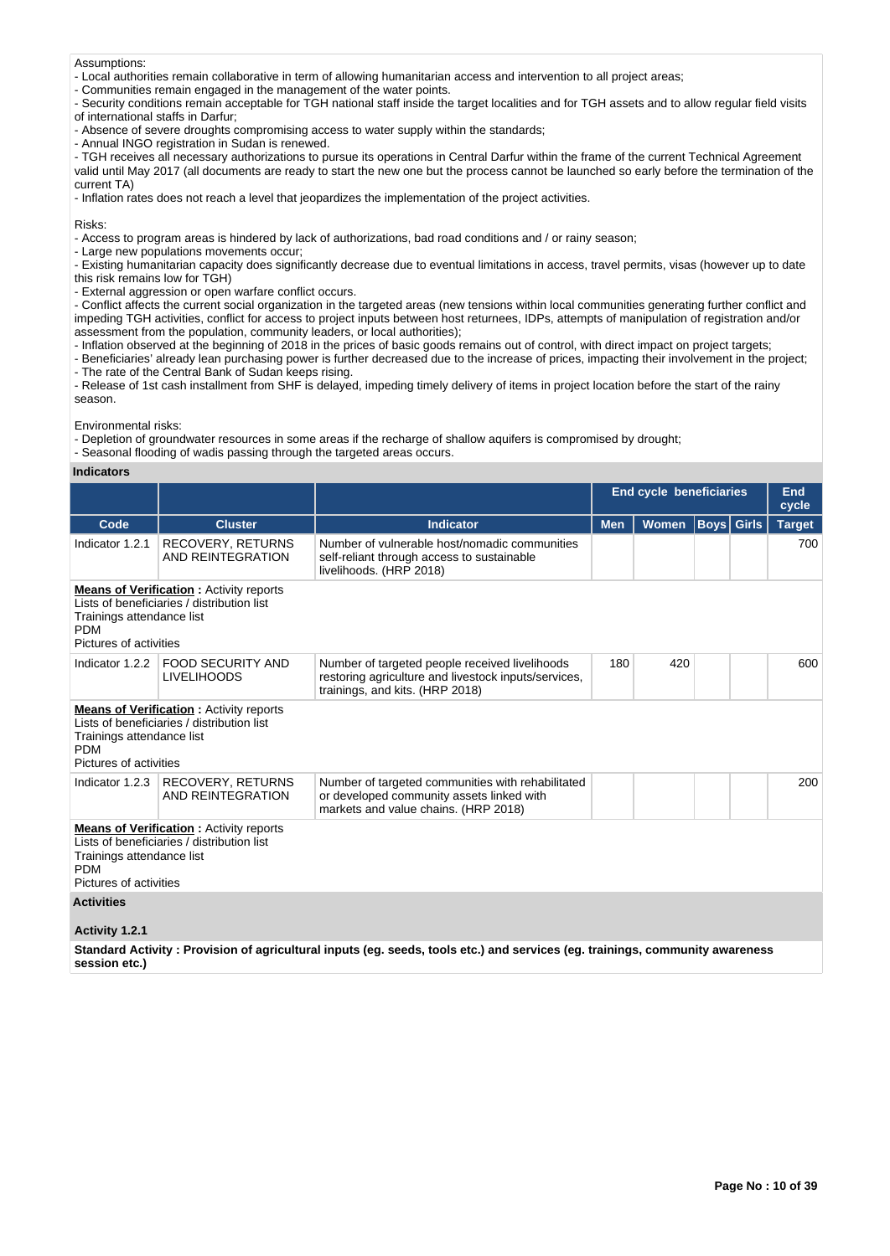#### Assumptions:

- Local authorities remain collaborative in term of allowing humanitarian access and intervention to all project areas;

- Communities remain engaged in the management of the water points.

- Security conditions remain acceptable for TGH national staff inside the target localities and for TGH assets and to allow regular field visits of international staffs in Darfur;

- Absence of severe droughts compromising access to water supply within the standards;

- Annual INGO registration in Sudan is renewed.

- TGH receives all necessary authorizations to pursue its operations in Central Darfur within the frame of the current Technical Agreement valid until May 2017 (all documents are ready to start the new one but the process cannot be launched so early before the termination of the current TA)

- Inflation rates does not reach a level that jeopardizes the implementation of the project activities.

Risks:

- Access to program areas is hindered by lack of authorizations, bad road conditions and / or rainy season;

- Large new populations movements occur;

- Existing humanitarian capacity does significantly decrease due to eventual limitations in access, travel permits, visas (however up to date this risk remains low for TGH)

- External aggression or open warfare conflict occurs.

- Conflict affects the current social organization in the targeted areas (new tensions within local communities generating further conflict and impeding TGH activities, conflict for access to project inputs between host returnees, IDPs, attempts of manipulation of registration and/or assessment from the population, community leaders, or local authorities);

- Inflation observed at the beginning of 2018 in the prices of basic goods remains out of control, with direct impact on project targets;

- Beneficiaries' already lean purchasing power is further decreased due to the increase of prices, impacting their involvement in the project; - The rate of the Central Bank of Sudan keeps rising.

- Release of 1st cash installment from SHF is delayed, impeding timely delivery of items in project location before the start of the rainy season.

Environmental risks:

- Depletion of groundwater resources in some areas if the recharge of shallow aquifers is compromised by drought;

- Seasonal flooding of wadis passing through the targeted areas occurs.

#### **Indicators**

|                                                                                                                                                                   |                                                |                                                                                                                                           | <b>End cycle beneficiaries</b> |       | End<br>cycle |                   |               |  |
|-------------------------------------------------------------------------------------------------------------------------------------------------------------------|------------------------------------------------|-------------------------------------------------------------------------------------------------------------------------------------------|--------------------------------|-------|--------------|-------------------|---------------|--|
| Code                                                                                                                                                              | <b>Cluster</b>                                 | <b>Indicator</b>                                                                                                                          | <b>Men</b>                     | Women |              | <b>Boys</b> Girls | <b>Target</b> |  |
| Indicator 1.2.1                                                                                                                                                   | <b>RECOVERY, RETURNS</b><br>AND REINTEGRATION  | Number of vulnerable host/nomadic communities<br>self-reliant through access to sustainable<br>livelihoods. (HRP 2018)                    |                                |       |              |                   | 700           |  |
| <b>Means of Verification:</b> Activity reports<br>Lists of beneficiaries / distribution list<br>Trainings attendance list<br><b>PDM</b><br>Pictures of activities |                                                |                                                                                                                                           |                                |       |              |                   |               |  |
| Indicator 1.2.2                                                                                                                                                   | <b>FOOD SECURITY AND</b><br><b>LIVELIHOODS</b> | Number of targeted people received livelihoods<br>restoring agriculture and livestock inputs/services,<br>trainings, and kits. (HRP 2018) | 180                            | 420   |              |                   | 600           |  |
| <b>Means of Verification:</b> Activity reports<br>Lists of beneficiaries / distribution list<br>Trainings attendance list<br><b>PDM</b><br>Pictures of activities |                                                |                                                                                                                                           |                                |       |              |                   |               |  |
| Indicator 1.2.3                                                                                                                                                   | RECOVERY, RETURNS<br>AND REINTEGRATION         | Number of targeted communities with rehabilitated<br>or developed community assets linked with<br>markets and value chains. (HRP 2018)    |                                |       |              |                   | 200           |  |
| <b>Means of Verification:</b> Activity reports<br>Lists of beneficiaries / distribution list<br>Trainings attendance list<br><b>PDM</b><br>Pictures of activities |                                                |                                                                                                                                           |                                |       |              |                   |               |  |
| <b>Activities</b><br>Activity 1.2.1                                                                                                                               |                                                |                                                                                                                                           |                                |       |              |                   |               |  |

**Standard Activity : Provision of agricultural inputs (eg. seeds, tools etc.) and services (eg. trainings, community awareness session etc.)**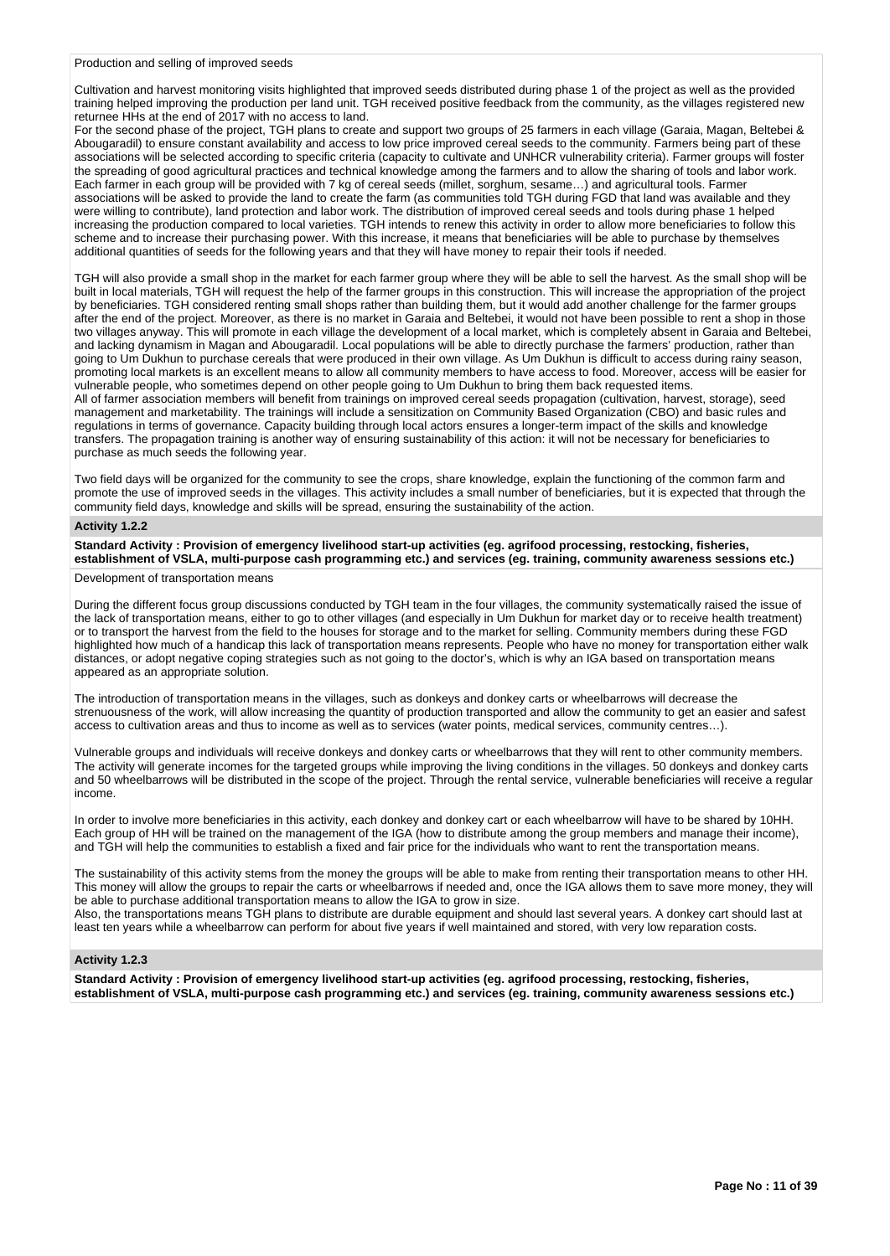## Production and selling of improved seeds

Cultivation and harvest monitoring visits highlighted that improved seeds distributed during phase 1 of the project as well as the provided training helped improving the production per land unit. TGH received positive feedback from the community, as the villages registered new returnee HHs at the end of 2017 with no access to land.

For the second phase of the project, TGH plans to create and support two groups of 25 farmers in each village (Garaia, Magan, Beltebei & Abougaradil) to ensure constant availability and access to low price improved cereal seeds to the community. Farmers being part of these associations will be selected according to specific criteria (capacity to cultivate and UNHCR vulnerability criteria). Farmer groups will foster the spreading of good agricultural practices and technical knowledge among the farmers and to allow the sharing of tools and labor work. Each farmer in each group will be provided with 7 kg of cereal seeds (millet, sorghum, sesame…) and agricultural tools. Farmer associations will be asked to provide the land to create the farm (as communities told TGH during FGD that land was available and they were willing to contribute), land protection and labor work. The distribution of improved cereal seeds and tools during phase 1 helped increasing the production compared to local varieties. TGH intends to renew this activity in order to allow more beneficiaries to follow this scheme and to increase their purchasing power. With this increase, it means that beneficiaries will be able to purchase by themselves additional quantities of seeds for the following years and that they will have money to repair their tools if needed.

TGH will also provide a small shop in the market for each farmer group where they will be able to sell the harvest. As the small shop will be built in local materials, TGH will request the help of the farmer groups in this construction. This will increase the appropriation of the project by beneficiaries. TGH considered renting small shops rather than building them, but it would add another challenge for the farmer groups after the end of the project. Moreover, as there is no market in Garaia and Beltebei, it would not have been possible to rent a shop in those two villages anyway. This will promote in each village the development of a local market, which is completely absent in Garaia and Beltebei, and lacking dynamism in Magan and Abougaradil. Local populations will be able to directly purchase the farmers' production, rather than going to Um Dukhun to purchase cereals that were produced in their own village. As Um Dukhun is difficult to access during rainy season, promoting local markets is an excellent means to allow all community members to have access to food. Moreover, access will be easier for vulnerable people, who sometimes depend on other people going to Um Dukhun to bring them back requested items. All of farmer association members will benefit from trainings on improved cereal seeds propagation (cultivation, harvest, storage), seed management and marketability. The trainings will include a sensitization on Community Based Organization (CBO) and basic rules and

regulations in terms of governance. Capacity building through local actors ensures a longer-term impact of the skills and knowledge transfers. The propagation training is another way of ensuring sustainability of this action: it will not be necessary for beneficiaries to purchase as much seeds the following year.

Two field days will be organized for the community to see the crops, share knowledge, explain the functioning of the common farm and promote the use of improved seeds in the villages. This activity includes a small number of beneficiaries, but it is expected that through the community field days, knowledge and skills will be spread, ensuring the sustainability of the action.

#### **Activity 1.2.2**

**Standard Activity : Provision of emergency livelihood start-up activities (eg. agrifood processing, restocking, fisheries, establishment of VSLA, multi-purpose cash programming etc.) and services (eg. training, community awareness sessions etc.)**

## Development of transportation means

During the different focus group discussions conducted by TGH team in the four villages, the community systematically raised the issue of the lack of transportation means, either to go to other villages (and especially in Um Dukhun for market day or to receive health treatment) or to transport the harvest from the field to the houses for storage and to the market for selling. Community members during these FGD highlighted how much of a handicap this lack of transportation means represents. People who have no money for transportation either walk distances, or adopt negative coping strategies such as not going to the doctor's, which is why an IGA based on transportation means appeared as an appropriate solution.

The introduction of transportation means in the villages, such as donkeys and donkey carts or wheelbarrows will decrease the strenuousness of the work, will allow increasing the quantity of production transported and allow the community to get an easier and safest access to cultivation areas and thus to income as well as to services (water points, medical services, community centres…).

Vulnerable groups and individuals will receive donkeys and donkey carts or wheelbarrows that they will rent to other community members. The activity will generate incomes for the targeted groups while improving the living conditions in the villages. 50 donkeys and donkey carts and 50 wheelbarrows will be distributed in the scope of the project. Through the rental service, vulnerable beneficiaries will receive a regular income.

In order to involve more beneficiaries in this activity, each donkey and donkey cart or each wheelbarrow will have to be shared by 10HH. Each group of HH will be trained on the management of the IGA (how to distribute among the group members and manage their income), and TGH will help the communities to establish a fixed and fair price for the individuals who want to rent the transportation means.

The sustainability of this activity stems from the money the groups will be able to make from renting their transportation means to other HH. This money will allow the groups to repair the carts or wheelbarrows if needed and, once the IGA allows them to save more money, they will be able to purchase additional transportation means to allow the IGA to grow in size.

Also, the transportations means TGH plans to distribute are durable equipment and should last several years. A donkey cart should last at least ten years while a wheelbarrow can perform for about five years if well maintained and stored, with very low reparation costs.

## **Activity 1.2.3**

**Standard Activity : Provision of emergency livelihood start-up activities (eg. agrifood processing, restocking, fisheries, establishment of VSLA, multi-purpose cash programming etc.) and services (eg. training, community awareness sessions etc.)**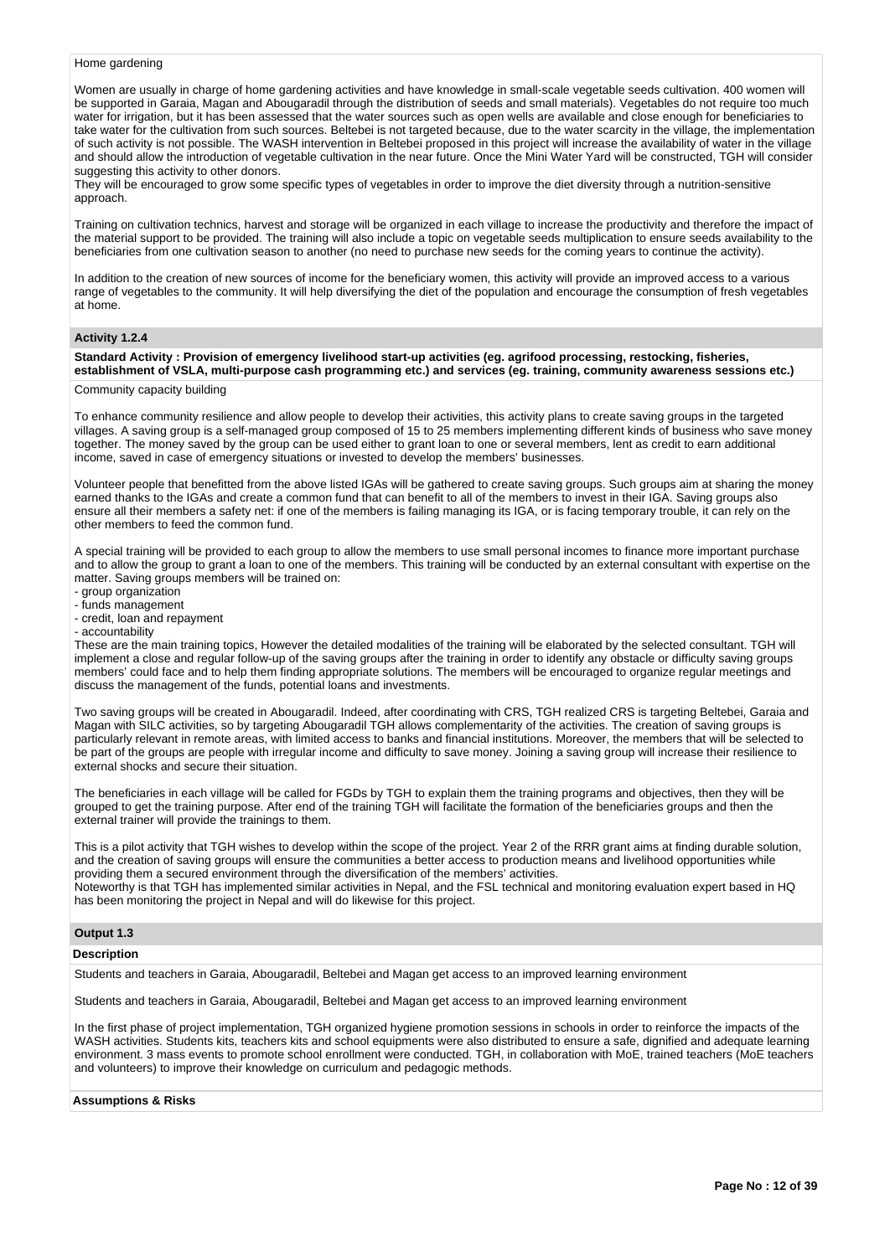#### Home gardening

Women are usually in charge of home gardening activities and have knowledge in small-scale vegetable seeds cultivation. 400 women will be supported in Garaia, Magan and Abougaradil through the distribution of seeds and small materials). Vegetables do not require too much water for irrigation, but it has been assessed that the water sources such as open wells are available and close enough for beneficiaries to take water for the cultivation from such sources. Beltebei is not targeted because, due to the water scarcity in the village, the implementation of such activity is not possible. The WASH intervention in Beltebei proposed in this project will increase the availability of water in the village and should allow the introduction of vegetable cultivation in the near future. Once the Mini Water Yard will be constructed, TGH will consider suggesting this activity to other donors.

They will be encouraged to grow some specific types of vegetables in order to improve the diet diversity through a nutrition-sensitive approach.

Training on cultivation technics, harvest and storage will be organized in each village to increase the productivity and therefore the impact of the material support to be provided. The training will also include a topic on vegetable seeds multiplication to ensure seeds availability to the beneficiaries from one cultivation season to another (no need to purchase new seeds for the coming years to continue the activity).

In addition to the creation of new sources of income for the beneficiary women, this activity will provide an improved access to a various range of vegetables to the community. It will help diversifying the diet of the population and encourage the consumption of fresh vegetables at home.

#### **Activity 1.2.4**

## **Standard Activity : Provision of emergency livelihood start-up activities (eg. agrifood processing, restocking, fisheries, establishment of VSLA, multi-purpose cash programming etc.) and services (eg. training, community awareness sessions etc.)**

#### Community capacity building

To enhance community resilience and allow people to develop their activities, this activity plans to create saving groups in the targeted villages. A saving group is a self-managed group composed of 15 to 25 members implementing different kinds of business who save money together. The money saved by the group can be used either to grant loan to one or several members, lent as credit to earn additional income, saved in case of emergency situations or invested to develop the members' businesses.

Volunteer people that benefitted from the above listed IGAs will be gathered to create saving groups. Such groups aim at sharing the money earned thanks to the IGAs and create a common fund that can benefit to all of the members to invest in their IGA. Saving groups also ensure all their members a safety net: if one of the members is failing managing its IGA, or is facing temporary trouble, it can rely on the other members to feed the common fund.

A special training will be provided to each group to allow the members to use small personal incomes to finance more important purchase and to allow the group to grant a loan to one of the members. This training will be conducted by an external consultant with expertise on the matter. Saving groups members will be trained on:

- group organization
- funds management
- credit, loan and repayment
- accountability

These are the main training topics, However the detailed modalities of the training will be elaborated by the selected consultant. TGH will implement a close and regular follow-up of the saving groups after the training in order to identify any obstacle or difficulty saving groups members' could face and to help them finding appropriate solutions. The members will be encouraged to organize regular meetings and discuss the management of the funds, potential loans and investments.

Two saving groups will be created in Abougaradil. Indeed, after coordinating with CRS, TGH realized CRS is targeting Beltebei, Garaia and Magan with SILC activities, so by targeting Abougaradil TGH allows complementarity of the activities. The creation of saving groups is particularly relevant in remote areas, with limited access to banks and financial institutions. Moreover, the members that will be selected to be part of the groups are people with irregular income and difficulty to save money. Joining a saving group will increase their resilience to external shocks and secure their situation.

The beneficiaries in each village will be called for FGDs by TGH to explain them the training programs and objectives, then they will be grouped to get the training purpose. After end of the training TGH will facilitate the formation of the beneficiaries groups and then the external trainer will provide the trainings to them.

This is a pilot activity that TGH wishes to develop within the scope of the project. Year 2 of the RRR grant aims at finding durable solution, and the creation of saving groups will ensure the communities a better access to production means and livelihood opportunities while providing them a secured environment through the diversification of the members' activities. Noteworthy is that TGH has implemented similar activities in Nepal, and the FSL technical and monitoring evaluation expert based in HQ has been monitoring the project in Nepal and will do likewise for this project.

#### **Output 1.3**

## **Description**

Students and teachers in Garaia, Abougaradil, Beltebei and Magan get access to an improved learning environment

Students and teachers in Garaia, Abougaradil, Beltebei and Magan get access to an improved learning environment

In the first phase of project implementation, TGH organized hygiene promotion sessions in schools in order to reinforce the impacts of the WASH activities. Students kits, teachers kits and school equipments were also distributed to ensure a safe, dignified and adequate learning environment. 3 mass events to promote school enrollment were conducted. TGH, in collaboration with MoE, trained teachers (MoE teachers and volunteers) to improve their knowledge on curriculum and pedagogic methods.

## **Assumptions & Risks**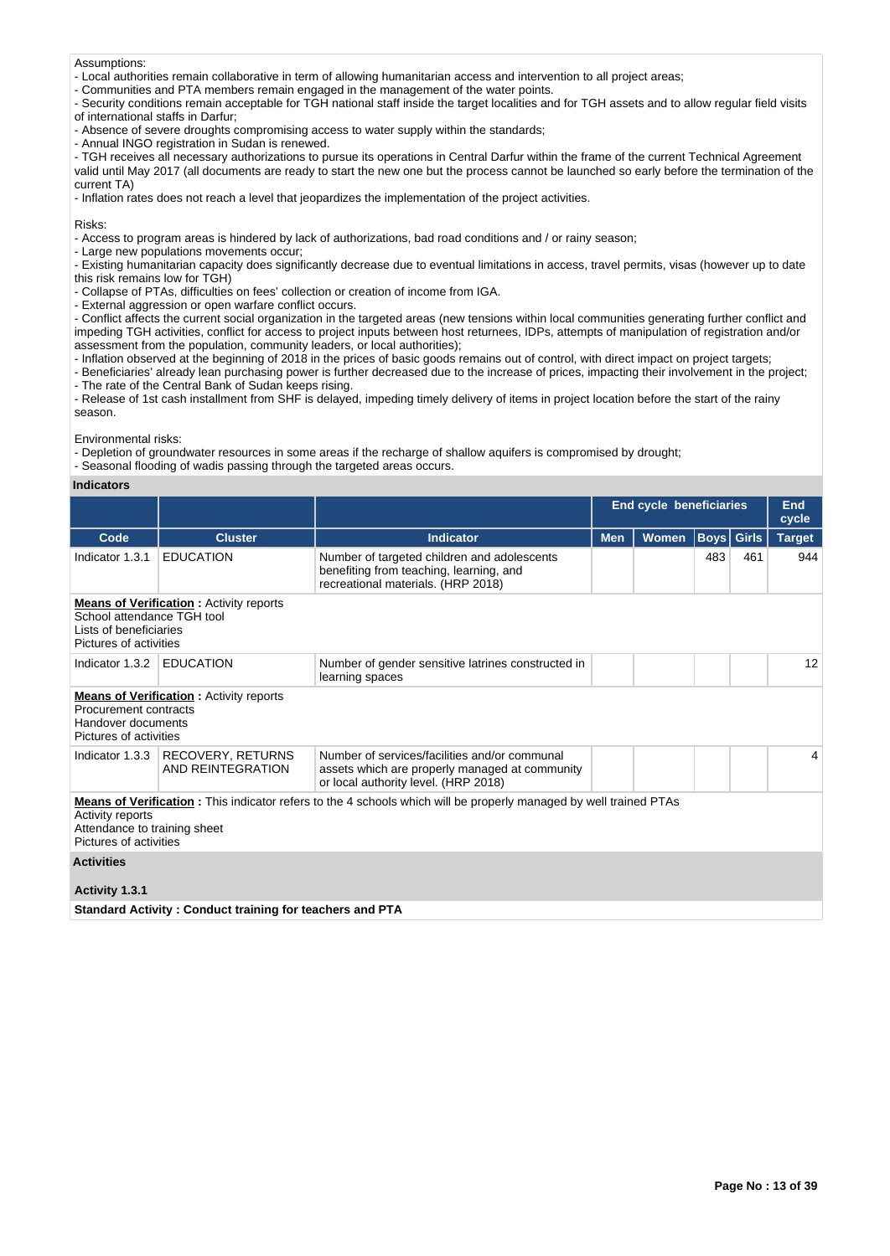#### Assumptions:

- Local authorities remain collaborative in term of allowing humanitarian access and intervention to all project areas;

- Communities and PTA members remain engaged in the management of the water points.

- Security conditions remain acceptable for TGH national staff inside the target localities and for TGH assets and to allow regular field visits of international staffs in Darfur;

- Absence of severe droughts compromising access to water supply within the standards;

- Annual INGO registration in Sudan is renewed.

- TGH receives all necessary authorizations to pursue its operations in Central Darfur within the frame of the current Technical Agreement valid until May 2017 (all documents are ready to start the new one but the process cannot be launched so early before the termination of the current TA)

- Inflation rates does not reach a level that jeopardizes the implementation of the project activities.

Risks:

- Access to program areas is hindered by lack of authorizations, bad road conditions and / or rainy season;

- Large new populations movements occur;

- Existing humanitarian capacity does significantly decrease due to eventual limitations in access, travel permits, visas (however up to date this risk remains low for TGH)

- Collapse of PTAs, difficulties on fees' collection or creation of income from IGA.

- External aggression or open warfare conflict occurs.

- Conflict affects the current social organization in the targeted areas (new tensions within local communities generating further conflict and impeding TGH activities, conflict for access to project inputs between host returnees, IDPs, attempts of manipulation of registration and/or assessment from the population, community leaders, or local authorities);

- Inflation observed at the beginning of 2018 in the prices of basic goods remains out of control, with direct impact on project targets;

- Beneficiaries' already lean purchasing power is further decreased due to the increase of prices, impacting their involvement in the project; - The rate of the Central Bank of Sudan keeps rising.

- Release of 1st cash installment from SHF is delayed, impeding timely delivery of items in project location before the start of the rainy season.

Environmental risks:

- Depletion of groundwater resources in some areas if the recharge of shallow aquifers is compromised by drought;

- Seasonal flooding of wadis passing through the targeted areas occurs.

#### **Indicators**

|                                                                                                                                  |                                                          |                                                                                                                                         | <b>End cycle beneficiaries</b> | <b>End</b><br>cycle |     |                   |               |  |  |
|----------------------------------------------------------------------------------------------------------------------------------|----------------------------------------------------------|-----------------------------------------------------------------------------------------------------------------------------------------|--------------------------------|---------------------|-----|-------------------|---------------|--|--|
| Code                                                                                                                             | <b>Cluster</b>                                           | <b>Indicator</b>                                                                                                                        | Men                            | <b>Women</b>        |     | <b>Boys</b> Girls | <b>Target</b> |  |  |
| Indicator 1.3.1                                                                                                                  | <b>EDUCATION</b>                                         | Number of targeted children and adolescents<br>benefiting from teaching, learning, and<br>recreational materials. (HRP 2018)            |                                |                     | 483 | 461               | 944           |  |  |
| <b>Means of Verification:</b> Activity reports<br>School attendance TGH tool<br>Lists of beneficiaries<br>Pictures of activities |                                                          |                                                                                                                                         |                                |                     |     |                   |               |  |  |
| Indicator 1.3.2                                                                                                                  | <b>EDUCATION</b>                                         | Number of gender sensitive latrines constructed in<br>learning spaces                                                                   |                                |                     |     |                   | 12            |  |  |
| <b>Means of Verification: Activity reports</b><br>Procurement contracts<br>Handover documents<br>Pictures of activities          |                                                          |                                                                                                                                         |                                |                     |     |                   |               |  |  |
| Indicator 1.3.3                                                                                                                  | <b>RECOVERY, RETURNS</b><br>AND REINTEGRATION            | Number of services/facilities and/or communal<br>assets which are properly managed at community<br>or local authority level. (HRP 2018) |                                |                     |     |                   | 4             |  |  |
| Activity reports<br>Attendance to training sheet<br>Pictures of activities                                                       |                                                          | <b>Means of Verification</b> : This indicator refers to the 4 schools which will be properly managed by well trained PTAs               |                                |                     |     |                   |               |  |  |
| <b>Activities</b>                                                                                                                |                                                          |                                                                                                                                         |                                |                     |     |                   |               |  |  |
| Activity 1.3.1                                                                                                                   |                                                          |                                                                                                                                         |                                |                     |     |                   |               |  |  |
|                                                                                                                                  | Standard Activity: Conduct training for teachers and PTA |                                                                                                                                         |                                |                     |     |                   |               |  |  |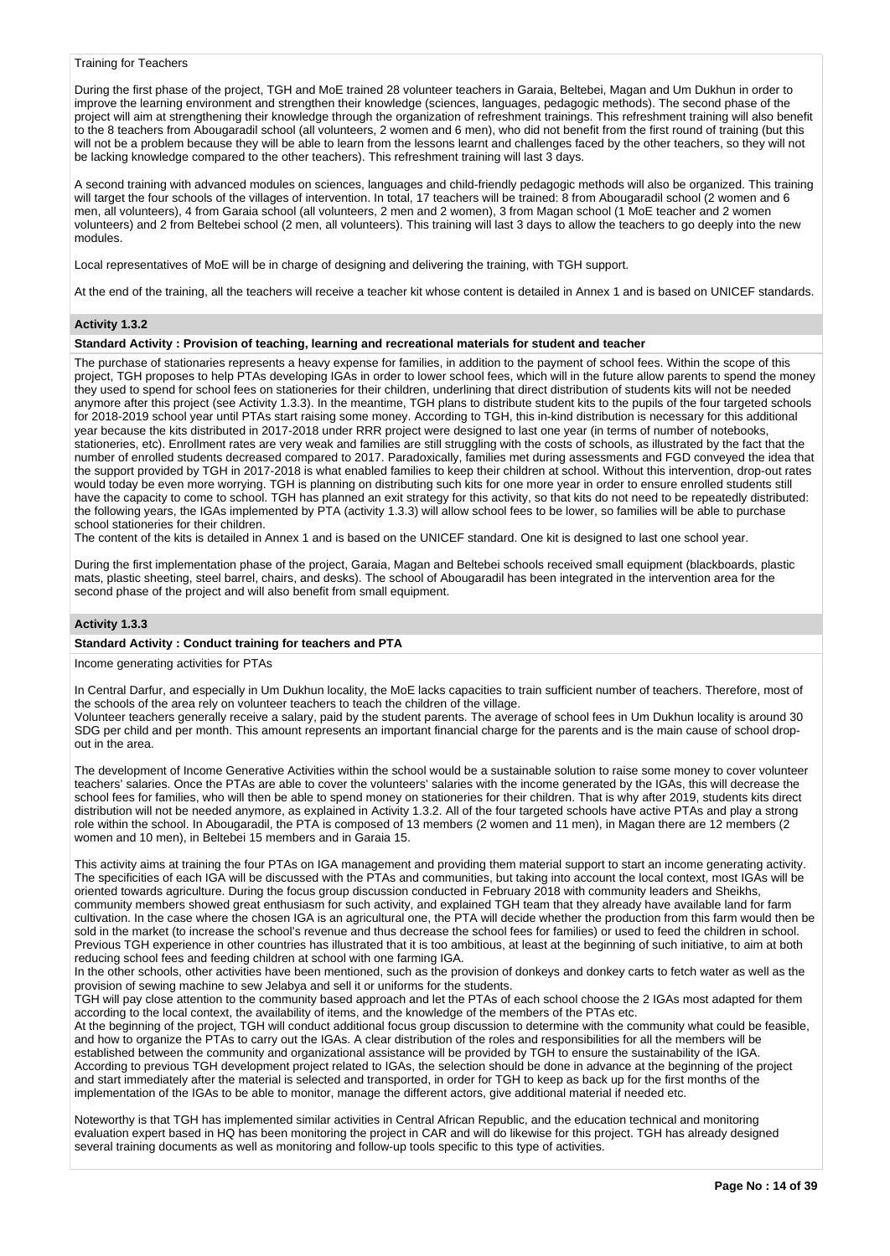#### Training for Teachers

During the first phase of the project, TGH and MoE trained 28 volunteer teachers in Garaia, Beltebei, Magan and Um Dukhun in order to improve the learning environment and strengthen their knowledge (sciences, languages, pedagogic methods). The second phase of the project will aim at strengthening their knowledge through the organization of refreshment trainings. This refreshment training will also benefit to the 8 teachers from Abougaradil school (all volunteers, 2 women and 6 men), who did not benefit from the first round of training (but this will not be a problem because they will be able to learn from the lessons learnt and challenges faced by the other teachers, so they will not be lacking knowledge compared to the other teachers). This refreshment training will last 3 days.

A second training with advanced modules on sciences, languages and child-friendly pedagogic methods will also be organized. This training will target the four schools of the villages of intervention. In total, 17 teachers will be trained: 8 from Abougaradil school (2 women and 6 men, all volunteers), 4 from Garaia school (all volunteers, 2 men and 2 women), 3 from Magan school (1 MoE teacher and 2 women volunteers) and 2 from Beltebei school (2 men, all volunteers). This training will last 3 days to allow the teachers to go deeply into the new modules.

Local representatives of MoE will be in charge of designing and delivering the training, with TGH support.

At the end of the training, all the teachers will receive a teacher kit whose content is detailed in Annex 1 and is based on UNICEF standards.

## **Activity 1.3.2**

#### **Standard Activity : Provision of teaching, learning and recreational materials for student and teacher**

The purchase of stationaries represents a heavy expense for families, in addition to the payment of school fees. Within the scope of this project, TGH proposes to help PTAs developing IGAs in order to lower school fees, which will in the future allow parents to spend the money they used to spend for school fees on stationeries for their children, underlining that direct distribution of students kits will not be needed anymore after this project (see Activity 1.3.3). In the meantime, TGH plans to distribute student kits to the pupils of the four targeted schools for 2018-2019 school year until PTAs start raising some money. According to TGH, this in-kind distribution is necessary for this additional year because the kits distributed in 2017-2018 under RRR project were designed to last one year (in terms of number of notebooks, stationeries, etc). Enrollment rates are very weak and families are still struggling with the costs of schools, as illustrated by the fact that the number of enrolled students decreased compared to 2017. Paradoxically, families met during assessments and FGD conveyed the idea that the support provided by TGH in 2017-2018 is what enabled families to keep their children at school. Without this intervention, drop-out rates would today be even more worrying. TGH is planning on distributing such kits for one more year in order to ensure enrolled students still have the capacity to come to school. TGH has planned an exit strategy for this activity, so that kits do not need to be repeatedly distributed: the following years, the IGAs implemented by PTA (activity 1.3.3) will allow school fees to be lower, so families will be able to purchase school stationeries for their children.

The content of the kits is detailed in Annex 1 and is based on the UNICEF standard. One kit is designed to last one school year.

During the first implementation phase of the project, Garaia, Magan and Beltebei schools received small equipment (blackboards, plastic mats, plastic sheeting, steel barrel, chairs, and desks). The school of Abougaradil has been integrated in the intervention area for the second phase of the project and will also benefit from small equipment.

## **Activity 1.3.3**

#### **Standard Activity : Conduct training for teachers and PTA**

Income generating activities for PTAs

In Central Darfur, and especially in Um Dukhun locality, the MoE lacks capacities to train sufficient number of teachers. Therefore, most of the schools of the area rely on volunteer teachers to teach the children of the village.

Volunteer teachers generally receive a salary, paid by the student parents. The average of school fees in Um Dukhun locality is around 30 SDG per child and per month. This amount represents an important financial charge for the parents and is the main cause of school dropout in the area.

The development of Income Generative Activities within the school would be a sustainable solution to raise some money to cover volunteer teachers' salaries. Once the PTAs are able to cover the volunteers' salaries with the income generated by the IGAs, this will decrease the school fees for families, who will then be able to spend money on stationeries for their children. That is why after 2019, students kits direct distribution will not be needed anymore, as explained in Activity 1.3.2. All of the four targeted schools have active PTAs and play a strong role within the school. In Abougaradil, the PTA is composed of 13 members (2 women and 11 men), in Magan there are 12 members (2 women and 10 men), in Beltebei 15 members and in Garaia 15.

This activity aims at training the four PTAs on IGA management and providing them material support to start an income generating activity. The specificities of each IGA will be discussed with the PTAs and communities, but taking into account the local context, most IGAs will be oriented towards agriculture. During the focus group discussion conducted in February 2018 with community leaders and Sheikhs, community members showed great enthusiasm for such activity, and explained TGH team that they already have available land for farm cultivation. In the case where the chosen IGA is an agricultural one, the PTA will decide whether the production from this farm would then be sold in the market (to increase the school's revenue and thus decrease the school fees for families) or used to feed the children in school. Previous TGH experience in other countries has illustrated that it is too ambitious, at least at the beginning of such initiative, to aim at both reducing school fees and feeding children at school with one farming IGA.

In the other schools, other activities have been mentioned, such as the provision of donkeys and donkey carts to fetch water as well as the provision of sewing machine to sew Jelabya and sell it or uniforms for the students.

TGH will pay close attention to the community based approach and let the PTAs of each school choose the 2 IGAs most adapted for them according to the local context, the availability of items, and the knowledge of the members of the PTAs etc.

At the beginning of the project, TGH will conduct additional focus group discussion to determine with the community what could be feasible, and how to organize the PTAs to carry out the IGAs. A clear distribution of the roles and responsibilities for all the members will be established between the community and organizational assistance will be provided by TGH to ensure the sustainability of the IGA. According to previous TGH development project related to IGAs, the selection should be done in advance at the beginning of the project and start immediately after the material is selected and transported, in order for TGH to keep as back up for the first months of the implementation of the IGAs to be able to monitor, manage the different actors, give additional material if needed etc.

Noteworthy is that TGH has implemented similar activities in Central African Republic, and the education technical and monitoring evaluation expert based in HQ has been monitoring the project in CAR and will do likewise for this project. TGH has already designed several training documents as well as monitoring and follow-up tools specific to this type of activities.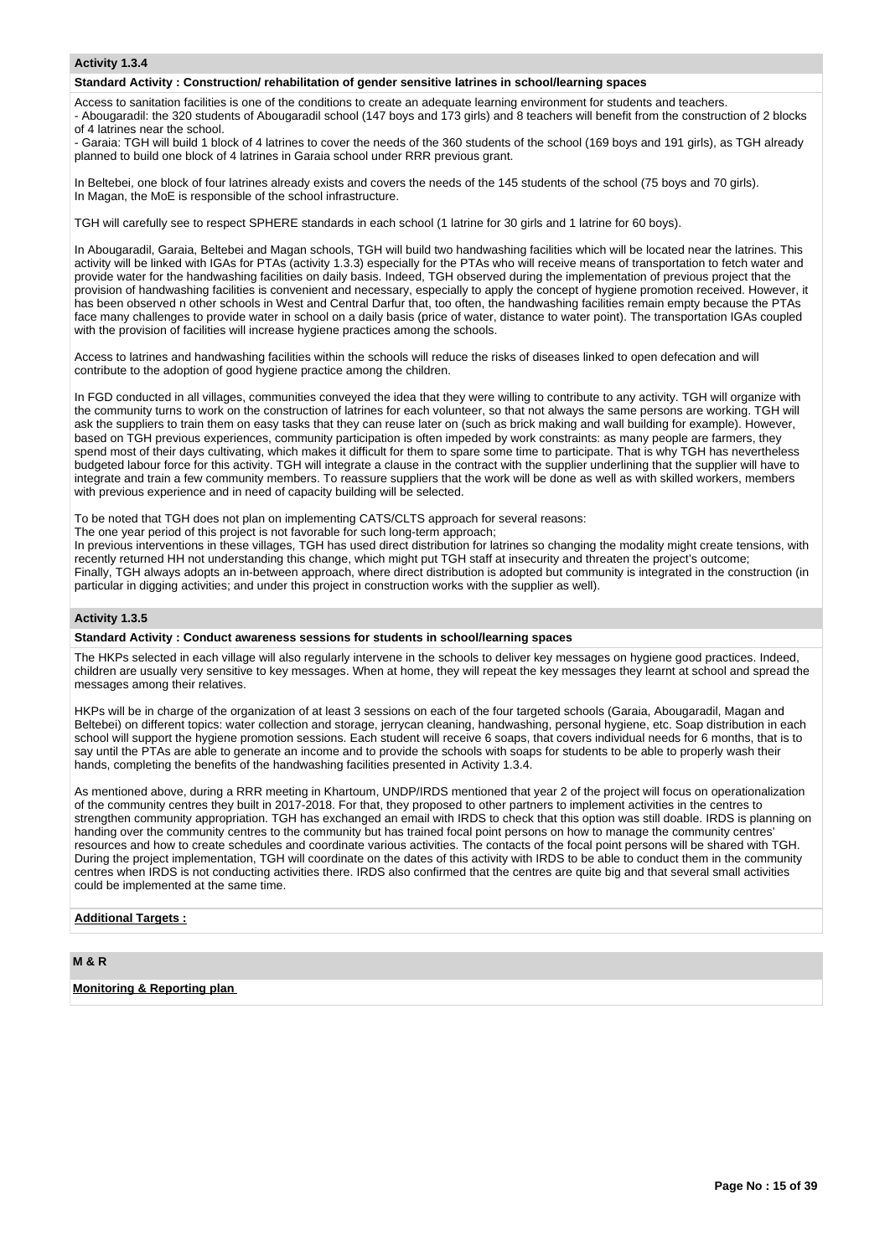## **Activity 1.3.4**

#### **Standard Activity : Construction/ rehabilitation of gender sensitive latrines in school/learning spaces**

Access to sanitation facilities is one of the conditions to create an adequate learning environment for students and teachers. - Abougaradil: the 320 students of Abougaradil school (147 boys and 173 girls) and 8 teachers will benefit from the construction of 2 blocks of 4 latrines near the school.

- Garaia: TGH will build 1 block of 4 latrines to cover the needs of the 360 students of the school (169 boys and 191 girls), as TGH already planned to build one block of 4 latrines in Garaia school under RRR previous grant.

In Beltebei, one block of four latrines already exists and covers the needs of the 145 students of the school (75 boys and 70 girls). In Magan, the MoE is responsible of the school infrastructure.

TGH will carefully see to respect SPHERE standards in each school (1 latrine for 30 girls and 1 latrine for 60 boys).

In Abougaradil, Garaia, Beltebei and Magan schools, TGH will build two handwashing facilities which will be located near the latrines. This activity will be linked with IGAs for PTAs (activity 1.3.3) especially for the PTAs who will receive means of transportation to fetch water and provide water for the handwashing facilities on daily basis. Indeed, TGH observed during the implementation of previous project that the provision of handwashing facilities is convenient and necessary, especially to apply the concept of hygiene promotion received. However, it has been observed n other schools in West and Central Darfur that, too often, the handwashing facilities remain empty because the PTAs face many challenges to provide water in school on a daily basis (price of water, distance to water point). The transportation IGAs coupled with the provision of facilities will increase hygiene practices among the schools.

Access to latrines and handwashing facilities within the schools will reduce the risks of diseases linked to open defecation and will contribute to the adoption of good hygiene practice among the children.

In FGD conducted in all villages, communities conveyed the idea that they were willing to contribute to any activity. TGH will organize with the community turns to work on the construction of latrines for each volunteer, so that not always the same persons are working. TGH will ask the suppliers to train them on easy tasks that they can reuse later on (such as brick making and wall building for example). However, based on TGH previous experiences, community participation is often impeded by work constraints: as many people are farmers, they spend most of their days cultivating, which makes it difficult for them to spare some time to participate. That is why TGH has nevertheless budgeted labour force for this activity. TGH will integrate a clause in the contract with the supplier underlining that the supplier will have to integrate and train a few community members. To reassure suppliers that the work will be done as well as with skilled workers, members with previous experience and in need of capacity building will be selected.

To be noted that TGH does not plan on implementing CATS/CLTS approach for several reasons:

The one year period of this project is not favorable for such long-term approach;

In previous interventions in these villages, TGH has used direct distribution for latrines so changing the modality might create tensions, with recently returned HH not understanding this change, which might put TGH staff at insecurity and threaten the project's outcome; Finally, TGH always adopts an in-between approach, where direct distribution is adopted but community is integrated in the construction (in particular in digging activities; and under this project in construction works with the supplier as well).

## **Activity 1.3.5**

## **Standard Activity : Conduct awareness sessions for students in school/learning spaces**

The HKPs selected in each village will also regularly intervene in the schools to deliver key messages on hygiene good practices. Indeed, children are usually very sensitive to key messages. When at home, they will repeat the key messages they learnt at school and spread the messages among their relatives.

HKPs will be in charge of the organization of at least 3 sessions on each of the four targeted schools (Garaia, Abougaradil, Magan and Beltebei) on different topics: water collection and storage, jerrycan cleaning, handwashing, personal hygiene, etc. Soap distribution in each school will support the hygiene promotion sessions. Each student will receive 6 soaps, that covers individual needs for 6 months, that is to say until the PTAs are able to generate an income and to provide the schools with soaps for students to be able to properly wash their hands, completing the benefits of the handwashing facilities presented in Activity 1.3.4.

As mentioned above, during a RRR meeting in Khartoum, UNDP/IRDS mentioned that year 2 of the project will focus on operationalization of the community centres they built in 2017-2018. For that, they proposed to other partners to implement activities in the centres to strengthen community appropriation. TGH has exchanged an email with IRDS to check that this option was still doable. IRDS is planning on handing over the community centres to the community but has trained focal point persons on how to manage the community centres' resources and how to create schedules and coordinate various activities. The contacts of the focal point persons will be shared with TGH. During the project implementation, TGH will coordinate on the dates of this activity with IRDS to be able to conduct them in the community centres when IRDS is not conducting activities there. IRDS also confirmed that the centres are quite big and that several small activities could be implemented at the same time.

## **Additional Targets :**

# **M & R**

**Monitoring & Reporting plan**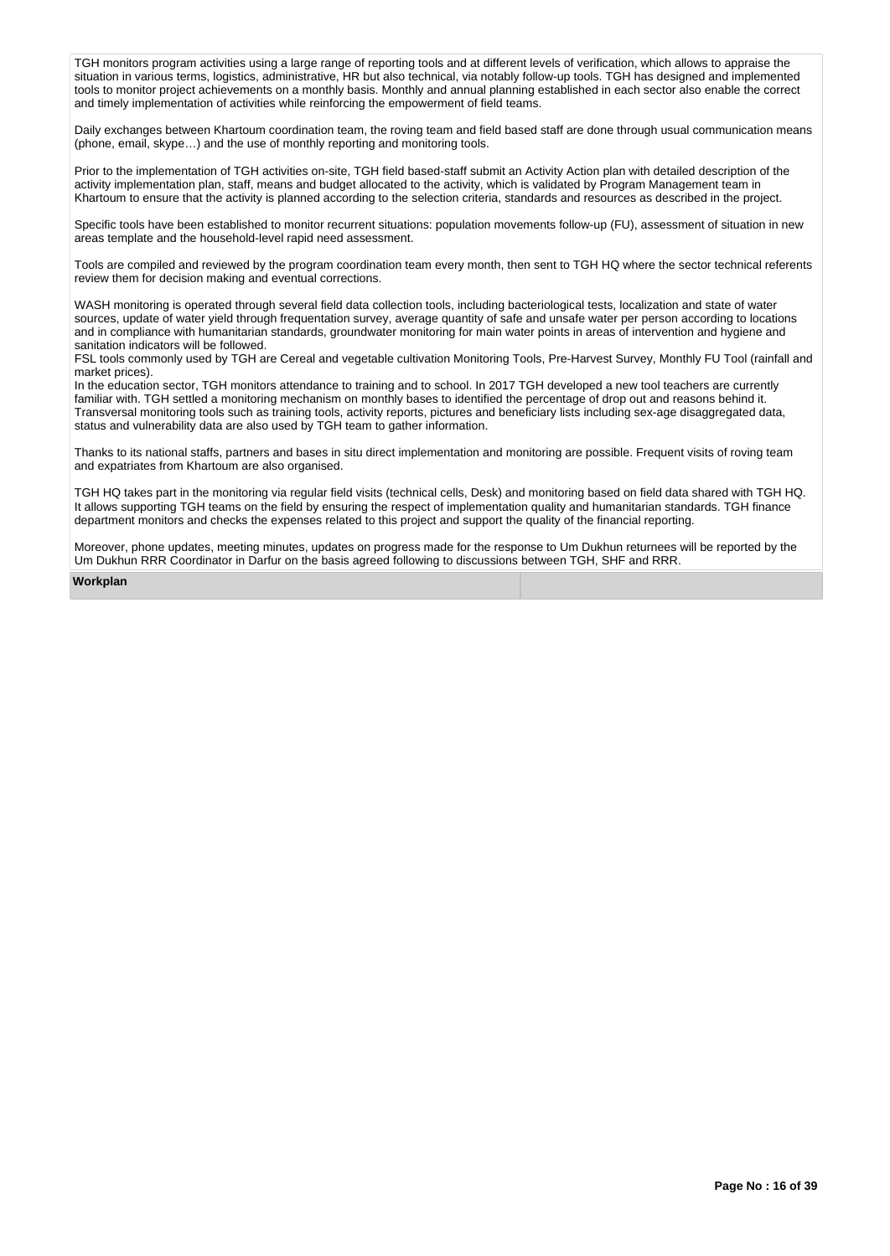TGH monitors program activities using a large range of reporting tools and at different levels of verification, which allows to appraise the situation in various terms, logistics, administrative, HR but also technical, via notably follow-up tools. TGH has designed and implemented tools to monitor project achievements on a monthly basis. Monthly and annual planning established in each sector also enable the correct and timely implementation of activities while reinforcing the empowerment of field teams.

Daily exchanges between Khartoum coordination team, the roving team and field based staff are done through usual communication means (phone, email, skype…) and the use of monthly reporting and monitoring tools.

Prior to the implementation of TGH activities on-site, TGH field based-staff submit an Activity Action plan with detailed description of the activity implementation plan, staff, means and budget allocated to the activity, which is validated by Program Management team in Khartoum to ensure that the activity is planned according to the selection criteria, standards and resources as described in the project.

Specific tools have been established to monitor recurrent situations: population movements follow-up (FU), assessment of situation in new areas template and the household-level rapid need assessment.

Tools are compiled and reviewed by the program coordination team every month, then sent to TGH HQ where the sector technical referents review them for decision making and eventual corrections.

WASH monitoring is operated through several field data collection tools, including bacteriological tests, localization and state of water sources, update of water yield through frequentation survey, average quantity of safe and unsafe water per person according to locations and in compliance with humanitarian standards, groundwater monitoring for main water points in areas of intervention and hygiene and sanitation indicators will be followed.

FSL tools commonly used by TGH are Cereal and vegetable cultivation Monitoring Tools, Pre-Harvest Survey, Monthly FU Tool (rainfall and market prices).

In the education sector, TGH monitors attendance to training and to school. In 2017 TGH developed a new tool teachers are currently familiar with. TGH settled a monitoring mechanism on monthly bases to identified the percentage of drop out and reasons behind it. Transversal monitoring tools such as training tools, activity reports, pictures and beneficiary lists including sex-age disaggregated data, status and vulnerability data are also used by TGH team to gather information.

Thanks to its national staffs, partners and bases in situ direct implementation and monitoring are possible. Frequent visits of roving team and expatriates from Khartoum are also organised.

TGH HQ takes part in the monitoring via regular field visits (technical cells, Desk) and monitoring based on field data shared with TGH HQ. It allows supporting TGH teams on the field by ensuring the respect of implementation quality and humanitarian standards. TGH finance department monitors and checks the expenses related to this project and support the quality of the financial reporting.

Moreover, phone updates, meeting minutes, updates on progress made for the response to Um Dukhun returnees will be reported by the Um Dukhun RRR Coordinator in Darfur on the basis agreed following to discussions between TGH, SHF and RRR.

# **Workplan**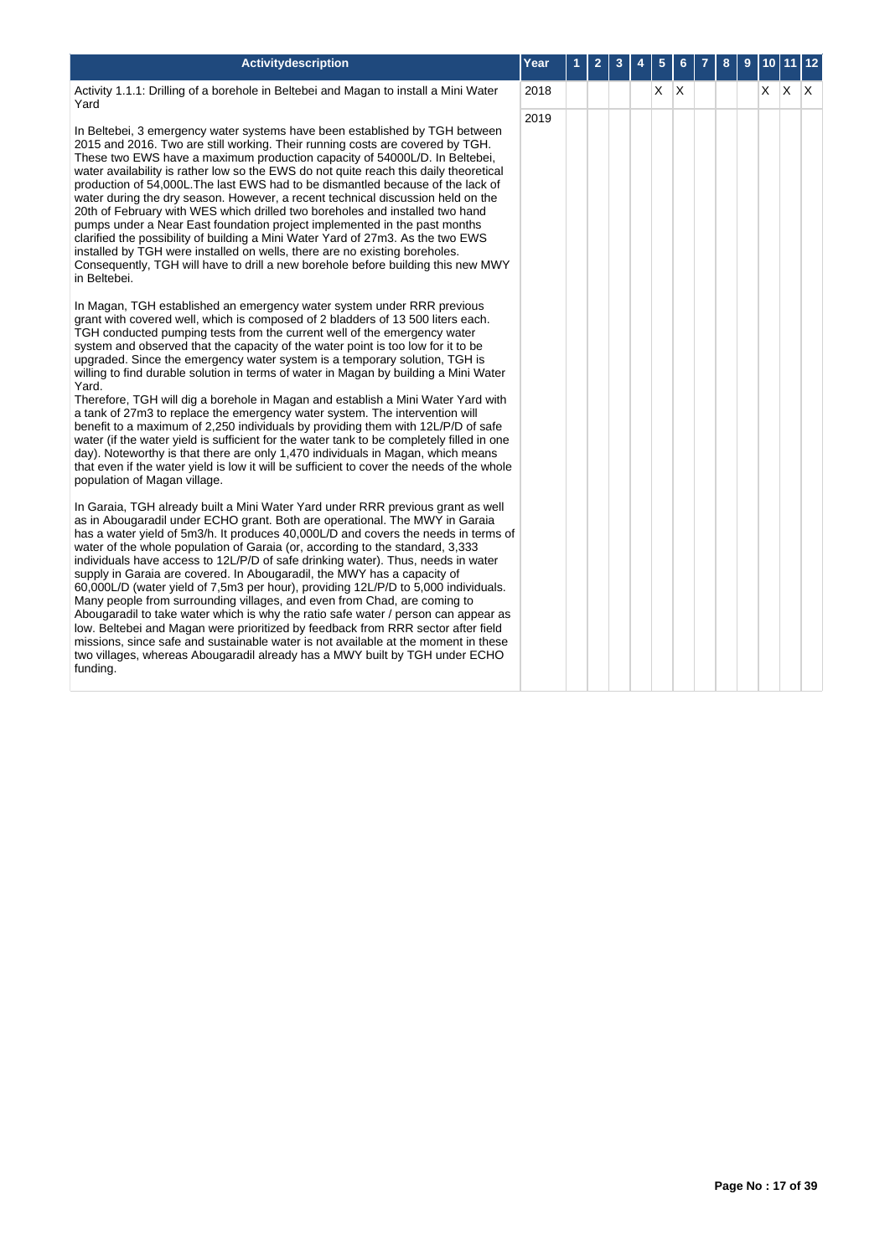| <b>Activitydescription</b>                                                                                                                                                                                                                                                                                                                                                                                                                                                                                                                                                                                                                                                                                                                                                                                                                                                                                                                                                                                                                                                   | Year | 2 | 3 | 5  |   | 8 | 9 |       | $ 12\rangle$ |
|------------------------------------------------------------------------------------------------------------------------------------------------------------------------------------------------------------------------------------------------------------------------------------------------------------------------------------------------------------------------------------------------------------------------------------------------------------------------------------------------------------------------------------------------------------------------------------------------------------------------------------------------------------------------------------------------------------------------------------------------------------------------------------------------------------------------------------------------------------------------------------------------------------------------------------------------------------------------------------------------------------------------------------------------------------------------------|------|---|---|----|---|---|---|-------|--------------|
| Activity 1.1.1: Drilling of a borehole in Beltebei and Magan to install a Mini Water<br>Yard                                                                                                                                                                                                                                                                                                                                                                                                                                                                                                                                                                                                                                                                                                                                                                                                                                                                                                                                                                                 | 2018 |   |   | X. | X |   |   | X X X |              |
| In Beltebei, 3 emergency water systems have been established by TGH between<br>2015 and 2016. Two are still working. Their running costs are covered by TGH.<br>These two EWS have a maximum production capacity of 54000L/D. In Beltebei,<br>water availability is rather low so the EWS do not quite reach this daily theoretical<br>production of 54,000L. The last EWS had to be dismantled because of the lack of<br>water during the dry season. However, a recent technical discussion held on the<br>20th of February with WES which drilled two boreholes and installed two hand<br>pumps under a Near East foundation project implemented in the past months<br>clarified the possibility of building a Mini Water Yard of 27m3. As the two EWS<br>installed by TGH were installed on wells, there are no existing boreholes.<br>Consequently, TGH will have to drill a new borehole before building this new MWY<br>in Beltebei.                                                                                                                                  | 2019 |   |   |    |   |   |   |       |              |
| In Magan, TGH established an emergency water system under RRR previous<br>grant with covered well, which is composed of 2 bladders of 13 500 liters each.<br>TGH conducted pumping tests from the current well of the emergency water<br>system and observed that the capacity of the water point is too low for it to be<br>upgraded. Since the emergency water system is a temporary solution, TGH is<br>willing to find durable solution in terms of water in Magan by building a Mini Water<br>Yard.<br>Therefore, TGH will dig a borehole in Magan and establish a Mini Water Yard with<br>a tank of 27m3 to replace the emergency water system. The intervention will<br>benefit to a maximum of 2,250 individuals by providing them with 12L/P/D of safe<br>water (if the water yield is sufficient for the water tank to be completely filled in one<br>day). Noteworthy is that there are only 1,470 individuals in Magan, which means<br>that even if the water yield is low it will be sufficient to cover the needs of the whole<br>population of Magan village. |      |   |   |    |   |   |   |       |              |
| In Garaia, TGH already built a Mini Water Yard under RRR previous grant as well<br>as in Abougaradil under ECHO grant. Both are operational. The MWY in Garaia<br>has a water yield of 5m3/h. It produces 40,000L/D and covers the needs in terms of<br>water of the whole population of Garaia (or, according to the standard, 3,333<br>individuals have access to 12L/P/D of safe drinking water). Thus, needs in water<br>supply in Garaia are covered. In Abougaradil, the MWY has a capacity of<br>60,000L/D (water yield of 7,5m3 per hour), providing 12L/P/D to 5,000 individuals.<br>Many people from surrounding villages, and even from Chad, are coming to<br>Abougaradil to take water which is why the ratio safe water / person can appear as<br>low. Beltebei and Magan were prioritized by feedback from RRR sector after field<br>missions, since safe and sustainable water is not available at the moment in these<br>two villages, whereas Abougaradil already has a MWY built by TGH under ECHO<br>funding.                                            |      |   |   |    |   |   |   |       |              |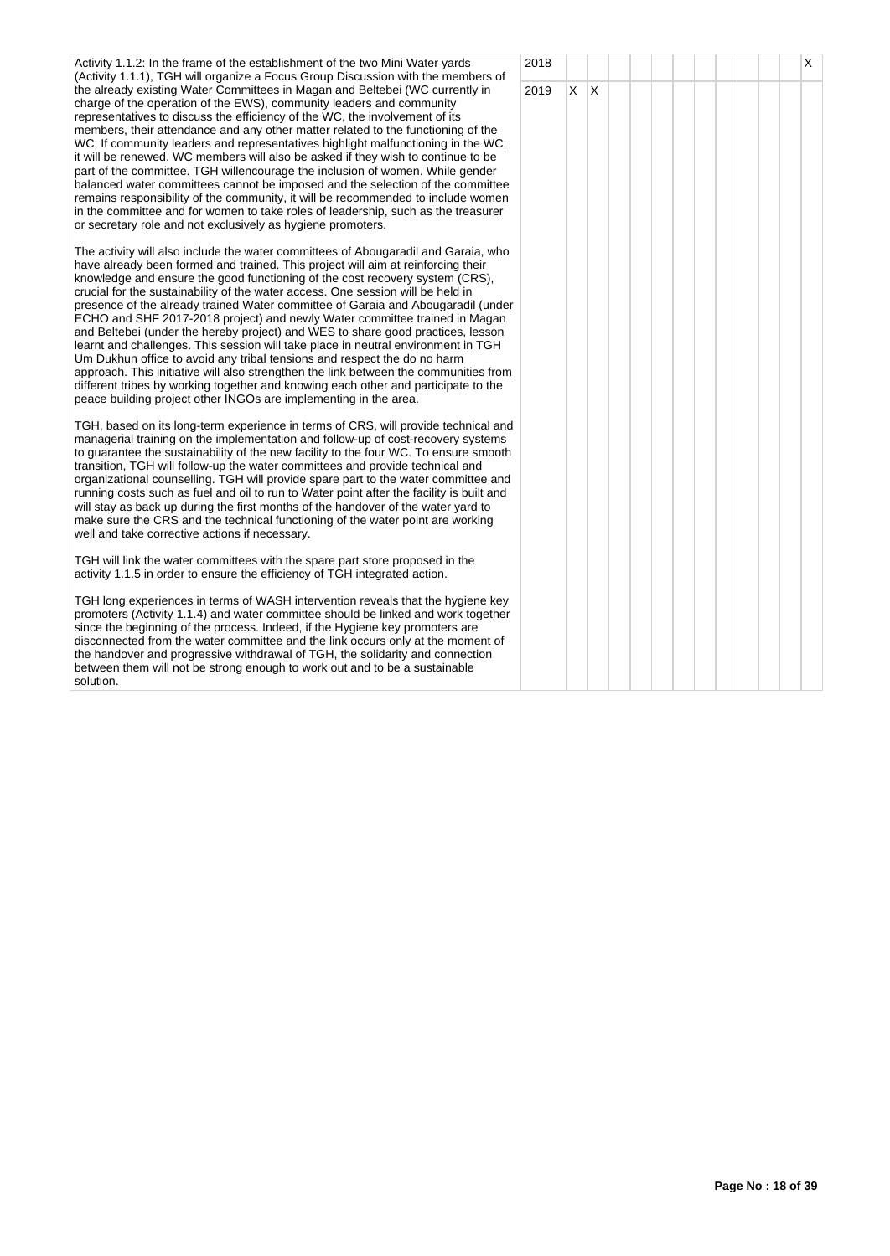| Activity 1.1.2: In the frame of the establishment of the two Mini Water yards<br>(Activity 1.1.1), TGH will organize a Focus Group Discussion with the members of                                                                                                                                                                                                                                                                                                                                                                                                                                                                                                                                                                                                                                                                                                                                                                                                                                                 | 2018 |    |     |  |  |  | Χ |
|-------------------------------------------------------------------------------------------------------------------------------------------------------------------------------------------------------------------------------------------------------------------------------------------------------------------------------------------------------------------------------------------------------------------------------------------------------------------------------------------------------------------------------------------------------------------------------------------------------------------------------------------------------------------------------------------------------------------------------------------------------------------------------------------------------------------------------------------------------------------------------------------------------------------------------------------------------------------------------------------------------------------|------|----|-----|--|--|--|---|
| the already existing Water Committees in Magan and Beltebei (WC currently in<br>charge of the operation of the EWS), community leaders and community<br>representatives to discuss the efficiency of the WC, the involvement of its<br>members, their attendance and any other matter related to the functioning of the<br>WC. If community leaders and representatives highlight malfunctioning in the WC,<br>it will be renewed. WC members will also be asked if they wish to continue to be<br>part of the committee. TGH willencourage the inclusion of women. While gender<br>balanced water committees cannot be imposed and the selection of the committee<br>remains responsibility of the community, it will be recommended to include women<br>in the committee and for women to take roles of leadership, such as the treasurer<br>or secretary role and not exclusively as hygiene promoters.                                                                                                        | 2019 | X. | ΙX. |  |  |  |   |
| The activity will also include the water committees of Abougaradil and Garaia, who<br>have already been formed and trained. This project will aim at reinforcing their<br>knowledge and ensure the good functioning of the cost recovery system (CRS),<br>crucial for the sustainability of the water access. One session will be held in<br>presence of the already trained Water committee of Garaia and Abougaradil (under<br>ECHO and SHF 2017-2018 project) and newly Water committee trained in Magan<br>and Beltebei (under the hereby project) and WES to share good practices, lesson<br>learnt and challenges. This session will take place in neutral environment in TGH<br>Um Dukhun office to avoid any tribal tensions and respect the do no harm<br>approach. This initiative will also strengthen the link between the communities from<br>different tribes by working together and knowing each other and participate to the<br>peace building project other INGOs are implementing in the area. |      |    |     |  |  |  |   |
| TGH, based on its long-term experience in terms of CRS, will provide technical and<br>managerial training on the implementation and follow-up of cost-recovery systems<br>to guarantee the sustainability of the new facility to the four WC. To ensure smooth<br>transition, TGH will follow-up the water committees and provide technical and<br>organizational counselling. TGH will provide spare part to the water committee and<br>running costs such as fuel and oil to run to Water point after the facility is built and<br>will stay as back up during the first months of the handover of the water yard to<br>make sure the CRS and the technical functioning of the water point are working<br>well and take corrective actions if necessary.                                                                                                                                                                                                                                                        |      |    |     |  |  |  |   |
| TGH will link the water committees with the spare part store proposed in the<br>activity 1.1.5 in order to ensure the efficiency of TGH integrated action.                                                                                                                                                                                                                                                                                                                                                                                                                                                                                                                                                                                                                                                                                                                                                                                                                                                        |      |    |     |  |  |  |   |
| TGH long experiences in terms of WASH intervention reveals that the hygiene key<br>promoters (Activity 1.1.4) and water committee should be linked and work together<br>since the beginning of the process. Indeed, if the Hygiene key promoters are<br>disconnected from the water committee and the link occurs only at the moment of<br>the handover and progressive withdrawal of TGH, the solidarity and connection<br>between them will not be strong enough to work out and to be a sustainable<br>solution.                                                                                                                                                                                                                                                                                                                                                                                                                                                                                               |      |    |     |  |  |  |   |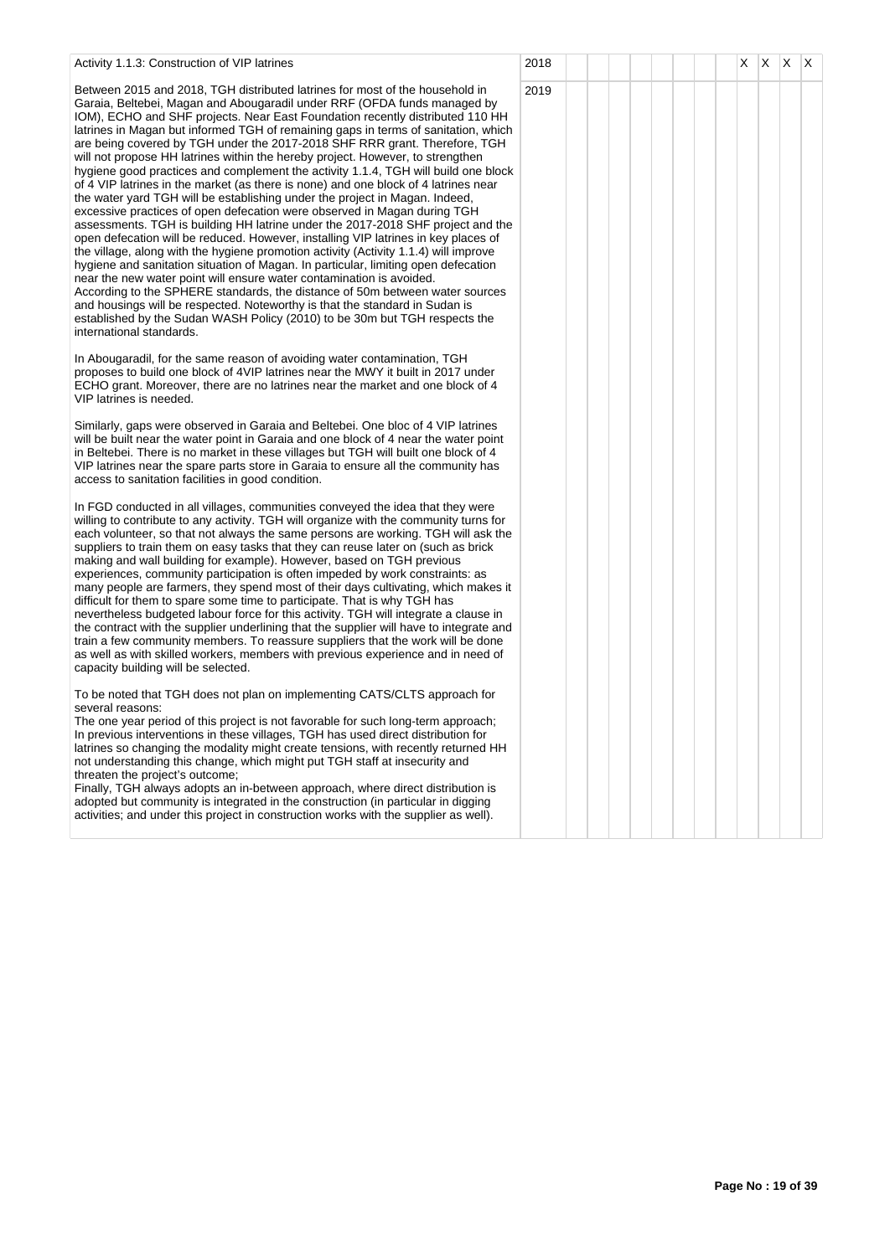| Activity 1.1.3: Construction of VIP latrines                                                                                                                                                                                                                                                                                                                                                                                                                                                                                                                                                                                                                                                                                                                                                                                                                                                                                                                                                                                                                                                                                                                                                                                                                                                                                                                                                                                                                                                                                                    | 2018 |  |  | X. | X. | $\mathsf{X} \mathsf{X}$ |  |
|-------------------------------------------------------------------------------------------------------------------------------------------------------------------------------------------------------------------------------------------------------------------------------------------------------------------------------------------------------------------------------------------------------------------------------------------------------------------------------------------------------------------------------------------------------------------------------------------------------------------------------------------------------------------------------------------------------------------------------------------------------------------------------------------------------------------------------------------------------------------------------------------------------------------------------------------------------------------------------------------------------------------------------------------------------------------------------------------------------------------------------------------------------------------------------------------------------------------------------------------------------------------------------------------------------------------------------------------------------------------------------------------------------------------------------------------------------------------------------------------------------------------------------------------------|------|--|--|----|----|-------------------------|--|
| Between 2015 and 2018, TGH distributed latrines for most of the household in<br>Garaia, Beltebei, Magan and Abougaradil under RRF (OFDA funds managed by<br>IOM), ECHO and SHF projects. Near East Foundation recently distributed 110 HH<br>latrines in Magan but informed TGH of remaining gaps in terms of sanitation, which<br>are being covered by TGH under the 2017-2018 SHF RRR grant. Therefore, TGH<br>will not propose HH latrines within the hereby project. However, to strengthen<br>hygiene good practices and complement the activity 1.1.4, TGH will build one block<br>of 4 VIP latrines in the market (as there is none) and one block of 4 latrines near<br>the water yard TGH will be establishing under the project in Magan. Indeed,<br>excessive practices of open defecation were observed in Magan during TGH<br>assessments. TGH is building HH latrine under the 2017-2018 SHF project and the<br>open defecation will be reduced. However, installing VIP latrines in key places of<br>the village, along with the hygiene promotion activity (Activity 1.1.4) will improve<br>hygiene and sanitation situation of Magan. In particular, limiting open defecation<br>near the new water point will ensure water contamination is avoided.<br>According to the SPHERE standards, the distance of 50m between water sources<br>and housings will be respected. Noteworthy is that the standard in Sudan is<br>established by the Sudan WASH Policy (2010) to be 30m but TGH respects the<br>international standards. | 2019 |  |  |    |    |                         |  |
| In Abougaradil, for the same reason of avoiding water contamination, TGH<br>proposes to build one block of 4VIP latrines near the MWY it built in 2017 under<br>ECHO grant. Moreover, there are no latrines near the market and one block of 4<br>VIP latrines is needed.                                                                                                                                                                                                                                                                                                                                                                                                                                                                                                                                                                                                                                                                                                                                                                                                                                                                                                                                                                                                                                                                                                                                                                                                                                                                       |      |  |  |    |    |                         |  |
| Similarly, gaps were observed in Garaia and Beltebei. One bloc of 4 VIP latrines<br>will be built near the water point in Garaia and one block of 4 near the water point<br>in Beltebei. There is no market in these villages but TGH will built one block of 4<br>VIP latrines near the spare parts store in Garaia to ensure all the community has<br>access to sanitation facilities in good condition.                                                                                                                                                                                                                                                                                                                                                                                                                                                                                                                                                                                                                                                                                                                                                                                                                                                                                                                                                                                                                                                                                                                                      |      |  |  |    |    |                         |  |
| In FGD conducted in all villages, communities conveyed the idea that they were<br>willing to contribute to any activity. TGH will organize with the community turns for<br>each volunteer, so that not always the same persons are working. TGH will ask the<br>suppliers to train them on easy tasks that they can reuse later on (such as brick<br>making and wall building for example). However, based on TGH previous<br>experiences, community participation is often impeded by work constraints: as<br>many people are farmers, they spend most of their days cultivating, which makes it<br>difficult for them to spare some time to participate. That is why TGH has<br>nevertheless budgeted labour force for this activity. TGH will integrate a clause in<br>the contract with the supplier underlining that the supplier will have to integrate and<br>train a few community members. To reassure suppliers that the work will be done<br>as well as with skilled workers, members with previous experience and in need of<br>capacity building will be selected.                                                                                                                                                                                                                                                                                                                                                                                                                                                                 |      |  |  |    |    |                         |  |
| To be noted that TGH does not plan on implementing CATS/CLTS approach for<br>several reasons:<br>The one year period of this project is not favorable for such long-term approach;<br>In previous interventions in these villages, TGH has used direct distribution for<br>latrines so changing the modality might create tensions, with recently returned HH<br>not understanding this change, which might put TGH staff at insecurity and<br>threaten the project's outcome;<br>Finally, TGH always adopts an in-between approach, where direct distribution is<br>adopted but community is integrated in the construction (in particular in digging<br>activities; and under this project in construction works with the supplier as well).                                                                                                                                                                                                                                                                                                                                                                                                                                                                                                                                                                                                                                                                                                                                                                                                  |      |  |  |    |    |                         |  |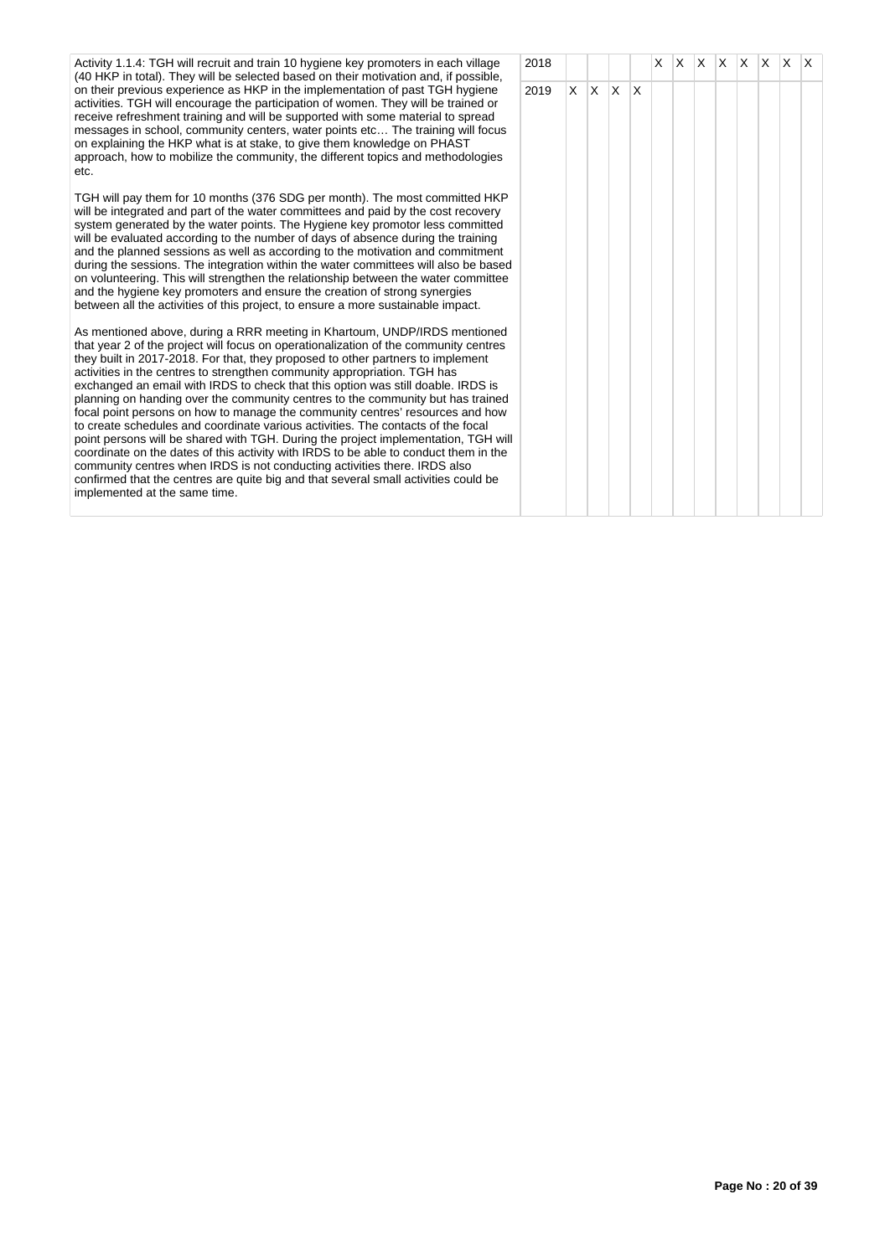Activity 1.1.4: TGH will recruit and train 10 hygiene key promoters in each village (40 HKP in total). They will be selected based on their motivation and, if possible, on their previous experience as HKP in the implementation of past TGH hygiene activities. TGH will encourage the participation of women. They will be trained or receive refreshment training and will be supported with some material to spread messages in school, community centers, water points etc… The training will focus on explaining the HKP what is at stake, to give them knowledge on PHAST approach, how to mobilize the community, the different topics and methodologies etc.

TGH will pay them for 10 months (376 SDG per month). The most committed HKP will be integrated and part of the water committees and paid by the cost recovery system generated by the water points. The Hygiene key promotor less committed will be evaluated according to the number of days of absence during the training and the planned sessions as well as according to the motivation and commitment during the sessions. The integration within the water committees will also be based on volunteering. This will strengthen the relationship between the water committee and the hygiene key promoters and ensure the creation of strong synergies between all the activities of this project, to ensure a more sustainable impact.

As mentioned above, during a RRR meeting in Khartoum, UNDP/IRDS mentioned that year 2 of the project will focus on operationalization of the community centres they built in 2017-2018. For that, they proposed to other partners to implement activities in the centres to strengthen community appropriation. TGH has exchanged an email with IRDS to check that this option was still doable. IRDS is planning on handing over the community centres to the community but has trained focal point persons on how to manage the community centres' resources and how to create schedules and coordinate various activities. The contacts of the focal point persons will be shared with TGH. During the project implementation, TGH will coordinate on the dates of this activity with IRDS to be able to conduct them in the community centres when IRDS is not conducting activities there. IRDS also confirmed that the centres are quite big and that several small activities could be implemented at the same time.

| 2018 |                 |            |             | $\overline{\mathsf{X}}$ |  | $X$ $X$ $X$ $X$ $X$ |  | $\mathsf X$ |
|------|-----------------|------------|-------------|-------------------------|--|---------------------|--|-------------|
| 2019 | $\vert x \vert$ | $x \mid x$ | $\mathsf X$ |                         |  |                     |  |             |
|      |                 |            |             |                         |  |                     |  |             |
|      |                 |            |             |                         |  |                     |  |             |
|      |                 |            |             |                         |  |                     |  |             |
|      |                 |            |             |                         |  |                     |  |             |
|      |                 |            |             |                         |  |                     |  |             |
|      |                 |            |             |                         |  |                     |  |             |
|      |                 |            |             |                         |  |                     |  |             |
|      |                 |            |             |                         |  |                     |  |             |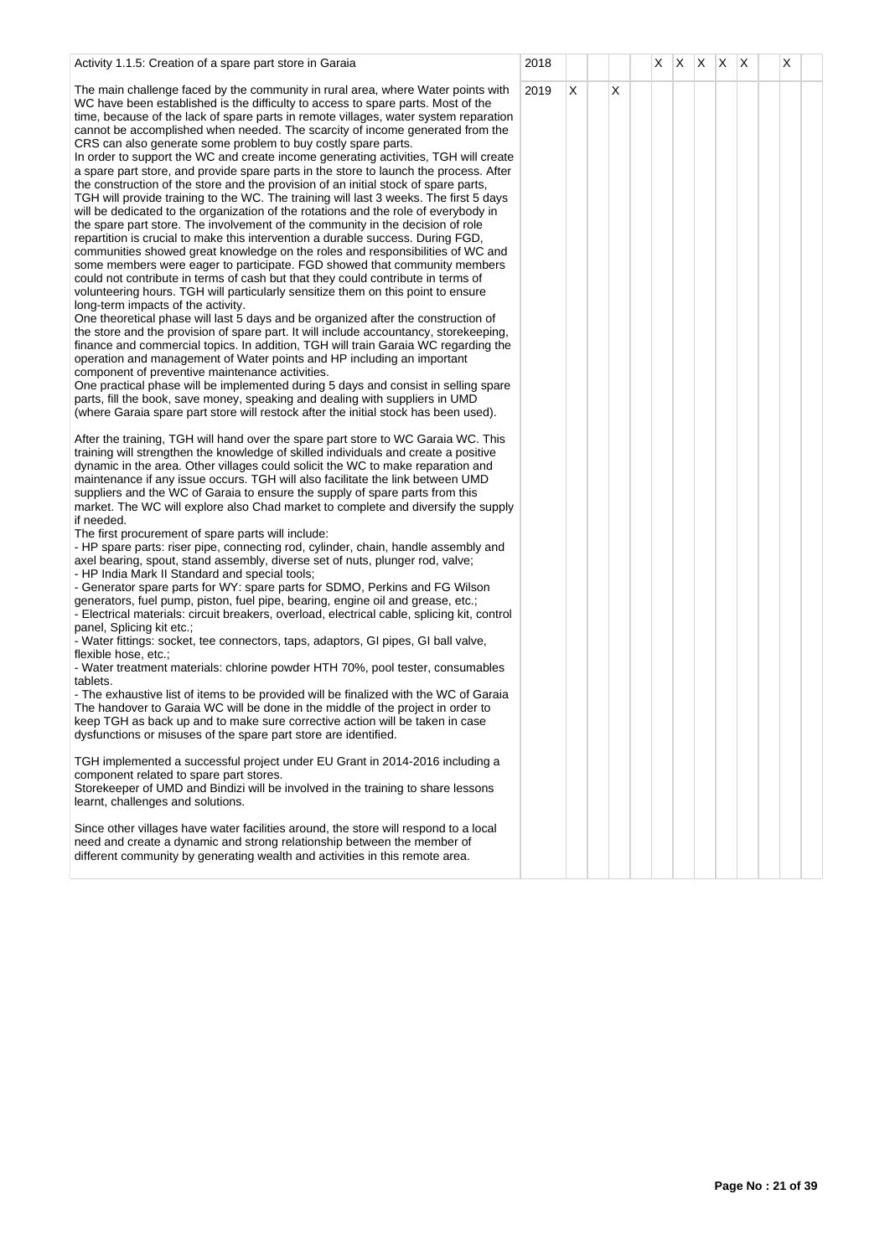| Activity 1.1.5: Creation of a spare part store in Garaia                                                                                                                                                                                                                                                                                                                                                                                                                                                                                                                                                                                                                                                                                                                                                                                                                                                                                                                                                                                                                                                                                                                                                                                                                                                                                                                                                                                                                                                                                                                                                                                                                                                                                                                                                                                                                                                                                                                                                                                                                              | 2018 |   |   | X | $X$ $X$ $X$ | $\mathsf{X}$ | X |  |
|---------------------------------------------------------------------------------------------------------------------------------------------------------------------------------------------------------------------------------------------------------------------------------------------------------------------------------------------------------------------------------------------------------------------------------------------------------------------------------------------------------------------------------------------------------------------------------------------------------------------------------------------------------------------------------------------------------------------------------------------------------------------------------------------------------------------------------------------------------------------------------------------------------------------------------------------------------------------------------------------------------------------------------------------------------------------------------------------------------------------------------------------------------------------------------------------------------------------------------------------------------------------------------------------------------------------------------------------------------------------------------------------------------------------------------------------------------------------------------------------------------------------------------------------------------------------------------------------------------------------------------------------------------------------------------------------------------------------------------------------------------------------------------------------------------------------------------------------------------------------------------------------------------------------------------------------------------------------------------------------------------------------------------------------------------------------------------------|------|---|---|---|-------------|--------------|---|--|
| The main challenge faced by the community in rural area, where Water points with<br>WC have been established is the difficulty to access to spare parts. Most of the<br>time, because of the lack of spare parts in remote villages, water system reparation<br>cannot be accomplished when needed. The scarcity of income generated from the<br>CRS can also generate some problem to buy costly spare parts.<br>In order to support the WC and create income generating activities, TGH will create<br>a spare part store, and provide spare parts in the store to launch the process. After<br>the construction of the store and the provision of an initial stock of spare parts,<br>TGH will provide training to the WC. The training will last 3 weeks. The first 5 days<br>will be dedicated to the organization of the rotations and the role of everybody in<br>the spare part store. The involvement of the community in the decision of role<br>repartition is crucial to make this intervention a durable success. During FGD,<br>communities showed great knowledge on the roles and responsibilities of WC and<br>some members were eager to participate. FGD showed that community members<br>could not contribute in terms of cash but that they could contribute in terms of<br>volunteering hours. TGH will particularly sensitize them on this point to ensure<br>long-term impacts of the activity.<br>One theoretical phase will last 5 days and be organized after the construction of<br>the store and the provision of spare part. It will include accountancy, storekeeping,<br>finance and commercial topics. In addition, TGH will train Garaia WC regarding the<br>operation and management of Water points and HP including an important<br>component of preventive maintenance activities.<br>One practical phase will be implemented during 5 days and consist in selling spare<br>parts, fill the book, save money, speaking and dealing with suppliers in UMD<br>(where Garaia spare part store will restock after the initial stock has been used). | 2019 | X | X |   |             |              |   |  |
| After the training, TGH will hand over the spare part store to WC Garaia WC. This<br>training will strengthen the knowledge of skilled individuals and create a positive<br>dynamic in the area. Other villages could solicit the WC to make reparation and<br>maintenance if any issue occurs. TGH will also facilitate the link between UMD<br>suppliers and the WC of Garaia to ensure the supply of spare parts from this<br>market. The WC will explore also Chad market to complete and diversify the supply                                                                                                                                                                                                                                                                                                                                                                                                                                                                                                                                                                                                                                                                                                                                                                                                                                                                                                                                                                                                                                                                                                                                                                                                                                                                                                                                                                                                                                                                                                                                                                    |      |   |   |   |             |              |   |  |
| if needed.<br>The first procurement of spare parts will include:<br>- HP spare parts: riser pipe, connecting rod, cylinder, chain, handle assembly and<br>axel bearing, spout, stand assembly, diverse set of nuts, plunger rod, valve;<br>- HP India Mark II Standard and special tools;<br>- Generator spare parts for WY: spare parts for SDMO, Perkins and FG Wilson<br>generators, fuel pump, piston, fuel pipe, bearing, engine oil and grease, etc.;<br>- Electrical materials: circuit breakers, overload, electrical cable, splicing kit, control<br>panel, Splicing kit etc.;<br>- Water fittings: socket, tee connectors, taps, adaptors, GI pipes, GI ball valve,                                                                                                                                                                                                                                                                                                                                                                                                                                                                                                                                                                                                                                                                                                                                                                                                                                                                                                                                                                                                                                                                                                                                                                                                                                                                                                                                                                                                         |      |   |   |   |             |              |   |  |
| flexible hose, etc.;<br>- Water treatment materials: chlorine powder HTH 70%, pool tester, consumables<br>tablets.<br>- The exhaustive list of items to be provided will be finalized with the WC of Garaia<br>The handover to Garaia WC will be done in the middle of the project in order to<br>keep TGH as back up and to make sure corrective action will be taken in case<br>dysfunctions or misuses of the spare part store are identified.                                                                                                                                                                                                                                                                                                                                                                                                                                                                                                                                                                                                                                                                                                                                                                                                                                                                                                                                                                                                                                                                                                                                                                                                                                                                                                                                                                                                                                                                                                                                                                                                                                     |      |   |   |   |             |              |   |  |
| TGH implemented a successful project under EU Grant in 2014-2016 including a<br>component related to spare part stores.<br>Storekeeper of UMD and Bindizi will be involved in the training to share lessons<br>learnt, challenges and solutions.                                                                                                                                                                                                                                                                                                                                                                                                                                                                                                                                                                                                                                                                                                                                                                                                                                                                                                                                                                                                                                                                                                                                                                                                                                                                                                                                                                                                                                                                                                                                                                                                                                                                                                                                                                                                                                      |      |   |   |   |             |              |   |  |
| Since other villages have water facilities around, the store will respond to a local<br>need and create a dynamic and strong relationship between the member of<br>different community by generating wealth and activities in this remote area.                                                                                                                                                                                                                                                                                                                                                                                                                                                                                                                                                                                                                                                                                                                                                                                                                                                                                                                                                                                                                                                                                                                                                                                                                                                                                                                                                                                                                                                                                                                                                                                                                                                                                                                                                                                                                                       |      |   |   |   |             |              |   |  |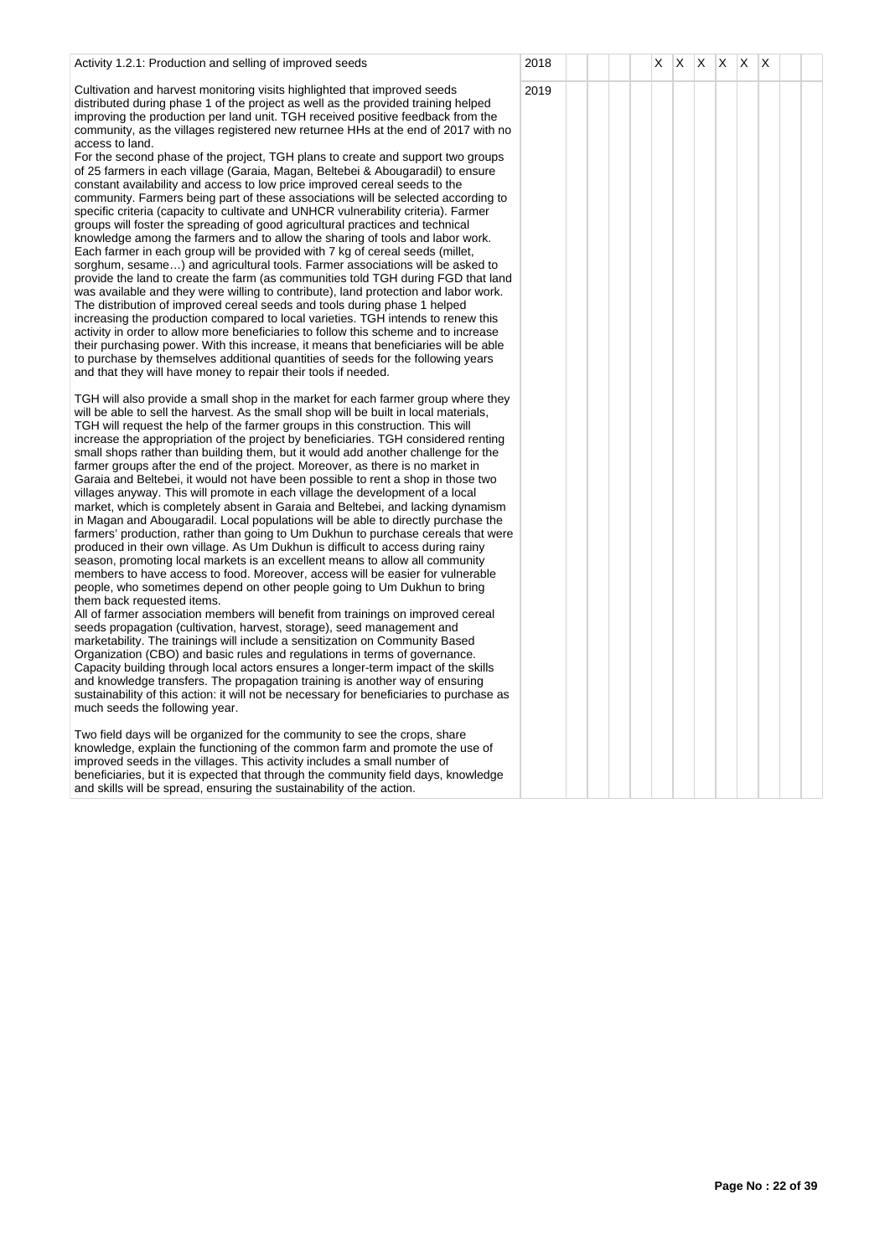| Activity 1.2.1: Production and selling of improved seeds                                                                                                                                                                                                                                                                                                                                                                                                                                                                                                                                                                                                                                                                                                                                                                                                                                                                                                                                                                                                                                                                                                                                                                                                                                                                                                                                                                                                                                                                                                                                                                                                                                                                                                                                                                                                                                                                                                  | 2018 |  | X | X | $\mathsf{X}$ | X X | ΙX |  |
|-----------------------------------------------------------------------------------------------------------------------------------------------------------------------------------------------------------------------------------------------------------------------------------------------------------------------------------------------------------------------------------------------------------------------------------------------------------------------------------------------------------------------------------------------------------------------------------------------------------------------------------------------------------------------------------------------------------------------------------------------------------------------------------------------------------------------------------------------------------------------------------------------------------------------------------------------------------------------------------------------------------------------------------------------------------------------------------------------------------------------------------------------------------------------------------------------------------------------------------------------------------------------------------------------------------------------------------------------------------------------------------------------------------------------------------------------------------------------------------------------------------------------------------------------------------------------------------------------------------------------------------------------------------------------------------------------------------------------------------------------------------------------------------------------------------------------------------------------------------------------------------------------------------------------------------------------------------|------|--|---|---|--------------|-----|----|--|
| Cultivation and harvest monitoring visits highlighted that improved seeds<br>distributed during phase 1 of the project as well as the provided training helped<br>improving the production per land unit. TGH received positive feedback from the<br>community, as the villages registered new returnee HHs at the end of 2017 with no<br>access to land.<br>For the second phase of the project, TGH plans to create and support two groups<br>of 25 farmers in each village (Garaia, Magan, Beltebei & Abougaradil) to ensure<br>constant availability and access to low price improved cereal seeds to the<br>community. Farmers being part of these associations will be selected according to<br>specific criteria (capacity to cultivate and UNHCR vulnerability criteria). Farmer<br>groups will foster the spreading of good agricultural practices and technical<br>knowledge among the farmers and to allow the sharing of tools and labor work.<br>Each farmer in each group will be provided with 7 kg of cereal seeds (millet,<br>sorghum, sesame) and agricultural tools. Farmer associations will be asked to<br>provide the land to create the farm (as communities told TGH during FGD that land<br>was available and they were willing to contribute), land protection and labor work.<br>The distribution of improved cereal seeds and tools during phase 1 helped<br>increasing the production compared to local varieties. TGH intends to renew this<br>activity in order to allow more beneficiaries to follow this scheme and to increase<br>their purchasing power. With this increase, it means that beneficiaries will be able<br>to purchase by themselves additional quantities of seeds for the following years<br>and that they will have money to repair their tools if needed.                                                                                                                                            | 2019 |  |   |   |              |     |    |  |
| TGH will also provide a small shop in the market for each farmer group where they<br>will be able to sell the harvest. As the small shop will be built in local materials,<br>TGH will request the help of the farmer groups in this construction. This will<br>increase the appropriation of the project by beneficiaries. TGH considered renting<br>small shops rather than building them, but it would add another challenge for the<br>farmer groups after the end of the project. Moreover, as there is no market in<br>Garaia and Beltebei, it would not have been possible to rent a shop in those two<br>villages anyway. This will promote in each village the development of a local<br>market, which is completely absent in Garaia and Beltebei, and lacking dynamism<br>in Magan and Abougaradil. Local populations will be able to directly purchase the<br>farmers' production, rather than going to Um Dukhun to purchase cereals that were<br>produced in their own village. As Um Dukhun is difficult to access during rainy<br>season, promoting local markets is an excellent means to allow all community<br>members to have access to food. Moreover, access will be easier for vulnerable<br>people, who sometimes depend on other people going to Um Dukhun to bring<br>them back requested items.<br>All of farmer association members will benefit from trainings on improved cereal<br>seeds propagation (cultivation, harvest, storage), seed management and<br>marketability. The trainings will include a sensitization on Community Based<br>Organization (CBO) and basic rules and regulations in terms of governance.<br>Capacity building through local actors ensures a longer-term impact of the skills<br>and knowledge transfers. The propagation training is another way of ensuring<br>sustainability of this action: it will not be necessary for beneficiaries to purchase as<br>much seeds the following year. |      |  |   |   |              |     |    |  |
| Two field days will be organized for the community to see the crops, share<br>knowledge, explain the functioning of the common farm and promote the use of<br>improved seeds in the villages. This activity includes a small number of<br>beneficiaries, but it is expected that through the community field days, knowledge<br>and skills will be spread, ensuring the sustainability of the action.                                                                                                                                                                                                                                                                                                                                                                                                                                                                                                                                                                                                                                                                                                                                                                                                                                                                                                                                                                                                                                                                                                                                                                                                                                                                                                                                                                                                                                                                                                                                                     |      |  |   |   |              |     |    |  |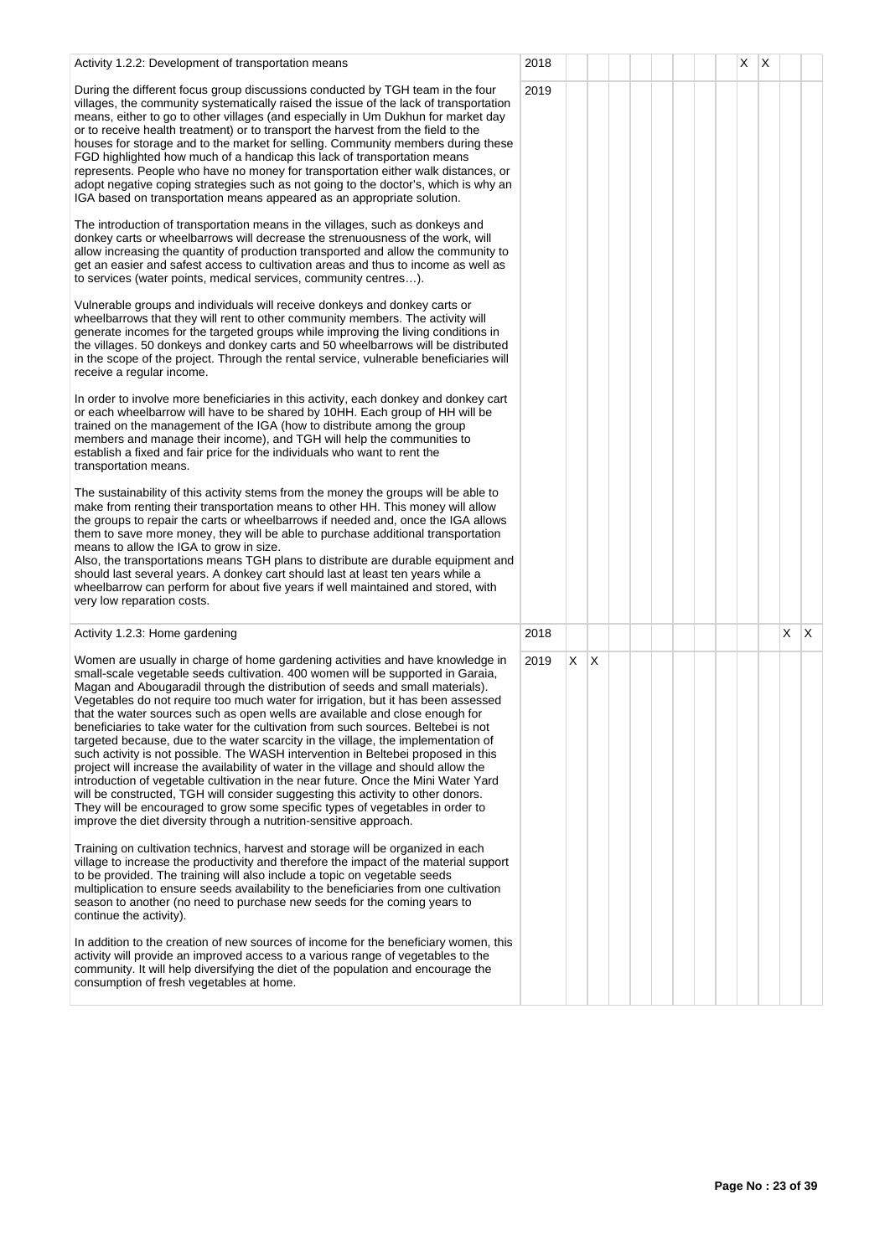| Activity 1.2.2: Development of transportation means                                                                                                                                                                                                                                                                                                                                                                                                                                                                                                                                                                                                                                                                                                                                                                                                                                                                                                                                                                                                                                                             | 2018 |    |              |  |  |  | X | X |    |    |
|-----------------------------------------------------------------------------------------------------------------------------------------------------------------------------------------------------------------------------------------------------------------------------------------------------------------------------------------------------------------------------------------------------------------------------------------------------------------------------------------------------------------------------------------------------------------------------------------------------------------------------------------------------------------------------------------------------------------------------------------------------------------------------------------------------------------------------------------------------------------------------------------------------------------------------------------------------------------------------------------------------------------------------------------------------------------------------------------------------------------|------|----|--------------|--|--|--|---|---|----|----|
| During the different focus group discussions conducted by TGH team in the four<br>villages, the community systematically raised the issue of the lack of transportation<br>means, either to go to other villages (and especially in Um Dukhun for market day<br>or to receive health treatment) or to transport the harvest from the field to the<br>houses for storage and to the market for selling. Community members during these<br>FGD highlighted how much of a handicap this lack of transportation means<br>represents. People who have no money for transportation either walk distances, or<br>adopt negative coping strategies such as not going to the doctor's, which is why an<br>IGA based on transportation means appeared as an appropriate solution.                                                                                                                                                                                                                                                                                                                                         | 2019 |    |              |  |  |  |   |   |    |    |
| The introduction of transportation means in the villages, such as donkeys and<br>donkey carts or wheelbarrows will decrease the strenuousness of the work, will<br>allow increasing the quantity of production transported and allow the community to<br>get an easier and safest access to cultivation areas and thus to income as well as<br>to services (water points, medical services, community centres).                                                                                                                                                                                                                                                                                                                                                                                                                                                                                                                                                                                                                                                                                                 |      |    |              |  |  |  |   |   |    |    |
| Vulnerable groups and individuals will receive donkeys and donkey carts or<br>wheelbarrows that they will rent to other community members. The activity will<br>generate incomes for the targeted groups while improving the living conditions in<br>the villages. 50 donkeys and donkey carts and 50 wheelbarrows will be distributed<br>in the scope of the project. Through the rental service, vulnerable beneficiaries will<br>receive a regular income.                                                                                                                                                                                                                                                                                                                                                                                                                                                                                                                                                                                                                                                   |      |    |              |  |  |  |   |   |    |    |
| In order to involve more beneficiaries in this activity, each donkey and donkey cart<br>or each wheelbarrow will have to be shared by 10HH. Each group of HH will be<br>trained on the management of the IGA (how to distribute among the group<br>members and manage their income), and TGH will help the communities to<br>establish a fixed and fair price for the individuals who want to rent the<br>transportation means.                                                                                                                                                                                                                                                                                                                                                                                                                                                                                                                                                                                                                                                                                 |      |    |              |  |  |  |   |   |    |    |
| The sustainability of this activity stems from the money the groups will be able to<br>make from renting their transportation means to other HH. This money will allow<br>the groups to repair the carts or wheelbarrows if needed and, once the IGA allows<br>them to save more money, they will be able to purchase additional transportation<br>means to allow the IGA to grow in size.<br>Also, the transportations means TGH plans to distribute are durable equipment and<br>should last several years. A donkey cart should last at least ten years while a<br>wheelbarrow can perform for about five years if well maintained and stored, with<br>very low reparation costs.                                                                                                                                                                                                                                                                                                                                                                                                                            |      |    |              |  |  |  |   |   |    |    |
| Activity 1.2.3: Home gardening                                                                                                                                                                                                                                                                                                                                                                                                                                                                                                                                                                                                                                                                                                                                                                                                                                                                                                                                                                                                                                                                                  | 2018 |    |              |  |  |  |   |   | X. | X. |
| Women are usually in charge of home gardening activities and have knowledge in<br>small-scale vegetable seeds cultivation. 400 women will be supported in Garaia,<br>Magan and Abougaradil through the distribution of seeds and small materials).<br>Vegetables do not require too much water for irrigation, but it has been assessed<br>that the water sources such as open wells are available and close enough for<br>beneficiaries to take water for the cultivation from such sources. Beltebei is not<br>targeted because, due to the water scarcity in the village, the implementation of<br>such activity is not possible. The WASH intervention in Beltebei proposed in this<br>project will increase the availability of water in the village and should allow the<br>introduction of vegetable cultivation in the near future. Once the Mini Water Yard<br>will be constructed, TGH will consider suggesting this activity to other donors.<br>They will be encouraged to grow some specific types of vegetables in order to<br>improve the diet diversity through a nutrition-sensitive approach. | 2019 | X. | $\mathsf{X}$ |  |  |  |   |   |    |    |
| Training on cultivation technics, harvest and storage will be organized in each<br>village to increase the productivity and therefore the impact of the material support<br>to be provided. The training will also include a topic on vegetable seeds<br>multiplication to ensure seeds availability to the beneficiaries from one cultivation<br>season to another (no need to purchase new seeds for the coming years to<br>continue the activity).                                                                                                                                                                                                                                                                                                                                                                                                                                                                                                                                                                                                                                                           |      |    |              |  |  |  |   |   |    |    |
| In addition to the creation of new sources of income for the beneficiary women, this<br>activity will provide an improved access to a various range of vegetables to the<br>community. It will help diversifying the diet of the population and encourage the<br>consumption of fresh vegetables at home.                                                                                                                                                                                                                                                                                                                                                                                                                                                                                                                                                                                                                                                                                                                                                                                                       |      |    |              |  |  |  |   |   |    |    |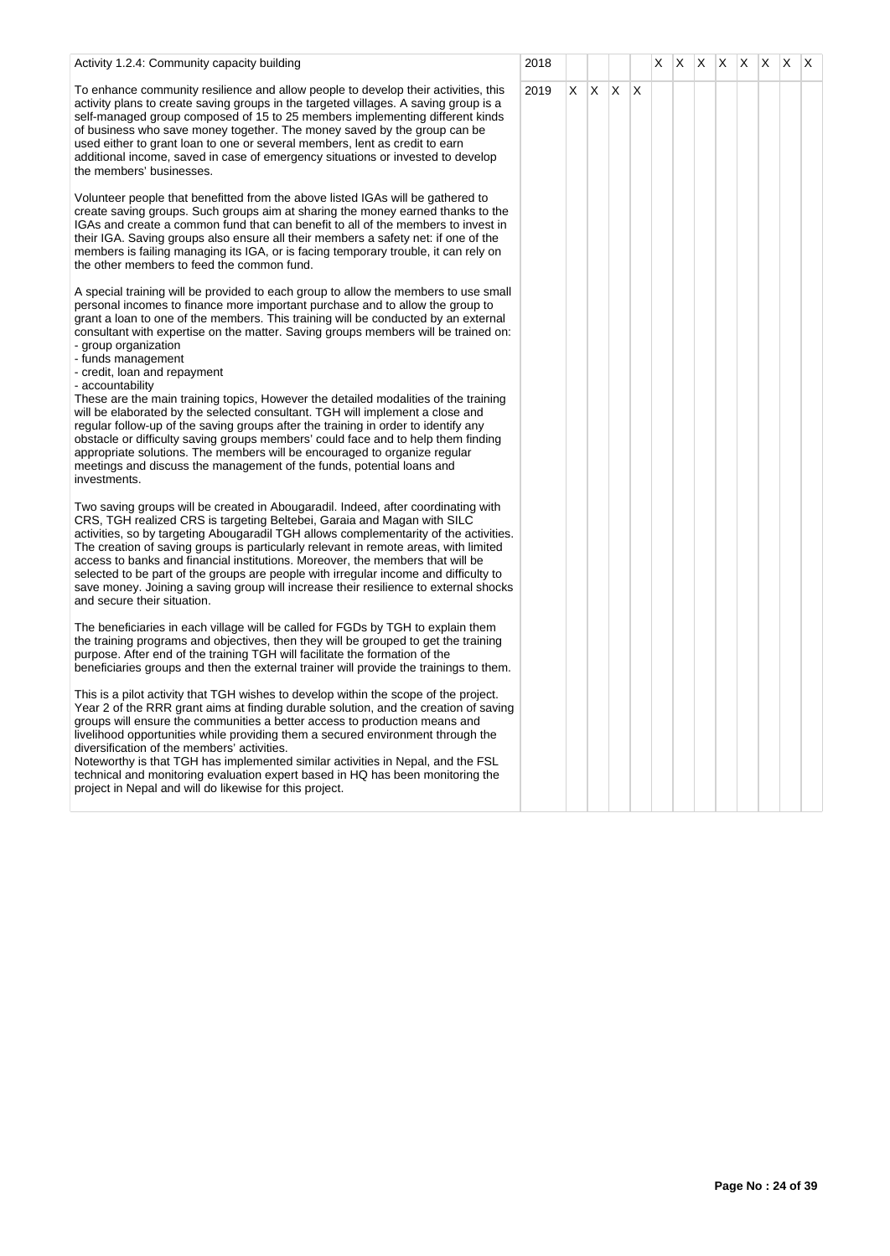| Activity 1.2.4: Community capacity building                                                                                                                                                                                                                                                                                                                                                                                                                                                                                                                                                                                                    | 2018 |    |              | X |  |  | $ X $ $ X $ $ X $ $ X $ $ X $ |  |
|------------------------------------------------------------------------------------------------------------------------------------------------------------------------------------------------------------------------------------------------------------------------------------------------------------------------------------------------------------------------------------------------------------------------------------------------------------------------------------------------------------------------------------------------------------------------------------------------------------------------------------------------|------|----|--------------|---|--|--|-------------------------------|--|
| To enhance community resilience and allow people to develop their activities, this<br>activity plans to create saving groups in the targeted villages. A saving group is a<br>self-managed group composed of 15 to 25 members implementing different kinds<br>of business who save money together. The money saved by the group can be<br>used either to grant loan to one or several members, lent as credit to earn<br>additional income, saved in case of emergency situations or invested to develop<br>the members' businesses.                                                                                                           | 2019 | X. | $X \times X$ |   |  |  |                               |  |
| Volunteer people that benefitted from the above listed IGAs will be gathered to<br>create saving groups. Such groups aim at sharing the money earned thanks to the<br>IGAs and create a common fund that can benefit to all of the members to invest in<br>their IGA. Saving groups also ensure all their members a safety net: if one of the<br>members is failing managing its IGA, or is facing temporary trouble, it can rely on<br>the other members to feed the common fund.                                                                                                                                                             |      |    |              |   |  |  |                               |  |
| A special training will be provided to each group to allow the members to use small<br>personal incomes to finance more important purchase and to allow the group to<br>grant a loan to one of the members. This training will be conducted by an external<br>consultant with expertise on the matter. Saving groups members will be trained on:<br>- group organization<br>- funds management<br>- credit, loan and repayment<br>- accountability                                                                                                                                                                                             |      |    |              |   |  |  |                               |  |
| These are the main training topics, However the detailed modalities of the training<br>will be elaborated by the selected consultant. TGH will implement a close and<br>regular follow-up of the saving groups after the training in order to identify any<br>obstacle or difficulty saving groups members' could face and to help them finding<br>appropriate solutions. The members will be encouraged to organize regular<br>meetings and discuss the management of the funds, potential loans and<br>investments.                                                                                                                          |      |    |              |   |  |  |                               |  |
| Two saving groups will be created in Abougaradil. Indeed, after coordinating with<br>CRS, TGH realized CRS is targeting Beltebei, Garaia and Magan with SILC<br>activities, so by targeting Abougaradil TGH allows complementarity of the activities.<br>The creation of saving groups is particularly relevant in remote areas, with limited<br>access to banks and financial institutions. Moreover, the members that will be<br>selected to be part of the groups are people with irregular income and difficulty to<br>save money. Joining a saving group will increase their resilience to external shocks<br>and secure their situation. |      |    |              |   |  |  |                               |  |
| The beneficiaries in each village will be called for FGDs by TGH to explain them<br>the training programs and objectives, then they will be grouped to get the training<br>purpose. After end of the training TGH will facilitate the formation of the<br>beneficiaries groups and then the external trainer will provide the trainings to them.                                                                                                                                                                                                                                                                                               |      |    |              |   |  |  |                               |  |
| This is a pilot activity that TGH wishes to develop within the scope of the project.<br>Year 2 of the RRR grant aims at finding durable solution, and the creation of saving<br>groups will ensure the communities a better access to production means and<br>livelihood opportunities while providing them a secured environment through the<br>diversification of the members' activities.<br>Noteworthy is that TGH has implemented similar activities in Nepal, and the FSL<br>technical and monitoring evaluation expert based in HQ has been monitoring the<br>project in Nepal and will do likewise for this project.                   |      |    |              |   |  |  |                               |  |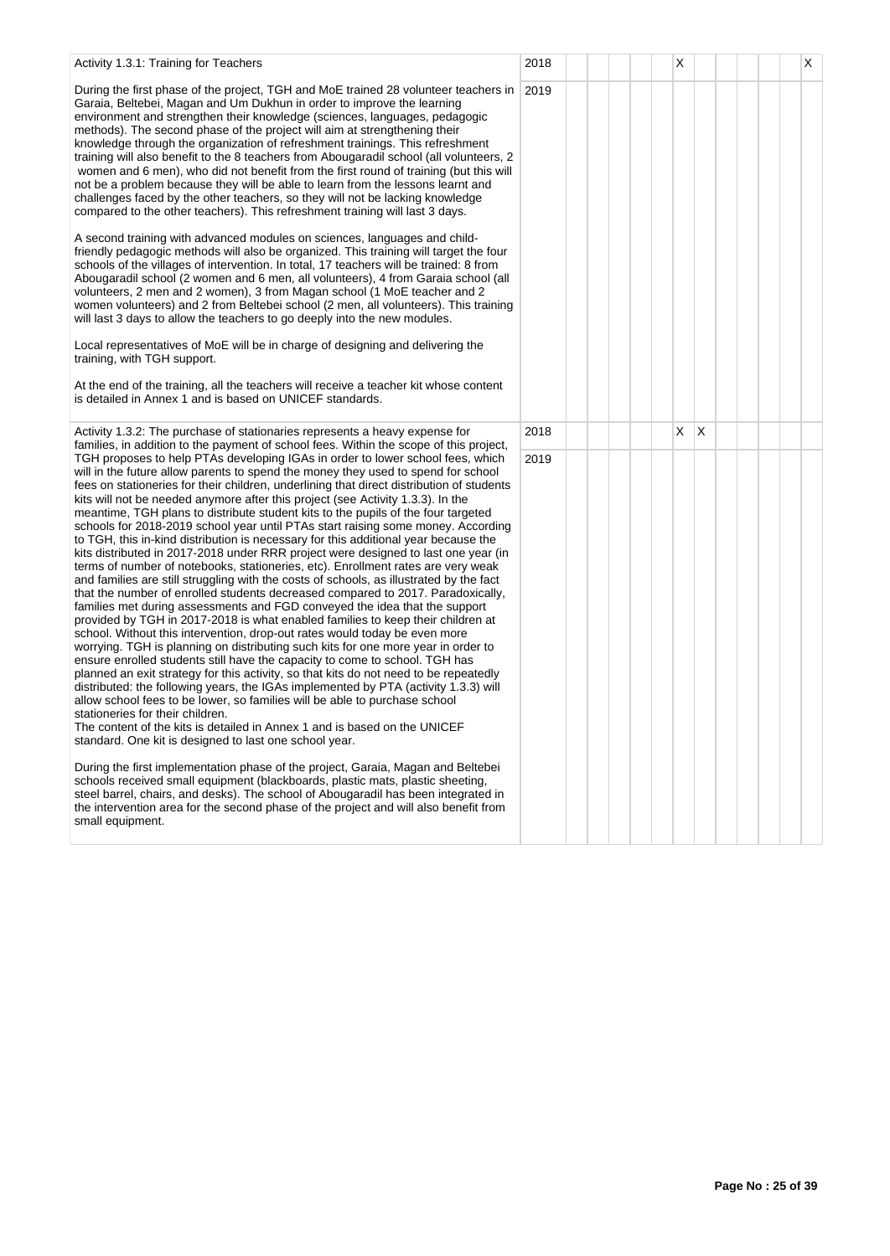| Activity 1.3.1: Training for Teachers                                                                                                                                                                                                                                                                                                                                                                                                                                                                                                                                                                                                                                                                                                                                                                                                                                                                                                                                                                                                                                                                                                                                                                                                                                                                                                                                                                                                                                                                                                                                                                                                                                                                                                                                                                                                   | 2018 |  |  | Х |              |  |  | X |
|-----------------------------------------------------------------------------------------------------------------------------------------------------------------------------------------------------------------------------------------------------------------------------------------------------------------------------------------------------------------------------------------------------------------------------------------------------------------------------------------------------------------------------------------------------------------------------------------------------------------------------------------------------------------------------------------------------------------------------------------------------------------------------------------------------------------------------------------------------------------------------------------------------------------------------------------------------------------------------------------------------------------------------------------------------------------------------------------------------------------------------------------------------------------------------------------------------------------------------------------------------------------------------------------------------------------------------------------------------------------------------------------------------------------------------------------------------------------------------------------------------------------------------------------------------------------------------------------------------------------------------------------------------------------------------------------------------------------------------------------------------------------------------------------------------------------------------------------|------|--|--|---|--------------|--|--|---|
| During the first phase of the project, TGH and MoE trained 28 volunteer teachers in<br>Garaia, Beltebei, Magan and Um Dukhun in order to improve the learning<br>environment and strengthen their knowledge (sciences, languages, pedagogic<br>methods). The second phase of the project will aim at strengthening their<br>knowledge through the organization of refreshment trainings. This refreshment<br>training will also benefit to the 8 teachers from Abougaradil school (all volunteers, 2<br>women and 6 men), who did not benefit from the first round of training (but this will<br>not be a problem because they will be able to learn from the lessons learnt and<br>challenges faced by the other teachers, so they will not be lacking knowledge<br>compared to the other teachers). This refreshment training will last 3 days.<br>A second training with advanced modules on sciences, languages and child-<br>friendly pedagogic methods will also be organized. This training will target the four<br>schools of the villages of intervention. In total, 17 teachers will be trained: 8 from<br>Abougaradil school (2 women and 6 men, all volunteers), 4 from Garaia school (all<br>volunteers, 2 men and 2 women), 3 from Magan school (1 MoE teacher and 2<br>women volunteers) and 2 from Beltebei school (2 men, all volunteers). This training<br>will last 3 days to allow the teachers to go deeply into the new modules.                                                                                                                                                                                                                                                                                                                                                                                  | 2019 |  |  |   |              |  |  |   |
| Local representatives of MoE will be in charge of designing and delivering the<br>training, with TGH support.<br>At the end of the training, all the teachers will receive a teacher kit whose content<br>is detailed in Annex 1 and is based on UNICEF standards.                                                                                                                                                                                                                                                                                                                                                                                                                                                                                                                                                                                                                                                                                                                                                                                                                                                                                                                                                                                                                                                                                                                                                                                                                                                                                                                                                                                                                                                                                                                                                                      |      |  |  |   |              |  |  |   |
|                                                                                                                                                                                                                                                                                                                                                                                                                                                                                                                                                                                                                                                                                                                                                                                                                                                                                                                                                                                                                                                                                                                                                                                                                                                                                                                                                                                                                                                                                                                                                                                                                                                                                                                                                                                                                                         |      |  |  |   |              |  |  |   |
| Activity 1.3.2: The purchase of stationaries represents a heavy expense for<br>families, in addition to the payment of school fees. Within the scope of this project,                                                                                                                                                                                                                                                                                                                                                                                                                                                                                                                                                                                                                                                                                                                                                                                                                                                                                                                                                                                                                                                                                                                                                                                                                                                                                                                                                                                                                                                                                                                                                                                                                                                                   | 2018 |  |  | X | $\mathsf{X}$ |  |  |   |
| TGH proposes to help PTAs developing IGAs in order to lower school fees, which<br>will in the future allow parents to spend the money they used to spend for school<br>fees on stationeries for their children, underlining that direct distribution of students<br>kits will not be needed anymore after this project (see Activity 1.3.3). In the<br>meantime, TGH plans to distribute student kits to the pupils of the four targeted<br>schools for 2018-2019 school year until PTAs start raising some money. According<br>to TGH, this in-kind distribution is necessary for this additional year because the<br>kits distributed in 2017-2018 under RRR project were designed to last one year (in<br>terms of number of notebooks, stationeries, etc). Enrollment rates are very weak<br>and families are still struggling with the costs of schools, as illustrated by the fact<br>that the number of enrolled students decreased compared to 2017. Paradoxically,<br>families met during assessments and FGD conveyed the idea that the support<br>provided by TGH in 2017-2018 is what enabled families to keep their children at<br>school. Without this intervention, drop-out rates would today be even more<br>worrying. TGH is planning on distributing such kits for one more year in order to<br>ensure enrolled students still have the capacity to come to school. TGH has<br>planned an exit strategy for this activity, so that kits do not need to be repeatedly<br>distributed: the following years, the IGAs implemented by PTA (activity 1.3.3) will<br>allow school fees to be lower, so families will be able to purchase school<br>stationeries for their children.<br>The content of the kits is detailed in Annex 1 and is based on the UNICEF<br>standard. One kit is designed to last one school year. | 2019 |  |  |   |              |  |  |   |
| During the first implementation phase of the project, Garaia, Magan and Beltebei<br>schools received small equipment (blackboards, plastic mats, plastic sheeting,<br>steel barrel, chairs, and desks). The school of Abougaradil has been integrated in<br>the intervention area for the second phase of the project and will also benefit from<br>small equipment.                                                                                                                                                                                                                                                                                                                                                                                                                                                                                                                                                                                                                                                                                                                                                                                                                                                                                                                                                                                                                                                                                                                                                                                                                                                                                                                                                                                                                                                                    |      |  |  |   |              |  |  |   |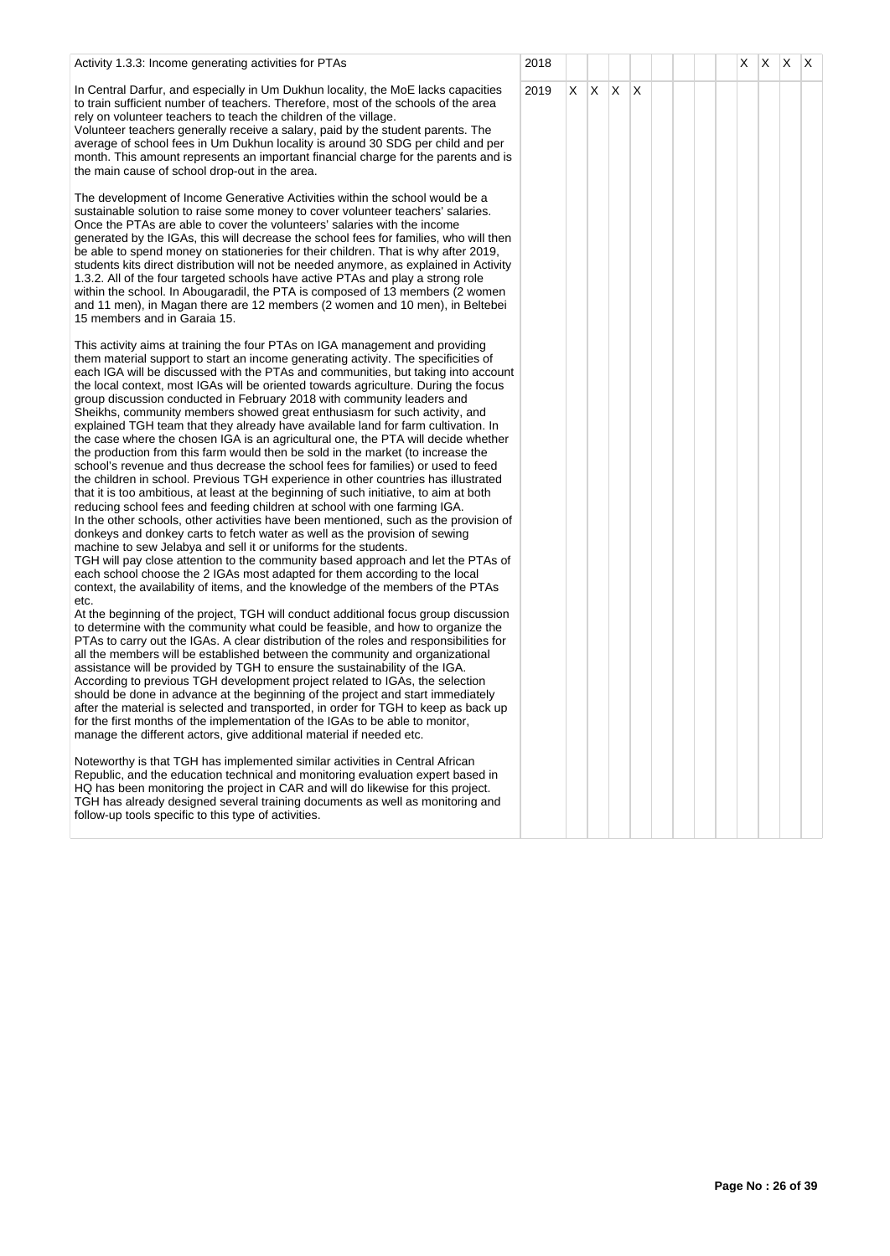| Activity 1.3.3: Income generating activities for PTAs                                                                                                                                                                                                                                                                                                                                                                                                                                                                                                                                                                                                                                                                                                                                                                                                                                                                                                                                                                                                                                                                                                                                                                                                                                                                                                                                                                                                                                                                                                                                                                                                                                                                                                                                                                                                                                                                                                                                                                                                                                                                                                                                                                                                                                                                                                                                                                                                                                                                                                                                                                                                                                                                                                                                                                                                                             | 2018 |    |     |              |              |  |  | X. | X | X. | $\mathsf{I} \mathsf{X}$ |
|-----------------------------------------------------------------------------------------------------------------------------------------------------------------------------------------------------------------------------------------------------------------------------------------------------------------------------------------------------------------------------------------------------------------------------------------------------------------------------------------------------------------------------------------------------------------------------------------------------------------------------------------------------------------------------------------------------------------------------------------------------------------------------------------------------------------------------------------------------------------------------------------------------------------------------------------------------------------------------------------------------------------------------------------------------------------------------------------------------------------------------------------------------------------------------------------------------------------------------------------------------------------------------------------------------------------------------------------------------------------------------------------------------------------------------------------------------------------------------------------------------------------------------------------------------------------------------------------------------------------------------------------------------------------------------------------------------------------------------------------------------------------------------------------------------------------------------------------------------------------------------------------------------------------------------------------------------------------------------------------------------------------------------------------------------------------------------------------------------------------------------------------------------------------------------------------------------------------------------------------------------------------------------------------------------------------------------------------------------------------------------------------------------------------------------------------------------------------------------------------------------------------------------------------------------------------------------------------------------------------------------------------------------------------------------------------------------------------------------------------------------------------------------------------------------------------------------------------------------------------------------------|------|----|-----|--------------|--------------|--|--|----|---|----|-------------------------|
| In Central Darfur, and especially in Um Dukhun locality, the MoE lacks capacities<br>to train sufficient number of teachers. Therefore, most of the schools of the area<br>rely on volunteer teachers to teach the children of the village.<br>Volunteer teachers generally receive a salary, paid by the student parents. The<br>average of school fees in Um Dukhun locality is around 30 SDG per child and per<br>month. This amount represents an important financial charge for the parents and is<br>the main cause of school drop-out in the area.                                                                                                                                                                                                                                                                                                                                                                                                                                                                                                                                                                                                                                                                                                                                                                                                                                                                                                                                                                                                                                                                                                                                                                                                                                                                                                                                                                                                                                                                                                                                                                                                                                                                                                                                                                                                                                                                                                                                                                                                                                                                                                                                                                                                                                                                                                                         | 2019 | X. | IX. | $\mathsf{X}$ | $\mathsf{X}$ |  |  |    |   |    |                         |
| The development of Income Generative Activities within the school would be a<br>sustainable solution to raise some money to cover volunteer teachers' salaries.<br>Once the PTAs are able to cover the volunteers' salaries with the income<br>generated by the IGAs, this will decrease the school fees for families, who will then<br>be able to spend money on stationeries for their children. That is why after 2019,<br>students kits direct distribution will not be needed anymore, as explained in Activity<br>1.3.2. All of the four targeted schools have active PTAs and play a strong role<br>within the school. In Abougaradil, the PTA is composed of 13 members (2 women<br>and 11 men), in Magan there are 12 members (2 women and 10 men), in Beltebei<br>15 members and in Garaia 15.                                                                                                                                                                                                                                                                                                                                                                                                                                                                                                                                                                                                                                                                                                                                                                                                                                                                                                                                                                                                                                                                                                                                                                                                                                                                                                                                                                                                                                                                                                                                                                                                                                                                                                                                                                                                                                                                                                                                                                                                                                                                          |      |    |     |              |              |  |  |    |   |    |                         |
| This activity aims at training the four PTAs on IGA management and providing<br>them material support to start an income generating activity. The specificities of<br>each IGA will be discussed with the PTAs and communities, but taking into account<br>the local context, most IGAs will be oriented towards agriculture. During the focus<br>group discussion conducted in February 2018 with community leaders and<br>Sheikhs, community members showed great enthusiasm for such activity, and<br>explained TGH team that they already have available land for farm cultivation. In<br>the case where the chosen IGA is an agricultural one, the PTA will decide whether<br>the production from this farm would then be sold in the market (to increase the<br>school's revenue and thus decrease the school fees for families) or used to feed<br>the children in school. Previous TGH experience in other countries has illustrated<br>that it is too ambitious, at least at the beginning of such initiative, to aim at both<br>reducing school fees and feeding children at school with one farming IGA.<br>In the other schools, other activities have been mentioned, such as the provision of<br>donkeys and donkey carts to fetch water as well as the provision of sewing<br>machine to sew Jelabya and sell it or uniforms for the students.<br>TGH will pay close attention to the community based approach and let the PTAs of<br>each school choose the 2 IGAs most adapted for them according to the local<br>context, the availability of items, and the knowledge of the members of the PTAs<br>etc.<br>At the beginning of the project, TGH will conduct additional focus group discussion<br>to determine with the community what could be feasible, and how to organize the<br>PTAs to carry out the IGAs. A clear distribution of the roles and responsibilities for<br>all the members will be established between the community and organizational<br>assistance will be provided by TGH to ensure the sustainability of the IGA.<br>According to previous TGH development project related to IGAs, the selection<br>should be done in advance at the beginning of the project and start immediately<br>after the material is selected and transported, in order for TGH to keep as back up<br>for the first months of the implementation of the IGAs to be able to monitor,<br>manage the different actors, give additional material if needed etc.<br>Noteworthy is that TGH has implemented similar activities in Central African<br>Republic, and the education technical and monitoring evaluation expert based in<br>HQ has been monitoring the project in CAR and will do likewise for this project.<br>TGH has already designed several training documents as well as monitoring and<br>follow-up tools specific to this type of activities. |      |    |     |              |              |  |  |    |   |    |                         |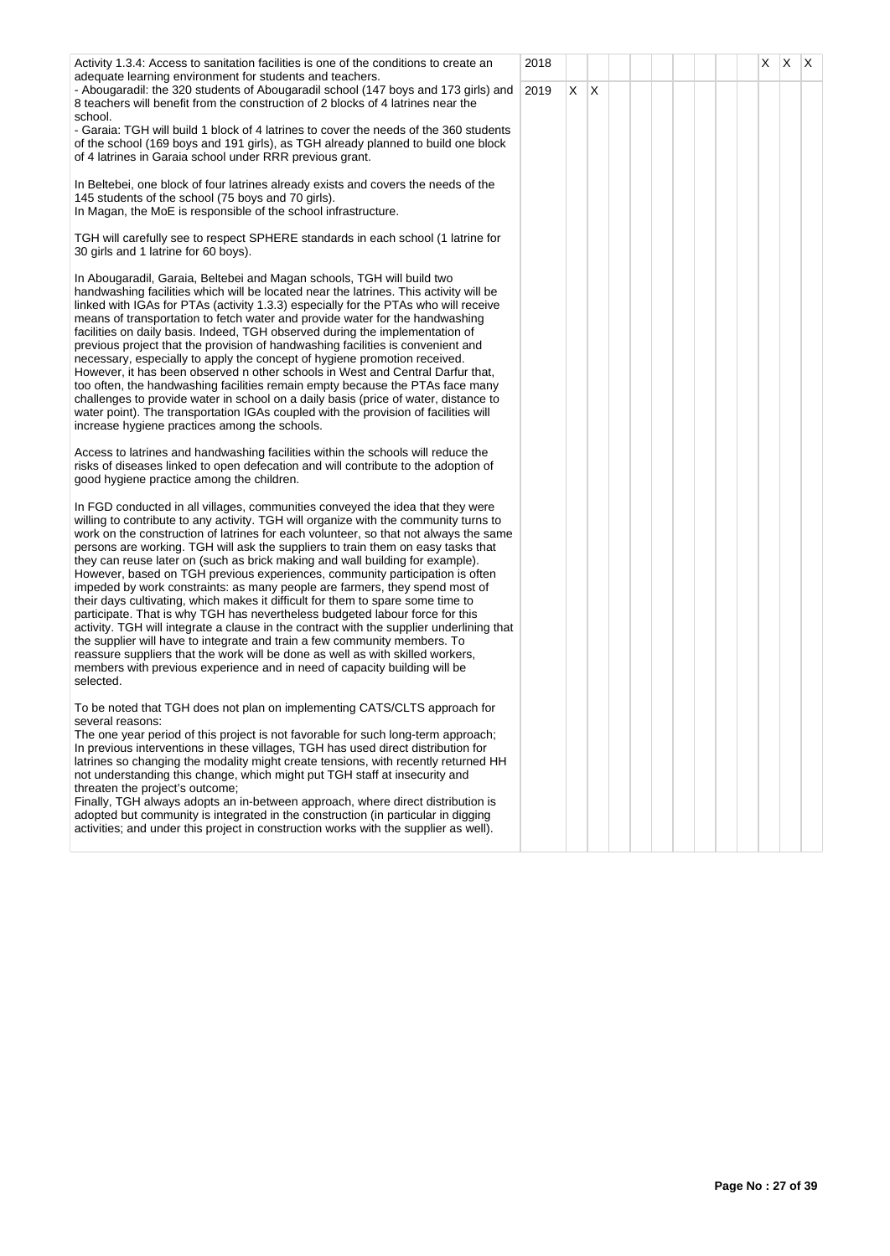| Activity 1.3.4: Access to sanitation facilities is one of the conditions to create an<br>adequate learning environment for students and teachers.                                                                                                                                                                                                                                                                                                                                                                                                                                                                                                                                                                                                                                                                                                                                                                                                                                                                                                                                                                          | 2018 |         |  |  |  | $X \mid X \mid X$ |  |
|----------------------------------------------------------------------------------------------------------------------------------------------------------------------------------------------------------------------------------------------------------------------------------------------------------------------------------------------------------------------------------------------------------------------------------------------------------------------------------------------------------------------------------------------------------------------------------------------------------------------------------------------------------------------------------------------------------------------------------------------------------------------------------------------------------------------------------------------------------------------------------------------------------------------------------------------------------------------------------------------------------------------------------------------------------------------------------------------------------------------------|------|---------|--|--|--|-------------------|--|
| - Abougaradil: the 320 students of Abougaradil school (147 boys and 173 girls) and<br>8 teachers will benefit from the construction of 2 blocks of 4 latrines near the<br>school.                                                                                                                                                                                                                                                                                                                                                                                                                                                                                                                                                                                                                                                                                                                                                                                                                                                                                                                                          | 2019 | $X$ $X$ |  |  |  |                   |  |
| - Garaia: TGH will build 1 block of 4 latrines to cover the needs of the 360 students<br>of the school (169 boys and 191 girls), as TGH already planned to build one block<br>of 4 latrines in Garaia school under RRR previous grant.                                                                                                                                                                                                                                                                                                                                                                                                                                                                                                                                                                                                                                                                                                                                                                                                                                                                                     |      |         |  |  |  |                   |  |
| In Beltebei, one block of four latrines already exists and covers the needs of the<br>145 students of the school (75 boys and 70 girls).<br>In Magan, the MoE is responsible of the school infrastructure.                                                                                                                                                                                                                                                                                                                                                                                                                                                                                                                                                                                                                                                                                                                                                                                                                                                                                                                 |      |         |  |  |  |                   |  |
| TGH will carefully see to respect SPHERE standards in each school (1 latrine for<br>30 girls and 1 latrine for 60 boys).                                                                                                                                                                                                                                                                                                                                                                                                                                                                                                                                                                                                                                                                                                                                                                                                                                                                                                                                                                                                   |      |         |  |  |  |                   |  |
| In Abougaradil, Garaia, Beltebei and Magan schools, TGH will build two<br>handwashing facilities which will be located near the latrines. This activity will be<br>linked with IGAs for PTAs (activity 1.3.3) especially for the PTAs who will receive<br>means of transportation to fetch water and provide water for the handwashing<br>facilities on daily basis. Indeed, TGH observed during the implementation of<br>previous project that the provision of handwashing facilities is convenient and<br>necessary, especially to apply the concept of hygiene promotion received.<br>However, it has been observed n other schools in West and Central Darfur that,<br>too often, the handwashing facilities remain empty because the PTAs face many<br>challenges to provide water in school on a daily basis (price of water, distance to<br>water point). The transportation IGAs coupled with the provision of facilities will<br>increase hygiene practices among the schools.                                                                                                                                   |      |         |  |  |  |                   |  |
| Access to latrines and handwashing facilities within the schools will reduce the<br>risks of diseases linked to open defecation and will contribute to the adoption of<br>good hygiene practice among the children.                                                                                                                                                                                                                                                                                                                                                                                                                                                                                                                                                                                                                                                                                                                                                                                                                                                                                                        |      |         |  |  |  |                   |  |
| In FGD conducted in all villages, communities conveyed the idea that they were<br>willing to contribute to any activity. TGH will organize with the community turns to<br>work on the construction of latrines for each volunteer, so that not always the same<br>persons are working. TGH will ask the suppliers to train them on easy tasks that<br>they can reuse later on (such as brick making and wall building for example).<br>However, based on TGH previous experiences, community participation is often<br>impeded by work constraints: as many people are farmers, they spend most of<br>their days cultivating, which makes it difficult for them to spare some time to<br>participate. That is why TGH has nevertheless budgeted labour force for this<br>activity. TGH will integrate a clause in the contract with the supplier underlining that<br>the supplier will have to integrate and train a few community members. To<br>reassure suppliers that the work will be done as well as with skilled workers,<br>members with previous experience and in need of capacity building will be<br>selected. |      |         |  |  |  |                   |  |
| To be noted that TGH does not plan on implementing CATS/CLTS approach for<br>several reasons:<br>The one year period of this project is not favorable for such long-term approach;<br>In previous interventions in these villages, TGH has used direct distribution for<br>latrines so changing the modality might create tensions, with recently returned HH<br>not understanding this change, which might put TGH staff at insecurity and<br>threaten the project's outcome;<br>Finally, TGH always adopts an in-between approach, where direct distribution is<br>adopted but community is integrated in the construction (in particular in digging<br>activities; and under this project in construction works with the supplier as well).                                                                                                                                                                                                                                                                                                                                                                             |      |         |  |  |  |                   |  |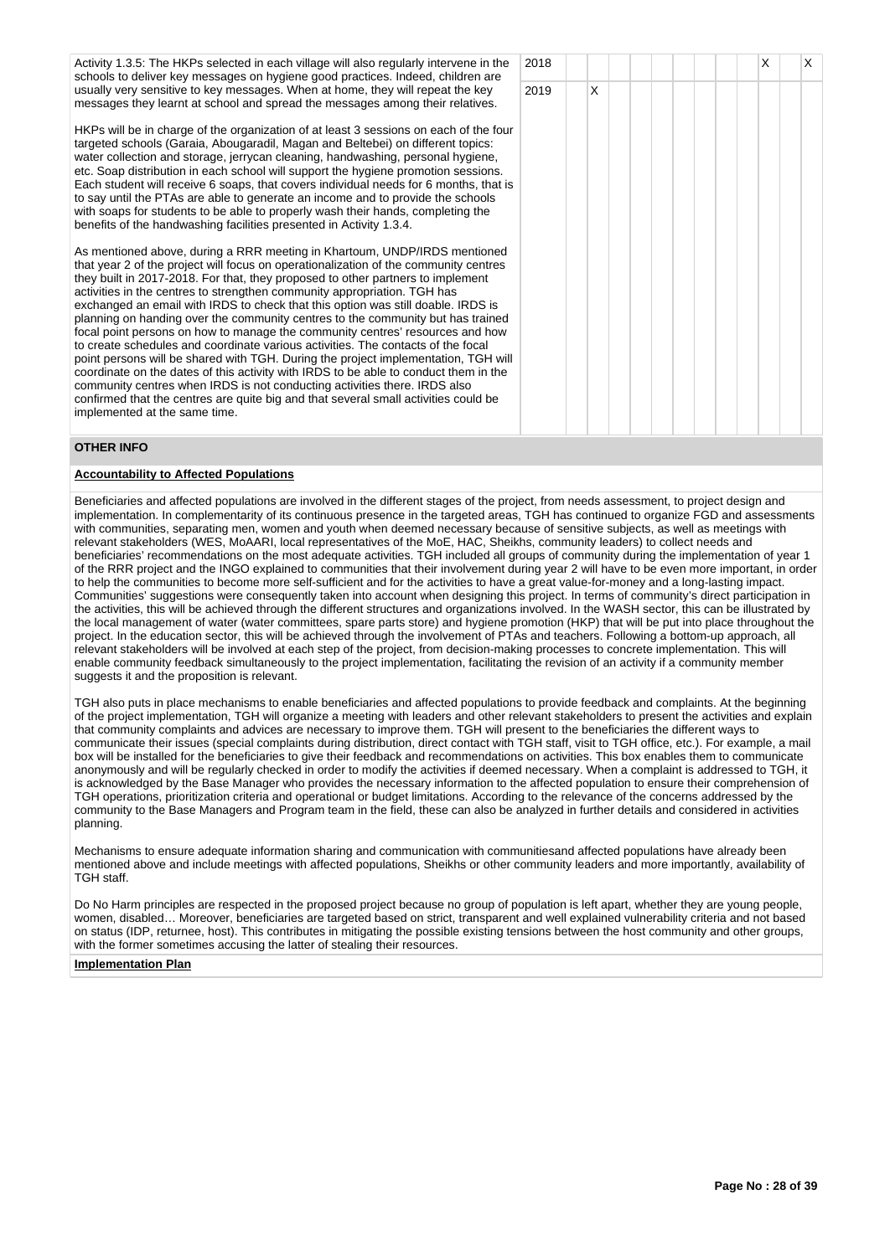Activity 1.3.5: The HKPs selected in each village will also regularly intervene in the schools to deliver key messages on hygiene good practices. Indeed, children are usually very sensitive to key messages. When at home, they will repeat the key messages they learnt at school and spread the messages among their relatives.

HKPs will be in charge of the organization of at least 3 sessions on each of the four targeted schools (Garaia, Abougaradil, Magan and Beltebei) on different topics: water collection and storage, jerrycan cleaning, handwashing, personal hygiene, etc. Soap distribution in each school will support the hygiene promotion sessions. Each student will receive 6 soaps, that covers individual needs for 6 months, that is to say until the PTAs are able to generate an income and to provide the schools with soaps for students to be able to properly wash their hands, completing the benefits of the handwashing facilities presented in Activity 1.3.4.

As mentioned above, during a RRR meeting in Khartoum, UNDP/IRDS mentioned that year 2 of the project will focus on operationalization of the community centres they built in 2017-2018. For that, they proposed to other partners to implement activities in the centres to strengthen community appropriation. TGH has exchanged an email with IRDS to check that this option was still doable. IRDS is planning on handing over the community centres to the community but has trained focal point persons on how to manage the community centres' resources and how to create schedules and coordinate various activities. The contacts of the focal point persons will be shared with TGH. During the project implementation, TGH will coordinate on the dates of this activity with IRDS to be able to conduct them in the community centres when IRDS is not conducting activities there. IRDS also confirmed that the centres are quite big and that several small activities could be implemented at the same time.

# **OTHER INFO**

# **Accountability to Affected Populations**

Beneficiaries and affected populations are involved in the different stages of the project, from needs assessment, to project design and implementation. In complementarity of its continuous presence in the targeted areas, TGH has continued to organize FGD and assessments with communities, separating men, women and youth when deemed necessary because of sensitive subjects, as well as meetings with relevant stakeholders (WES, MoAARI, local representatives of the MoE, HAC, Sheikhs, community leaders) to collect needs and beneficiaries' recommendations on the most adequate activities. TGH included all groups of community during the implementation of year 1 of the RRR project and the INGO explained to communities that their involvement during year 2 will have to be even more important, in order to help the communities to become more self-sufficient and for the activities to have a great value-for-money and a long-lasting impact. Communities' suggestions were consequently taken into account when designing this project. In terms of community's direct participation in the activities, this will be achieved through the different structures and organizations involved. In the WASH sector, this can be illustrated by the local management of water (water committees, spare parts store) and hygiene promotion (HKP) that will be put into place throughout the project. In the education sector, this will be achieved through the involvement of PTAs and teachers. Following a bottom-up approach, all relevant stakeholders will be involved at each step of the project, from decision-making processes to concrete implementation. This will enable community feedback simultaneously to the project implementation, facilitating the revision of an activity if a community member suggests it and the proposition is relevant.

TGH also puts in place mechanisms to enable beneficiaries and affected populations to provide feedback and complaints. At the beginning of the project implementation, TGH will organize a meeting with leaders and other relevant stakeholders to present the activities and explain that community complaints and advices are necessary to improve them. TGH will present to the beneficiaries the different ways to communicate their issues (special complaints during distribution, direct contact with TGH staff, visit to TGH office, etc.). For example, a mail box will be installed for the beneficiaries to give their feedback and recommendations on activities. This box enables them to communicate anonymously and will be regularly checked in order to modify the activities if deemed necessary. When a complaint is addressed to TGH, it is acknowledged by the Base Manager who provides the necessary information to the affected population to ensure their comprehension of TGH operations, prioritization criteria and operational or budget limitations. According to the relevance of the concerns addressed by the community to the Base Managers and Program team in the field, these can also be analyzed in further details and considered in activities planning.

Mechanisms to ensure adequate information sharing and communication with communitiesand affected populations have already been mentioned above and include meetings with affected populations, Sheikhs or other community leaders and more importantly, availability of TGH staff.

Do No Harm principles are respected in the proposed project because no group of population is left apart, whether they are young people, women, disabled… Moreover, beneficiaries are targeted based on strict, transparent and well explained vulnerability criteria and not based on status (IDP, returnee, host). This contributes in mitigating the possible existing tensions between the host community and other groups, with the former sometimes accusing the latter of stealing their resources.

#### **Implementation Plan**

| 2018 |             |  |  |  | $\mathsf X$ | $\mathsf X$ |
|------|-------------|--|--|--|-------------|-------------|
| 2019 | $\mathsf X$ |  |  |  |             |             |
|      |             |  |  |  |             |             |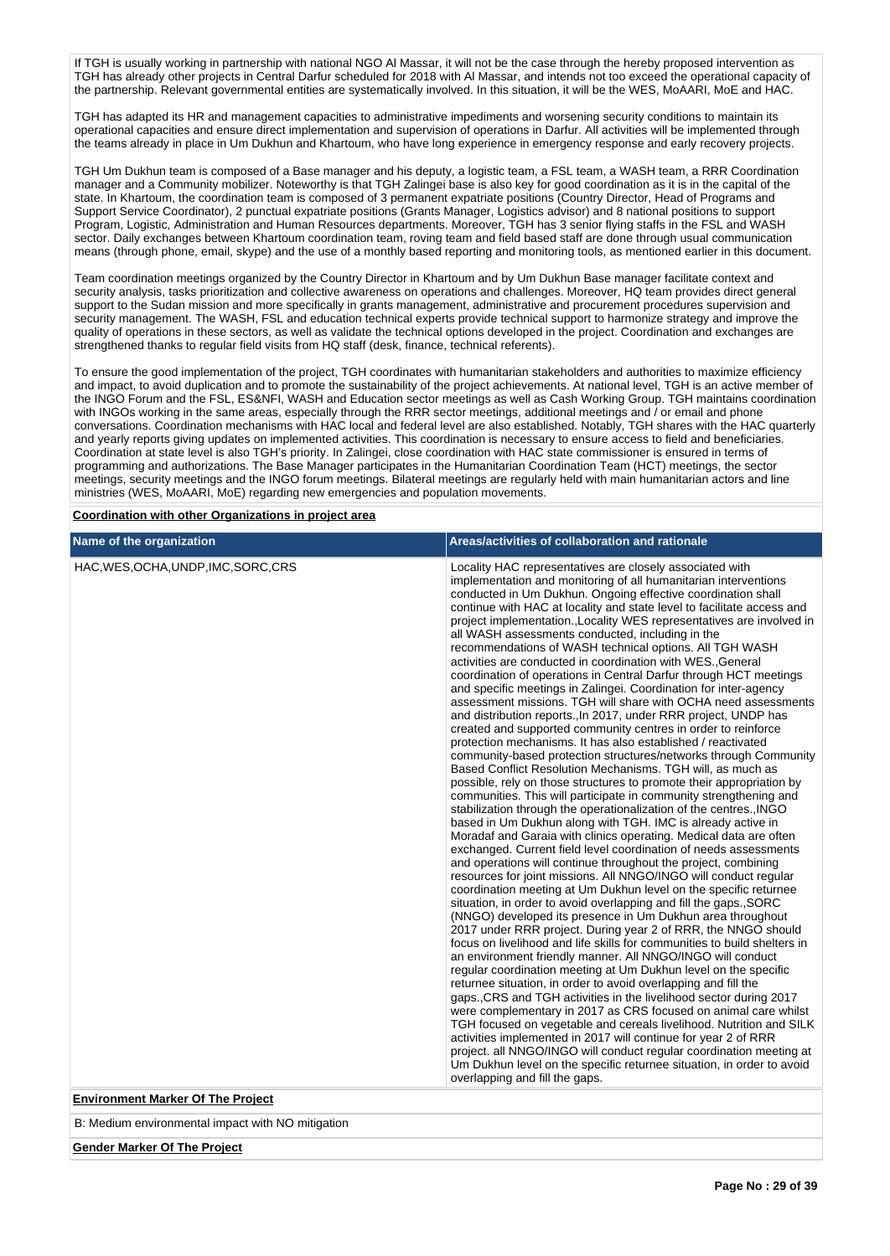If TGH is usually working in partnership with national NGO Al Massar, it will not be the case through the hereby proposed intervention as TGH has already other projects in Central Darfur scheduled for 2018 with Al Massar, and intends not too exceed the operational capacity of the partnership. Relevant governmental entities are systematically involved. In this situation, it will be the WES, MoAARI, MoE and HAC.

TGH has adapted its HR and management capacities to administrative impediments and worsening security conditions to maintain its operational capacities and ensure direct implementation and supervision of operations in Darfur. All activities will be implemented through the teams already in place in Um Dukhun and Khartoum, who have long experience in emergency response and early recovery projects.

TGH Um Dukhun team is composed of a Base manager and his deputy, a logistic team, a FSL team, a WASH team, a RRR Coordination manager and a Community mobilizer. Noteworthy is that TGH Zalingei base is also key for good coordination as it is in the capital of the state. In Khartoum, the coordination team is composed of 3 permanent expatriate positions (Country Director, Head of Programs and Support Service Coordinator), 2 punctual expatriate positions (Grants Manager, Logistics advisor) and 8 national positions to support Program, Logistic, Administration and Human Resources departments. Moreover, TGH has 3 senior flying staffs in the FSL and WASH sector. Daily exchanges between Khartoum coordination team, roving team and field based staff are done through usual communication means (through phone, email, skype) and the use of a monthly based reporting and monitoring tools, as mentioned earlier in this document.

Team coordination meetings organized by the Country Director in Khartoum and by Um Dukhun Base manager facilitate context and security analysis, tasks prioritization and collective awareness on operations and challenges. Moreover, HQ team provides direct general support to the Sudan mission and more specifically in grants management, administrative and procurement procedures supervision and security management. The WASH, FSL and education technical experts provide technical support to harmonize strategy and improve the quality of operations in these sectors, as well as validate the technical options developed in the project. Coordination and exchanges are strengthened thanks to regular field visits from HQ staff (desk, finance, technical referents).

To ensure the good implementation of the project, TGH coordinates with humanitarian stakeholders and authorities to maximize efficiency and impact, to avoid duplication and to promote the sustainability of the project achievements. At national level, TGH is an active member of the INGO Forum and the FSL, ES&NFI, WASH and Education sector meetings as well as Cash Working Group. TGH maintains coordination with INGOs working in the same areas, especially through the RRR sector meetings, additional meetings and / or email and phone conversations. Coordination mechanisms with HAC local and federal level are also established. Notably, TGH shares with the HAC quarterly and yearly reports giving updates on implemented activities. This coordination is necessary to ensure access to field and beneficiaries. Coordination at state level is also TGH's priority. In Zalingei, close coordination with HAC state commissioner is ensured in terms of programming and authorizations. The Base Manager participates in the Humanitarian Coordination Team (HCT) meetings, the sector meetings, security meetings and the INGO forum meetings. Bilateral meetings are regularly held with main humanitarian actors and line ministries (WES, MoAARI, MoE) regarding new emergencies and population movements.

**Coordination with other Organizations in project area**

| Name of the organization                                                         | Areas/activities of collaboration and rationale                                                                                                                                                                                                                                                                                                                                                                                                                                                                                                                                                                                                                                                                                                                                                                                                                                                                                                                                                                                                                                                                                                                                                                                                                                                                                                                                                                                                                                                                                                                                                                                                                                                                                                                                                                                                                                                                                                                                                                                                                                                                                                                                                                                                                                                                                                                                                                                                                                                                                                                                                                                                                           |
|----------------------------------------------------------------------------------|---------------------------------------------------------------------------------------------------------------------------------------------------------------------------------------------------------------------------------------------------------------------------------------------------------------------------------------------------------------------------------------------------------------------------------------------------------------------------------------------------------------------------------------------------------------------------------------------------------------------------------------------------------------------------------------------------------------------------------------------------------------------------------------------------------------------------------------------------------------------------------------------------------------------------------------------------------------------------------------------------------------------------------------------------------------------------------------------------------------------------------------------------------------------------------------------------------------------------------------------------------------------------------------------------------------------------------------------------------------------------------------------------------------------------------------------------------------------------------------------------------------------------------------------------------------------------------------------------------------------------------------------------------------------------------------------------------------------------------------------------------------------------------------------------------------------------------------------------------------------------------------------------------------------------------------------------------------------------------------------------------------------------------------------------------------------------------------------------------------------------------------------------------------------------------------------------------------------------------------------------------------------------------------------------------------------------------------------------------------------------------------------------------------------------------------------------------------------------------------------------------------------------------------------------------------------------------------------------------------------------------------------------------------------------|
| HAC, WES, OCHA, UNDP, IMC, SORC, CRS<br><b>Environment Marker Of The Project</b> | Locality HAC representatives are closely associated with<br>implementation and monitoring of all humanitarian interventions<br>conducted in Um Dukhun. Ongoing effective coordination shall<br>continue with HAC at locality and state level to facilitate access and<br>project implementation., Locality WES representatives are involved in<br>all WASH assessments conducted, including in the<br>recommendations of WASH technical options. All TGH WASH<br>activities are conducted in coordination with WES., General<br>coordination of operations in Central Darfur through HCT meetings<br>and specific meetings in Zalingei. Coordination for inter-agency<br>assessment missions. TGH will share with OCHA need assessments<br>and distribution reports., In 2017, under RRR project, UNDP has<br>created and supported community centres in order to reinforce<br>protection mechanisms. It has also established / reactivated<br>community-based protection structures/networks through Community<br>Based Conflict Resolution Mechanisms. TGH will, as much as<br>possible, rely on those structures to promote their appropriation by<br>communities. This will participate in community strengthening and<br>stabilization through the operationalization of the centres., INGO<br>based in Um Dukhun along with TGH. IMC is already active in<br>Moradaf and Garaia with clinics operating. Medical data are often<br>exchanged. Current field level coordination of needs assessments<br>and operations will continue throughout the project, combining<br>resources for joint missions. All NNGO/INGO will conduct regular<br>coordination meeting at Um Dukhun level on the specific returnee<br>situation, in order to avoid overlapping and fill the gaps., SORC<br>(NNGO) developed its presence in Um Dukhun area throughout<br>2017 under RRR project. During year 2 of RRR, the NNGO should<br>focus on livelihood and life skills for communities to build shelters in<br>an environment friendly manner. All NNGO/INGO will conduct<br>regular coordination meeting at Um Dukhun level on the specific<br>returnee situation, in order to avoid overlapping and fill the<br>gaps., CRS and TGH activities in the livelihood sector during 2017<br>were complementary in 2017 as CRS focused on animal care whilst<br>TGH focused on vegetable and cereals livelihood. Nutrition and SILK<br>activities implemented in 2017 will continue for year 2 of RRR<br>project. all NNGO/INGO will conduct regular coordination meeting at<br>Um Dukhun level on the specific returnee situation, in order to avoid<br>overlapping and fill the gaps. |

B: Medium environmental impact with NO mitigation

**Gender Marker Of The Project**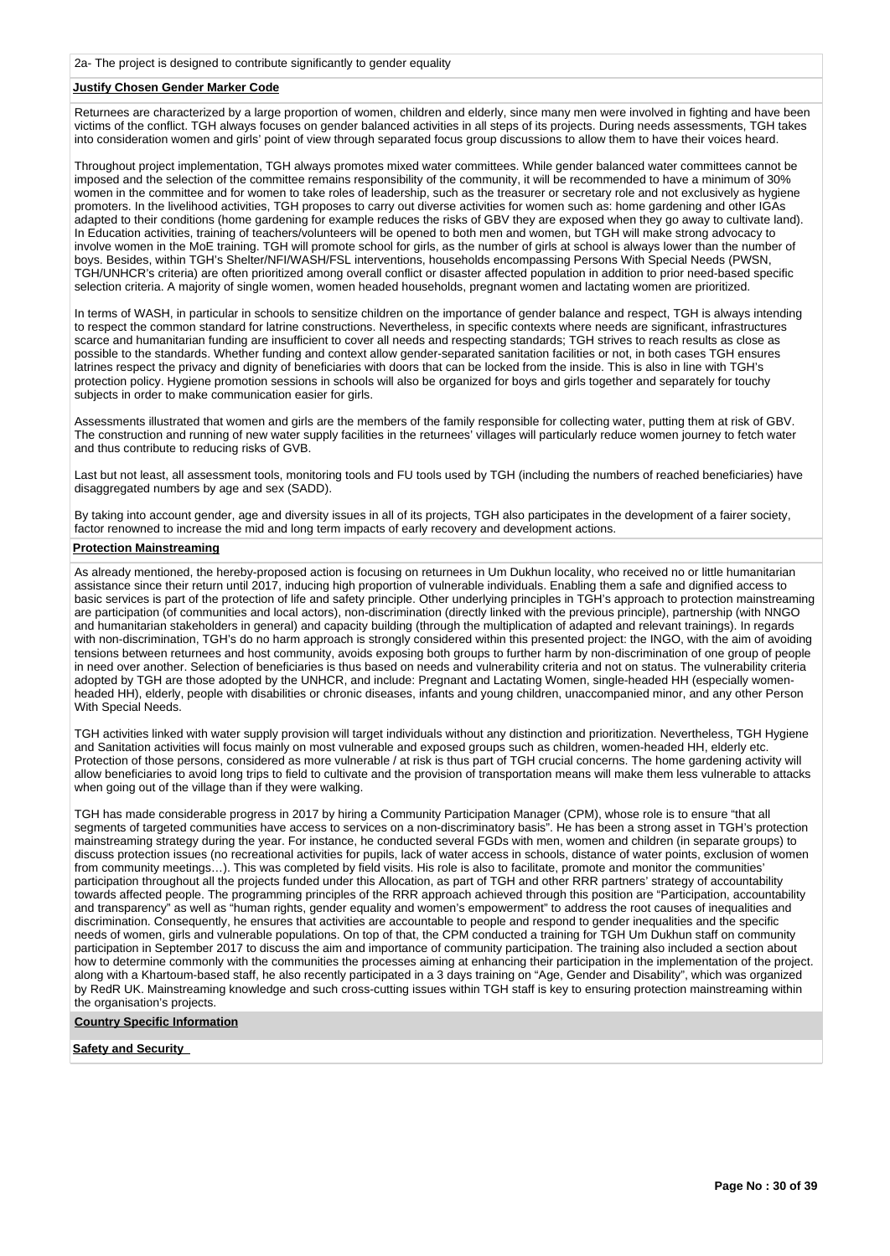## **Justify Chosen Gender Marker Code**

Returnees are characterized by a large proportion of women, children and elderly, since many men were involved in fighting and have been victims of the conflict. TGH always focuses on gender balanced activities in all steps of its projects. During needs assessments, TGH takes into consideration women and girls' point of view through separated focus group discussions to allow them to have their voices heard.

Throughout project implementation, TGH always promotes mixed water committees. While gender balanced water committees cannot be imposed and the selection of the committee remains responsibility of the community, it will be recommended to have a minimum of 30% women in the committee and for women to take roles of leadership, such as the treasurer or secretary role and not exclusively as hygiene promoters. In the livelihood activities, TGH proposes to carry out diverse activities for women such as: home gardening and other IGAs adapted to their conditions (home gardening for example reduces the risks of GBV they are exposed when they go away to cultivate land). In Education activities, training of teachers/volunteers will be opened to both men and women, but TGH will make strong advocacy to involve women in the MoE training. TGH will promote school for girls, as the number of girls at school is always lower than the number of boys. Besides, within TGH's Shelter/NFI/WASH/FSL interventions, households encompassing Persons With Special Needs (PWSN, TGH/UNHCR's criteria) are often prioritized among overall conflict or disaster affected population in addition to prior need-based specific selection criteria. A majority of single women, women headed households, pregnant women and lactating women are prioritized.

In terms of WASH, in particular in schools to sensitize children on the importance of gender balance and respect, TGH is always intending to respect the common standard for latrine constructions. Nevertheless, in specific contexts where needs are significant, infrastructures scarce and humanitarian funding are insufficient to cover all needs and respecting standards; TGH strives to reach results as close as possible to the standards. Whether funding and context allow gender-separated sanitation facilities or not, in both cases TGH ensures latrines respect the privacy and dignity of beneficiaries with doors that can be locked from the inside. This is also in line with TGH's protection policy. Hygiene promotion sessions in schools will also be organized for boys and girls together and separately for touchy subjects in order to make communication easier for girls.

Assessments illustrated that women and girls are the members of the family responsible for collecting water, putting them at risk of GBV. The construction and running of new water supply facilities in the returnees' villages will particularly reduce women journey to fetch water and thus contribute to reducing risks of GVB.

Last but not least, all assessment tools, monitoring tools and FU tools used by TGH (including the numbers of reached beneficiaries) have disaggregated numbers by age and sex (SADD).

By taking into account gender, age and diversity issues in all of its projects, TGH also participates in the development of a fairer society, factor renowned to increase the mid and long term impacts of early recovery and development actions.

# **Protection Mainstreaming**

As already mentioned, the hereby-proposed action is focusing on returnees in Um Dukhun locality, who received no or little humanitarian assistance since their return until 2017, inducing high proportion of vulnerable individuals. Enabling them a safe and dignified access to basic services is part of the protection of life and safety principle. Other underlying principles in TGH's approach to protection mainstreaming are participation (of communities and local actors), non-discrimination (directly linked with the previous principle), partnership (with NNGO and humanitarian stakeholders in general) and capacity building (through the multiplication of adapted and relevant trainings). In regards with non-discrimination, TGH's do no harm approach is strongly considered within this presented project: the INGO, with the aim of avoiding tensions between returnees and host community, avoids exposing both groups to further harm by non-discrimination of one group of people in need over another. Selection of beneficiaries is thus based on needs and vulnerability criteria and not on status. The vulnerability criteria adopted by TGH are those adopted by the UNHCR, and include: Pregnant and Lactating Women, single-headed HH (especially womenheaded HH), elderly, people with disabilities or chronic diseases, infants and young children, unaccompanied minor, and any other Person With Special Needs.

TGH activities linked with water supply provision will target individuals without any distinction and prioritization. Nevertheless, TGH Hygiene and Sanitation activities will focus mainly on most vulnerable and exposed groups such as children, women-headed HH, elderly etc. Protection of those persons, considered as more vulnerable / at risk is thus part of TGH crucial concerns. The home gardening activity will allow beneficiaries to avoid long trips to field to cultivate and the provision of transportation means will make them less vulnerable to attacks when going out of the village than if they were walking.

TGH has made considerable progress in 2017 by hiring a Community Participation Manager (CPM), whose role is to ensure "that all segments of targeted communities have access to services on a non-discriminatory basis". He has been a strong asset in TGH's protection mainstreaming strategy during the year. For instance, he conducted several FGDs with men, women and children (in separate groups) to discuss protection issues (no recreational activities for pupils, lack of water access in schools, distance of water points, exclusion of women from community meetings…). This was completed by field visits. His role is also to facilitate, promote and monitor the communities' participation throughout all the projects funded under this Allocation, as part of TGH and other RRR partners' strategy of accountability towards affected people. The programming principles of the RRR approach achieved through this position are "Participation, accountability and transparency" as well as "human rights, gender equality and women's empowerment" to address the root causes of inequalities and discrimination. Consequently, he ensures that activities are accountable to people and respond to gender inequalities and the specific needs of women, girls and vulnerable populations. On top of that, the CPM conducted a training for TGH Um Dukhun staff on community participation in September 2017 to discuss the aim and importance of community participation. The training also included a section about how to determine commonly with the communities the processes aiming at enhancing their participation in the implementation of the project. along with a Khartoum-based staff, he also recently participated in a 3 days training on "Age, Gender and Disability", which was organized by RedR UK. Mainstreaming knowledge and such cross-cutting issues within TGH staff is key to ensuring protection mainstreaming within the organisation's projects.

**Country Specific Information**

**Safety and Security**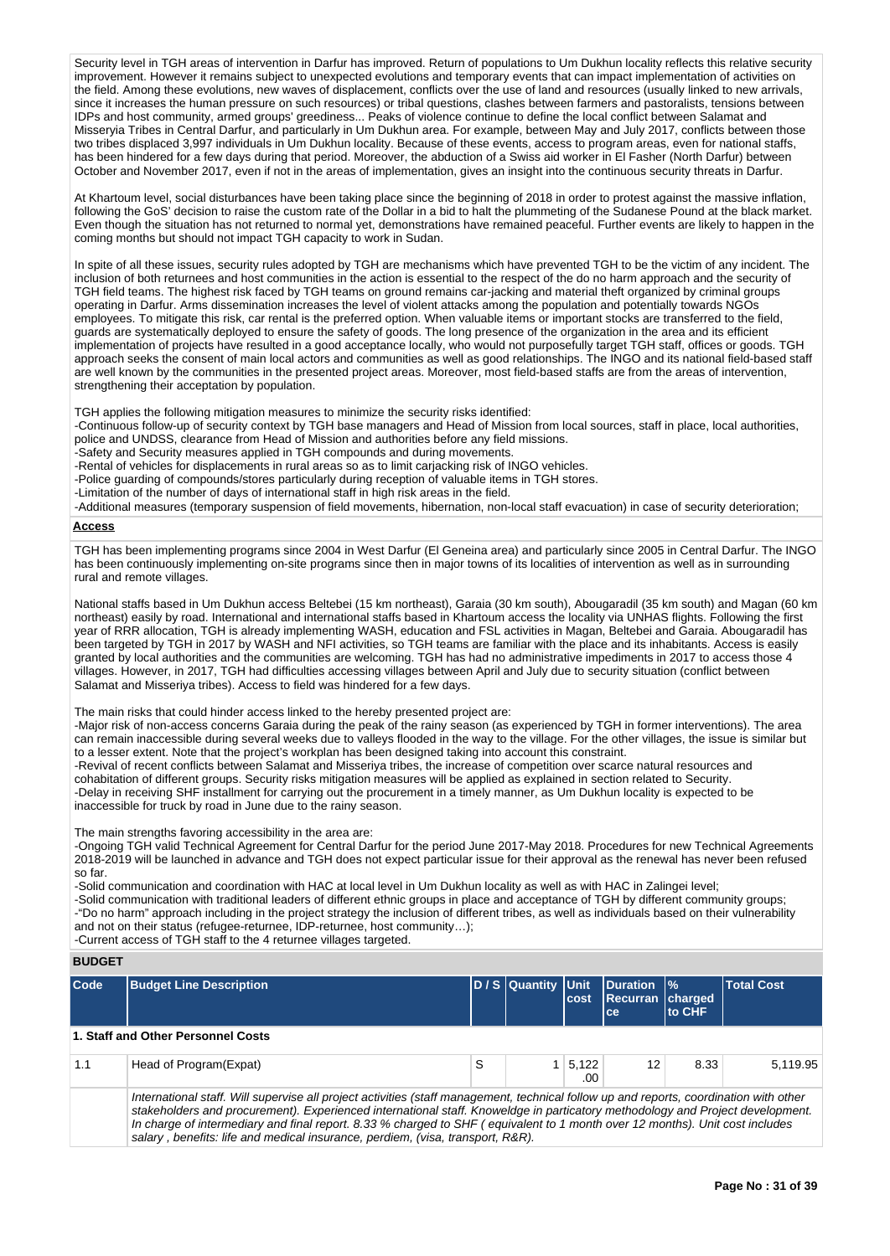Security level in TGH areas of intervention in Darfur has improved. Return of populations to Um Dukhun locality reflects this relative security improvement. However it remains subject to unexpected evolutions and temporary events that can impact implementation of activities on the field. Among these evolutions, new waves of displacement, conflicts over the use of land and resources (usually linked to new arrivals, since it increases the human pressure on such resources) or tribal questions, clashes between farmers and pastoralists, tensions between IDPs and host community, armed groups' greediness... Peaks of violence continue to define the local conflict between Salamat and Misseryia Tribes in Central Darfur, and particularly in Um Dukhun area. For example, between May and July 2017, conflicts between those two tribes displaced 3,997 individuals in Um Dukhun locality. Because of these events, access to program areas, even for national staffs, has been hindered for a few days during that period. Moreover, the abduction of a Swiss aid worker in El Fasher (North Darfur) between October and November 2017, even if not in the areas of implementation, gives an insight into the continuous security threats in Darfur.

At Khartoum level, social disturbances have been taking place since the beginning of 2018 in order to protest against the massive inflation, following the GoS' decision to raise the custom rate of the Dollar in a bid to halt the plummeting of the Sudanese Pound at the black market. Even though the situation has not returned to normal yet, demonstrations have remained peaceful. Further events are likely to happen in the coming months but should not impact TGH capacity to work in Sudan.

In spite of all these issues, security rules adopted by TGH are mechanisms which have prevented TGH to be the victim of any incident. The inclusion of both returnees and host communities in the action is essential to the respect of the do no harm approach and the security of TGH field teams. The highest risk faced by TGH teams on ground remains car-jacking and material theft organized by criminal groups operating in Darfur. Arms dissemination increases the level of violent attacks among the population and potentially towards NGOs employees. To mitigate this risk, car rental is the preferred option. When valuable items or important stocks are transferred to the field, guards are systematically deployed to ensure the safety of goods. The long presence of the organization in the area and its efficient implementation of projects have resulted in a good acceptance locally, who would not purposefully target TGH staff, offices or goods. TGH approach seeks the consent of main local actors and communities as well as good relationships. The INGO and its national field-based staff are well known by the communities in the presented project areas. Moreover, most field-based staffs are from the areas of intervention, strengthening their acceptation by population.

TGH applies the following mitigation measures to minimize the security risks identified:

-Continuous follow-up of security context by TGH base managers and Head of Mission from local sources, staff in place, local authorities, police and UNDSS, clearance from Head of Mission and authorities before any field missions. -Safety and Security measures applied in TGH compounds and during movements.

- -Rental of vehicles for displacements in rural areas so as to limit carjacking risk of INGO vehicles.
- -Police guarding of compounds/stores particularly during reception of valuable items in TGH stores.

-Limitation of the number of days of international staff in high risk areas in the field.

-Additional measures (temporary suspension of field movements, hibernation, non-local staff evacuation) in case of security deterioration;

# **Access**

TGH has been implementing programs since 2004 in West Darfur (El Geneina area) and particularly since 2005 in Central Darfur. The INGO has been continuously implementing on-site programs since then in major towns of its localities of intervention as well as in surrounding rural and remote villages.

National staffs based in Um Dukhun access Beltebei (15 km northeast), Garaia (30 km south), Abougaradil (35 km south) and Magan (60 km northeast) easily by road. International and international staffs based in Khartoum access the locality via UNHAS flights. Following the first year of RRR allocation, TGH is already implementing WASH, education and FSL activities in Magan, Beltebei and Garaia. Abougaradil has been targeted by TGH in 2017 by WASH and NFI activities, so TGH teams are familiar with the place and its inhabitants. Access is easily granted by local authorities and the communities are welcoming. TGH has had no administrative impediments in 2017 to access those 4 villages. However, in 2017, TGH had difficulties accessing villages between April and July due to security situation (conflict between Salamat and Misseriya tribes). Access to field was hindered for a few days.

## The main risks that could hinder access linked to the hereby presented project are:

salary, benefits: life and medical insurance, perdiem, (visa, transport, R&R).

-Major risk of non-access concerns Garaia during the peak of the rainy season (as experienced by TGH in former interventions). The area can remain inaccessible during several weeks due to valleys flooded in the way to the village. For the other villages, the issue is similar but to a lesser extent. Note that the project's workplan has been designed taking into account this constraint.

-Revival of recent conflicts between Salamat and Misseriya tribes, the increase of competition over scarce natural resources and cohabitation of different groups. Security risks mitigation measures will be applied as explained in section related to Security. -Delay in receiving SHF installment for carrying out the procurement in a timely manner, as Um Dukhun locality is expected to be inaccessible for truck by road in June due to the rainy season.

#### The main strengths favoring accessibility in the area are:

-Ongoing TGH valid Technical Agreement for Central Darfur for the period June 2017-May 2018. Procedures for new Technical Agreements 2018-2019 will be launched in advance and TGH does not expect particular issue for their approval as the renewal has never been refused so far.

-Solid communication and coordination with HAC at local level in Um Dukhun locality as well as with HAC in Zalingei level; -Solid communication with traditional leaders of different ethnic groups in place and acceptance of TGH by different community groups; -"Do no harm" approach including in the project strategy the inclusion of different tribes, as well as individuals based on their vulnerability and not on their status (refugee-returnee, IDP-returnee, host community...);

-Current access of TGH staff to the 4 returnee villages targeted.

### **BUDGET**

| Code | <b>Budget Line Description</b>                                                                                                                                                                                                                                                                                                                                                                          |   | D / S Quantity Unit | cost         | Duration  %<br>Recurran charged<br>ce | to CHF | <b>Total Cost</b> |
|------|---------------------------------------------------------------------------------------------------------------------------------------------------------------------------------------------------------------------------------------------------------------------------------------------------------------------------------------------------------------------------------------------------------|---|---------------------|--------------|---------------------------------------|--------|-------------------|
|      | 1. Staff and Other Personnel Costs                                                                                                                                                                                                                                                                                                                                                                      |   |                     |              |                                       |        |                   |
| 1.1  | Head of Program (Expat)                                                                                                                                                                                                                                                                                                                                                                                 | S |                     | 5,122<br>.00 | 12                                    | 8.33   | 5.119.95          |
|      | International staff. Will supervise all project activities (staff management, technical follow up and reports, coordination with other<br>stakeholders and procurement). Experienced international staff. Knoweldge in particatory methodology and Project development.<br>In charge of intermediary and final report. 8.33 % charged to SHF (equivalent to 1 month over 12 months). Unit cost includes |   |                     |              |                                       |        |                   |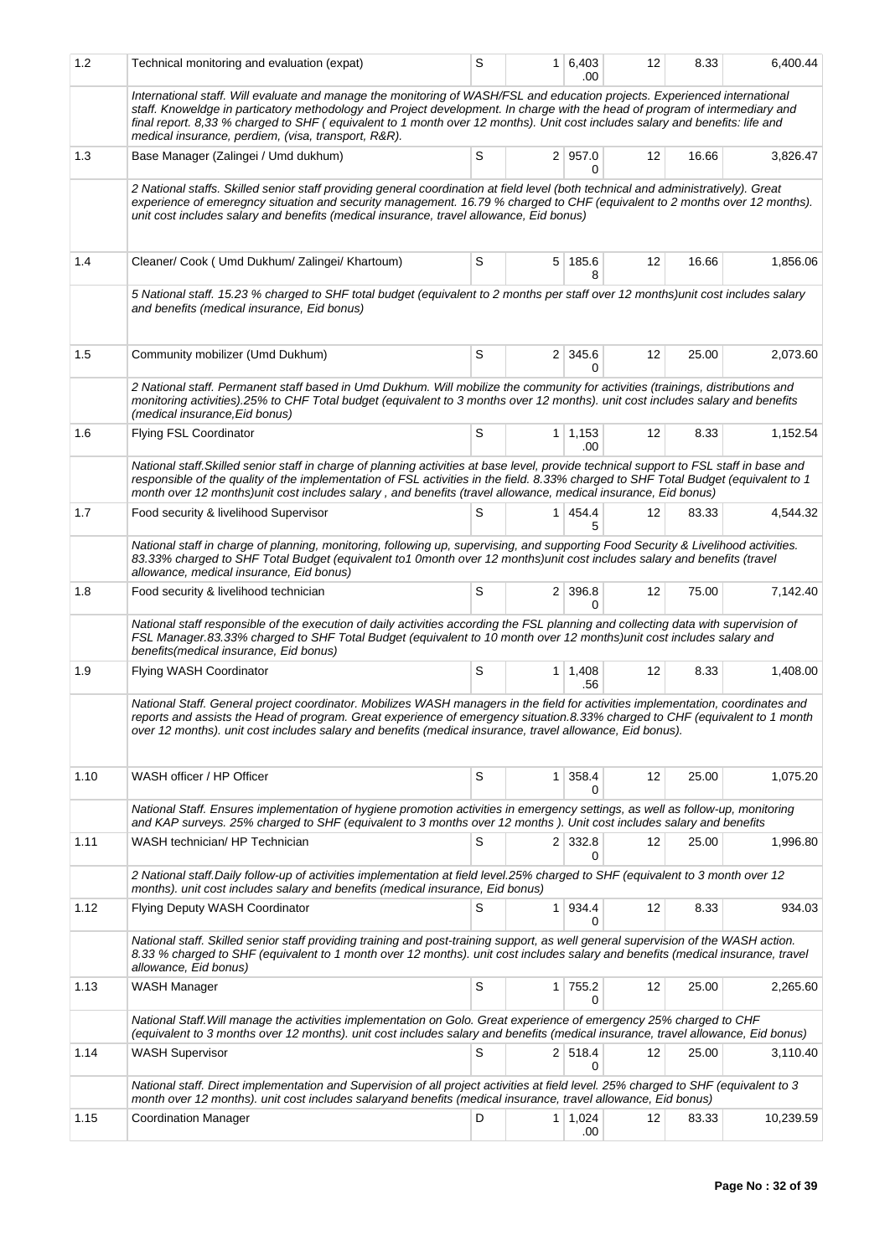| 1.2  | Technical monitoring and evaluation (expat)                                                                                                                                                                                                                                                                                                                                                                                                      | S |                | 1 6,403<br>.00         | 12 | 8.33  | 6,400.44  |
|------|--------------------------------------------------------------------------------------------------------------------------------------------------------------------------------------------------------------------------------------------------------------------------------------------------------------------------------------------------------------------------------------------------------------------------------------------------|---|----------------|------------------------|----|-------|-----------|
|      | International staff. Will evaluate and manage the monitoring of WASH/FSL and education projects. Experienced international<br>staff. Knoweldge in particatory methodology and Project development. In charge with the head of program of intermediary and<br>final report. 8,33 % charged to SHF (equivalent to 1 month over 12 months). Unit cost includes salary and benefits: life and<br>medical insurance, perdiem, (visa, transport, R&R). |   |                |                        |    |       |           |
| 1.3  | Base Manager (Zalingei / Umd dukhum)                                                                                                                                                                                                                                                                                                                                                                                                             | S |                | 2   957.0<br>0         | 12 | 16.66 | 3,826.47  |
|      | 2 National staffs. Skilled senior staff providing general coordination at field level (both technical and administratively). Great<br>experience of emeregncy situation and security management. 16.79 % charged to CHF (equivalent to 2 months over 12 months).<br>unit cost includes salary and benefits (medical insurance, travel allowance, Eid bonus)                                                                                      |   |                |                        |    |       |           |
| 1.4  | Cleaner/ Cook ( Umd Dukhum/ Zalingei/ Khartoum)                                                                                                                                                                                                                                                                                                                                                                                                  | S |                | 5 185.6<br>8           | 12 | 16.66 | 1,856.06  |
|      | 5 National staff. 15.23 % charged to SHF total budget (equivalent to 2 months per staff over 12 months)unit cost includes salary<br>and benefits (medical insurance, Eid bonus)                                                                                                                                                                                                                                                                  |   |                |                        |    |       |           |
| 1.5  | Community mobilizer (Umd Dukhum)                                                                                                                                                                                                                                                                                                                                                                                                                 | S |                | 2 345.6<br>0           | 12 | 25.00 | 2,073.60  |
|      | 2 National staff. Permanent staff based in Umd Dukhum. Will mobilize the community for activities (trainings, distributions and<br>monitoring activities).25% to CHF Total budget (equivalent to 3 months over 12 months). unit cost includes salary and benefits<br>(medical insurance, Eid bonus)                                                                                                                                              |   |                |                        |    |       |           |
| 1.6  | <b>Flying FSL Coordinator</b>                                                                                                                                                                                                                                                                                                                                                                                                                    | S |                | $1 \mid 1,153$<br>.00. | 12 | 8.33  | 1,152.54  |
|      | National staff. Skilled senior staff in charge of planning activities at base level, provide technical support to FSL staff in base and<br>responsible of the quality of the implementation of FSL activities in the field. 8.33% charged to SHF Total Budget (equivalent to 1<br>month over 12 months)unit cost includes salary, and benefits (travel allowance, medical insurance, Eid bonus)                                                  |   |                |                        |    |       |           |
| 1.7  | Food security & livelihood Supervisor                                                                                                                                                                                                                                                                                                                                                                                                            | S |                | 1 454.4<br>5           | 12 | 83.33 | 4,544.32  |
|      | National staff in charge of planning, monitoring, following up, supervising, and supporting Food Security & Livelihood activities.<br>83.33% charged to SHF Total Budget (equivalent to1 0month over 12 months)unit cost includes salary and benefits (travel<br>allowance, medical insurance, Eid bonus)                                                                                                                                        |   |                |                        |    |       |           |
| 1.8  | Food security & livelihood technician                                                                                                                                                                                                                                                                                                                                                                                                            | S |                | 2 396.8<br>0           | 12 | 75.00 | 7,142.40  |
|      | National staff responsible of the execution of daily activities according the FSL planning and collecting data with supervision of<br>FSL Manager.83.33% charged to SHF Total Budget (equivalent to 10 month over 12 months)unit cost includes salary and<br>benefits (medical insurance, Eid bonus)                                                                                                                                             |   |                |                        |    |       |           |
| 1.9  | Flying WASH Coordinator                                                                                                                                                                                                                                                                                                                                                                                                                          | S |                | $1 \mid 1,408$<br>.56  | 12 | 8.33  | 1,408.00  |
|      | National Staff. General project coordinator. Mobilizes WASH managers in the field for activities implementation, coordinates and<br>reports and assists the Head of program. Great experience of emergency situation.8.33% charged to CHF (equivalent to 1 month<br>over 12 months), unit cost includes salary and benefits (medical insurance, travel allowance, Eid bonus).                                                                    |   |                |                        |    |       |           |
| 1.10 | WASH officer / HP Officer                                                                                                                                                                                                                                                                                                                                                                                                                        | S | 1              | 358.4<br>0             | 12 | 25.00 | 1,075.20  |
|      | National Staff. Ensures implementation of hygiene promotion activities in emergency settings, as well as follow-up, monitoring<br>and KAP surveys. 25% charged to SHF (equivalent to 3 months over 12 months). Unit cost includes salary and benefits                                                                                                                                                                                            |   |                |                        |    |       |           |
| 1.11 | WASH technician/ HP Technician                                                                                                                                                                                                                                                                                                                                                                                                                   | S |                | 2 332.8<br>0           | 12 | 25.00 | 1,996.80  |
|      | 2 National staff. Daily follow-up of activities implementation at field level. 25% charged to SHF (equivalent to 3 month over 12<br>months). unit cost includes salary and benefits (medical insurance, Eid bonus)                                                                                                                                                                                                                               |   |                |                        |    |       |           |
| 1.12 | Flying Deputy WASH Coordinator                                                                                                                                                                                                                                                                                                                                                                                                                   | S |                | 1 934.4<br>0           | 12 | 8.33  | 934.03    |
|      | National staff. Skilled senior staff providing training and post-training support, as well general supervision of the WASH action.<br>8.33 % charged to SHF (equivalent to 1 month over 12 months). unit cost includes salary and benefits (medical insurance, travel<br>allowance, Eid bonus)                                                                                                                                                   |   |                |                        |    |       |           |
| 1.13 | WASH Manager                                                                                                                                                                                                                                                                                                                                                                                                                                     | S | 1 <sup>1</sup> | 755.2<br>0             | 12 | 25.00 | 2,265.60  |
|      | National Staff. Will manage the activities implementation on Golo. Great experience of emergency 25% charged to CHF<br>(equivalent to 3 months over 12 months). unit cost includes salary and benefits (medical insurance, travel allowance, Eid bonus)                                                                                                                                                                                          |   |                |                        |    |       |           |
| 1.14 | <b>WASH Supervisor</b>                                                                                                                                                                                                                                                                                                                                                                                                                           | S |                | 2 518.4<br>0           | 12 | 25.00 | 3,110.40  |
|      | National staff. Direct implementation and Supervision of all project activities at field level. 25% charged to SHF (equivalent to 3<br>month over 12 months). unit cost includes salaryand benefits (medical insurance, travel allowance, Eid bonus)                                                                                                                                                                                             |   |                |                        |    |       |           |
| 1.15 | <b>Coordination Manager</b>                                                                                                                                                                                                                                                                                                                                                                                                                      | D |                | $1 \mid 1,024$<br>.00  | 12 | 83.33 | 10,239.59 |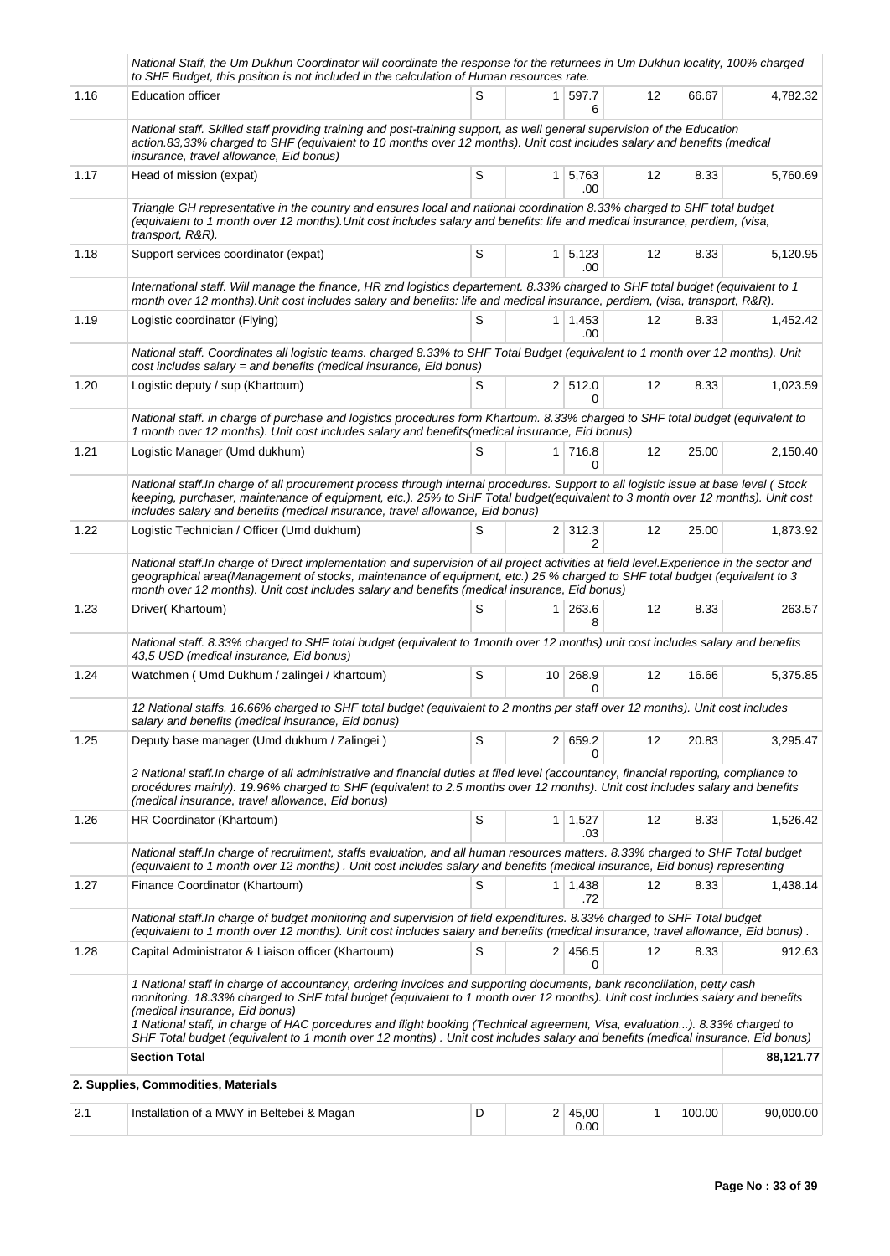|      | National Staff, the Um Dukhun Coordinator will coordinate the response for the returnees in Um Dukhun locality, 100% charged<br>to SHF Budget, this position is not included in the calculation of Human resources rate.                                                                                                                                                                                                                                                                                                                                  |   |                |                        |                   |        |           |
|------|-----------------------------------------------------------------------------------------------------------------------------------------------------------------------------------------------------------------------------------------------------------------------------------------------------------------------------------------------------------------------------------------------------------------------------------------------------------------------------------------------------------------------------------------------------------|---|----------------|------------------------|-------------------|--------|-----------|
| 1.16 | <b>Education officer</b>                                                                                                                                                                                                                                                                                                                                                                                                                                                                                                                                  | S |                | 1 597.7<br>6           | 12                | 66.67  | 4,782.32  |
|      | National staff. Skilled staff providing training and post-training support, as well general supervision of the Education<br>action.83,33% charged to SHF (equivalent to 10 months over 12 months). Unit cost includes salary and benefits (medical<br>insurance, travel allowance, Eid bonus)                                                                                                                                                                                                                                                             |   |                |                        |                   |        |           |
| 1.17 | Head of mission (expat)                                                                                                                                                                                                                                                                                                                                                                                                                                                                                                                                   | S | 1 <sup>1</sup> | 5,763<br>.00           | 12                | 8.33   | 5,760.69  |
|      | Triangle GH representative in the country and ensures local and national coordination 8.33% charged to SHF total budget<br>(equivalent to 1 month over 12 months). Unit cost includes salary and benefits: life and medical insurance, perdiem, (visa,<br>transport, R&R).                                                                                                                                                                                                                                                                                |   |                |                        |                   |        |           |
| 1.18 | Support services coordinator (expat)                                                                                                                                                                                                                                                                                                                                                                                                                                                                                                                      | S |                | $1 \mid 5,123$<br>.00  | 12                | 8.33   | 5,120.95  |
|      | International staff. Will manage the finance, HR znd logistics departement. 8.33% charged to SHF total budget (equivalent to 1<br>month over 12 months). Unit cost includes salary and benefits: life and medical insurance, perdiem, (visa, transport, R&R).                                                                                                                                                                                                                                                                                             |   |                |                        |                   |        |           |
| 1.19 | Logistic coordinator (Flying)                                                                                                                                                                                                                                                                                                                                                                                                                                                                                                                             | S |                | $1 \mid 1,453$<br>.00  | 12                | 8.33   | 1,452.42  |
|      | National staff. Coordinates all logistic teams. charged 8.33% to SHF Total Budget (equivalent to 1 month over 12 months). Unit<br>cost includes salary = and benefits (medical insurance, Eid bonus)                                                                                                                                                                                                                                                                                                                                                      |   |                |                        |                   |        |           |
| 1.20 | Logistic deputy / sup (Khartoum)                                                                                                                                                                                                                                                                                                                                                                                                                                                                                                                          | S |                | 2 512.0<br>0           | 12                | 8.33   | 1,023.59  |
|      | National staff. in charge of purchase and logistics procedures form Khartoum. 8.33% charged to SHF total budget (equivalent to<br>1 month over 12 months). Unit cost includes salary and benefits(medical insurance, Eid bonus)                                                                                                                                                                                                                                                                                                                           |   |                |                        |                   |        |           |
| 1.21 | Logistic Manager (Umd dukhum)                                                                                                                                                                                                                                                                                                                                                                                                                                                                                                                             | S |                | $1 \mid 716.8$<br>0    | 12                | 25.00  | 2,150.40  |
|      | National staff. In charge of all procurement process through internal procedures. Support to all logistic issue at base level (Stock<br>keeping, purchaser, maintenance of equipment, etc.). 25% to SHF Total budget(equivalent to 3 month over 12 months). Unit cost<br>includes salary and benefits (medical insurance, travel allowance, Eid bonus)                                                                                                                                                                                                    |   |                |                        |                   |        |           |
| 1.22 | Logistic Technician / Officer (Umd dukhum)                                                                                                                                                                                                                                                                                                                                                                                                                                                                                                                | S |                | $2 \mid 312.3$         | 12                | 25.00  | 1,873.92  |
|      | National staff. In charge of Direct implementation and supervision of all project activities at field level. Experience in the sector and<br>geographical area(Management of stocks, maintenance of equipment, etc.) 25 % charged to SHF total budget (equivalent to 3<br>month over 12 months). Unit cost includes salary and benefits (medical insurance, Eid bonus)                                                                                                                                                                                    |   |                |                        |                   |        |           |
| 1.23 | Driver(Khartoum)                                                                                                                                                                                                                                                                                                                                                                                                                                                                                                                                          | S | 1 <sup>1</sup> | 263.6<br>8             | $12 \overline{ }$ | 8.33   | 263.57    |
|      | National staff. 8.33% charged to SHF total budget (equivalent to 1month over 12 months) unit cost includes salary and benefits<br>43,5 USD (medical insurance, Eid bonus)                                                                                                                                                                                                                                                                                                                                                                                 |   |                |                        |                   |        |           |
| 1.24 | Watchmen (Umd Dukhum / zalingei / khartoum)                                                                                                                                                                                                                                                                                                                                                                                                                                                                                                               | S |                | 10 268.9               | 12                | 16.66  | 5,375.85  |
|      | 12 National staffs. 16.66% charged to SHF total budget (equivalent to 2 months per staff over 12 months). Unit cost includes<br>salary and benefits (medical insurance, Eid bonus)                                                                                                                                                                                                                                                                                                                                                                        |   |                |                        |                   |        |           |
| 1.25 | Deputy base manager (Umd dukhum / Zalingei)                                                                                                                                                                                                                                                                                                                                                                                                                                                                                                               | S |                | 2 659.2                | 12                | 20.83  | 3,295.47  |
|      | 2 National staff. In charge of all administrative and financial duties at filed level (accountancy, financial reporting, compliance to<br>procédures mainly). 19.96% charged to SHF (equivalent to 2.5 months over 12 months). Unit cost includes salary and benefits<br>(medical insurance, travel allowance, Eid bonus)                                                                                                                                                                                                                                 |   |                |                        |                   |        |           |
| 1.26 | HR Coordinator (Khartoum)                                                                                                                                                                                                                                                                                                                                                                                                                                                                                                                                 | S |                | $1 \mid 1,527$<br>.03  | 12                | 8.33   | 1,526.42  |
|      | National staff. In charge of recruitment, staffs evaluation, and all human resources matters. 8.33% charged to SHF Total budget<br>(equivalent to 1 month over 12 months). Unit cost includes salary and benefits (medical insurance, Eid bonus) representing                                                                                                                                                                                                                                                                                             |   |                |                        |                   |        |           |
| 1.27 | Finance Coordinator (Khartoum)                                                                                                                                                                                                                                                                                                                                                                                                                                                                                                                            | S |                | $1 \mid 1,438$<br>.72  | 12                | 8.33   | 1,438.14  |
|      | National staff. In charge of budget monitoring and supervision of field expenditures. 8.33% charged to SHF Total budget<br>(equivalent to 1 month over 12 months). Unit cost includes salary and benefits (medical insurance, travel allowance, Eid bonus).                                                                                                                                                                                                                                                                                               |   |                |                        |                   |        |           |
| 1.28 | Capital Administrator & Liaison officer (Khartoum)                                                                                                                                                                                                                                                                                                                                                                                                                                                                                                        | S |                | 2 456.5<br>0           | 12                | 8.33   | 912.63    |
|      | 1 National staff in charge of accountancy, ordering invoices and supporting documents, bank reconciliation, petty cash<br>monitoring. 18.33% charged to SHF total budget (equivalent to 1 month over 12 months). Unit cost includes salary and benefits<br>(medical insurance, Eid bonus)<br>1 National staff, in charge of HAC porcedures and flight booking (Technical agreement, Visa, evaluation). 8.33% charged to<br>SHF Total budget (equivalent to 1 month over 12 months). Unit cost includes salary and benefits (medical insurance, Eid bonus) |   |                |                        |                   |        |           |
|      | <b>Section Total</b>                                                                                                                                                                                                                                                                                                                                                                                                                                                                                                                                      |   |                |                        |                   |        | 88,121.77 |
|      | 2. Supplies, Commodities, Materials                                                                                                                                                                                                                                                                                                                                                                                                                                                                                                                       |   |                |                        |                   |        |           |
| 2.1  | Installation of a MWY in Beltebei & Magan                                                                                                                                                                                                                                                                                                                                                                                                                                                                                                                 | D |                | $2 \mid 45,00$<br>0.00 | 1                 | 100.00 | 90,000.00 |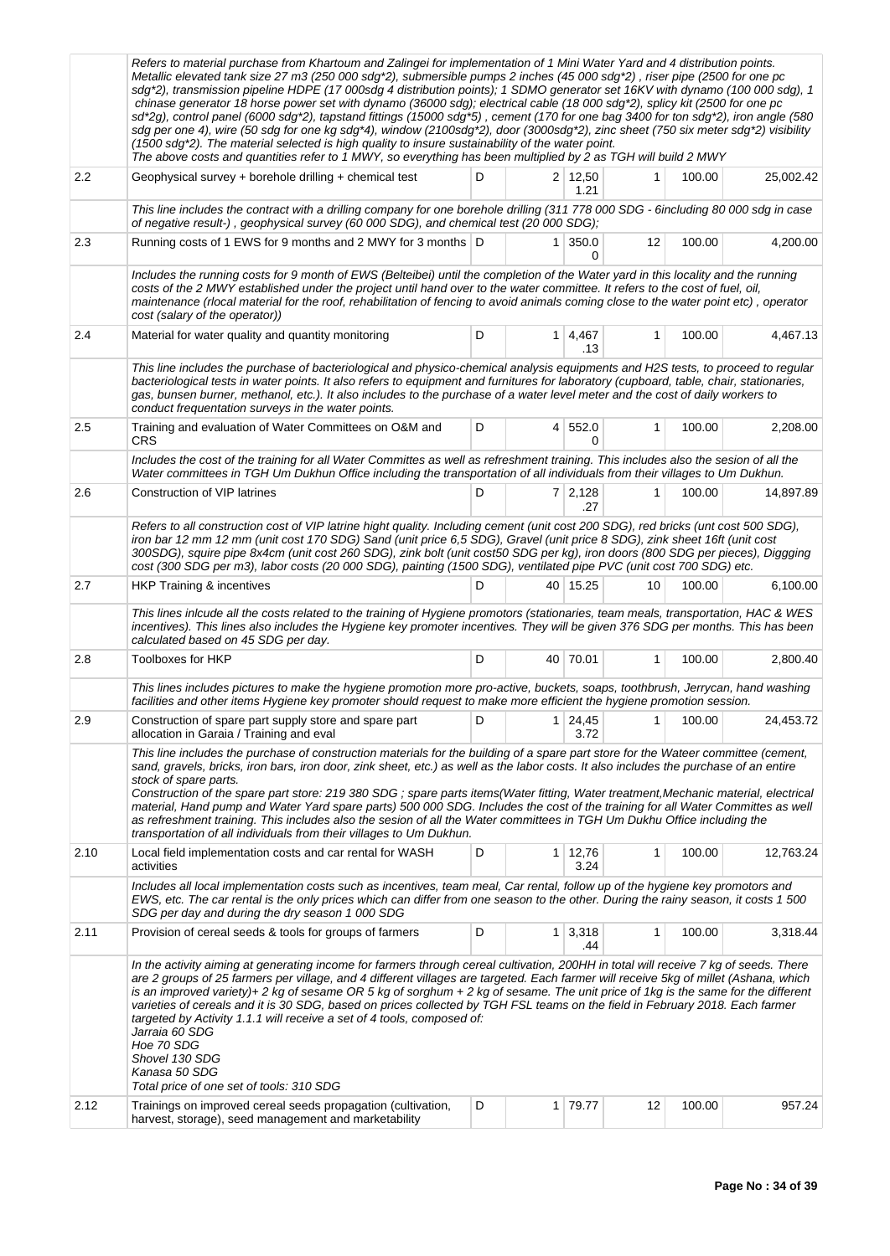|      | Refers to material purchase from Khartoum and Zalingei for implementation of 1 Mini Water Yard and 4 distribution points.<br>Metallic elevated tank size 27 m3 (250 000 sdg*2), submersible pumps 2 inches (45 000 sdg*2), riser pipe (2500 for one pc<br>sdg*2), transmission pipeline HDPE (17 000sdg 4 distribution points); 1 SDMO generator set 16KV with dynamo (100 000 sdg), 1<br>chinase generator 18 horse power set with dynamo (36000 sdg); electrical cable (18 000 sdg*2), splicy kit (2500 for one pc<br>sd*2g), control panel (6000 sdg*2), tapstand fittings (15000 sdg*5), cement (170 for one bag 3400 for ton sdg*2), iron angle (580<br>sdg per one 4), wire (50 sdg for one kg sdg*4), window (2100sdg*2), door (3000sdg*2), zinc sheet (750 six meter sdg*2) visibility<br>$(1500 \text{ s})$ . The material selected is high quality to insure sustainability of the water point.<br>The above costs and quantities refer to 1 MWY, so everything has been multiplied by 2 as TGH will build 2 MWY |   |                |                        |              |        |           |  |  |
|------|----------------------------------------------------------------------------------------------------------------------------------------------------------------------------------------------------------------------------------------------------------------------------------------------------------------------------------------------------------------------------------------------------------------------------------------------------------------------------------------------------------------------------------------------------------------------------------------------------------------------------------------------------------------------------------------------------------------------------------------------------------------------------------------------------------------------------------------------------------------------------------------------------------------------------------------------------------------------------------------------------------------------------|---|----------------|------------------------|--------------|--------|-----------|--|--|
| 2.2  | Geophysical survey + borehole drilling + chemical test                                                                                                                                                                                                                                                                                                                                                                                                                                                                                                                                                                                                                                                                                                                                                                                                                                                                                                                                                                     | D |                | $2 \mid 12,50$<br>1.21 | $\mathbf{1}$ | 100.00 | 25,002.42 |  |  |
|      | This line includes the contract with a drilling company for one borehole drilling (311 778 000 SDG - 6including 80 000 sdg in case<br>of negative result-), geophysical survey (60 000 SDG), and chemical test (20 000 SDG);                                                                                                                                                                                                                                                                                                                                                                                                                                                                                                                                                                                                                                                                                                                                                                                               |   |                |                        |              |        |           |  |  |
| 2.3  | Running costs of 1 EWS for 9 months and 2 MWY for 3 months D                                                                                                                                                                                                                                                                                                                                                                                                                                                                                                                                                                                                                                                                                                                                                                                                                                                                                                                                                               |   |                | $1 \,   \, 350.0$<br>0 | 12           | 100.00 | 4,200.00  |  |  |
|      | Includes the running costs for 9 month of EWS (Belteibei) until the completion of the Water yard in this locality and the running<br>costs of the 2 MWY established under the project until hand over to the water committee. It refers to the cost of fuel, oil,<br>maintenance (rlocal material for the roof, rehabilitation of fencing to avoid animals coming close to the water point etc), operator<br>cost (salary of the operator))                                                                                                                                                                                                                                                                                                                                                                                                                                                                                                                                                                                |   |                |                        |              |        |           |  |  |
| 2.4  | Material for water quality and quantity monitoring                                                                                                                                                                                                                                                                                                                                                                                                                                                                                                                                                                                                                                                                                                                                                                                                                                                                                                                                                                         | D |                | 1 4,467<br>.13         | 1            | 100.00 | 4,467.13  |  |  |
|      | This line includes the purchase of bacteriological and physico-chemical analysis equipments and H2S tests, to proceed to regular<br>bacteriological tests in water points. It also refers to equipment and furnitures for laboratory (cupboard, table, chair, stationaries,<br>gas, bunsen burner, methanol, etc.). It also includes to the purchase of a water level meter and the cost of daily workers to<br>conduct frequentation surveys in the water points.                                                                                                                                                                                                                                                                                                                                                                                                                                                                                                                                                         |   |                |                        |              |        |           |  |  |
| 2.5  | Training and evaluation of Water Committees on O&M and<br>CRS                                                                                                                                                                                                                                                                                                                                                                                                                                                                                                                                                                                                                                                                                                                                                                                                                                                                                                                                                              | D |                | 4 552.0<br>0           | $\mathbf{1}$ | 100.00 | 2,208.00  |  |  |
|      | Includes the cost of the training for all Water Committes as well as refreshment training. This includes also the sesion of all the<br>Water committees in TGH Um Dukhun Office including the transportation of all individuals from their villages to Um Dukhun.                                                                                                                                                                                                                                                                                                                                                                                                                                                                                                                                                                                                                                                                                                                                                          |   |                |                        |              |        |           |  |  |
| 2.6  | 7 2,128<br>Construction of VIP latrines<br>D<br>1<br>100.00<br>.27                                                                                                                                                                                                                                                                                                                                                                                                                                                                                                                                                                                                                                                                                                                                                                                                                                                                                                                                                         |   |                |                        |              |        |           |  |  |
|      | Refers to all construction cost of VIP latrine hight quality. Including cement (unit cost 200 SDG), red bricks (unt cost 500 SDG),<br>iron bar 12 mm 12 mm (unit cost 170 SDG) Sand (unit price 6,5 SDG), Gravel (unit price 8 SDG), zink sheet 16ft (unit cost<br>300SDG), squire pipe 8x4cm (unit cost 260 SDG), zink bolt (unit cost50 SDG per kg), iron doors (800 SDG per pieces), Diggging<br>cost (300 SDG per m3), labor costs (20 000 SDG), painting (1500 SDG), ventilated pipe PVC (unit cost 700 SDG) etc.                                                                                                                                                                                                                                                                                                                                                                                                                                                                                                     |   |                |                        |              |        |           |  |  |
| 2.7  | <b>HKP Training &amp; incentives</b>                                                                                                                                                                                                                                                                                                                                                                                                                                                                                                                                                                                                                                                                                                                                                                                                                                                                                                                                                                                       | D |                | 40 15.25               | 10           | 100.00 | 6,100.00  |  |  |
|      | This lines inlcude all the costs related to the training of Hygiene promotors (stationaries, team meals, transportation, HAC & WES<br>incentives). This lines also includes the Hygiene key promoter incentives. They will be given 376 SDG per months. This has been<br>calculated based on 45 SDG per day.                                                                                                                                                                                                                                                                                                                                                                                                                                                                                                                                                                                                                                                                                                               |   |                |                        |              |        |           |  |  |
| 2.8  | <b>Toolboxes for HKP</b>                                                                                                                                                                                                                                                                                                                                                                                                                                                                                                                                                                                                                                                                                                                                                                                                                                                                                                                                                                                                   | D |                | 40 70.01               | $\mathbf{1}$ | 100.00 | 2,800.40  |  |  |
|      | This lines includes pictures to make the hygiene promotion more pro-active, buckets, soaps, toothbrush, Jerrycan, hand washing<br>facilities and other items Hygiene key promoter should request to make more efficient the hygiene promotion session.                                                                                                                                                                                                                                                                                                                                                                                                                                                                                                                                                                                                                                                                                                                                                                     |   |                |                        |              |        |           |  |  |
| 2.9  | Construction of spare part supply store and spare part<br>allocation in Garaia / Training and eval                                                                                                                                                                                                                                                                                                                                                                                                                                                                                                                                                                                                                                                                                                                                                                                                                                                                                                                         | D |                | $1 \mid 24,45$<br>3.72 | 1            | 100.00 | 24,453.72 |  |  |
|      | This line includes the purchase of construction materials for the building of a spare part store for the Wateer committee (cement,<br>sand, gravels, bricks, iron bars, iron door, zink sheet, etc.) as well as the labor costs. It also includes the purchase of an entire<br>stock of spare parts.<br>Construction of the spare part store: 219 380 SDG; spare parts items(Water fitting, Water treatment, Mechanic material, electrical<br>material, Hand pump and Water Yard spare parts) 500 000 SDG. Includes the cost of the training for all Water Committes as well<br>as refreshment training. This includes also the sesion of all the Water committees in TGH Um Dukhu Office including the<br>transportation of all individuals from their villages to Um Dukhun.                                                                                                                                                                                                                                             |   |                |                        |              |        |           |  |  |
| 2.10 | Local field implementation costs and car rental for WASH<br>activities                                                                                                                                                                                                                                                                                                                                                                                                                                                                                                                                                                                                                                                                                                                                                                                                                                                                                                                                                     | D |                | $1 \mid 12,76$<br>3.24 | 1            | 100.00 | 12,763.24 |  |  |
|      | Includes all local implementation costs such as incentives, team meal, Car rental, follow up of the hygiene key promotors and<br>EWS, etc. The car rental is the only prices which can differ from one season to the other. During the rainy season, it costs 1 500<br>SDG per day and during the dry season 1 000 SDG                                                                                                                                                                                                                                                                                                                                                                                                                                                                                                                                                                                                                                                                                                     |   |                |                        |              |        |           |  |  |
| 2.11 | Provision of cereal seeds & tools for groups of farmers                                                                                                                                                                                                                                                                                                                                                                                                                                                                                                                                                                                                                                                                                                                                                                                                                                                                                                                                                                    | D |                | $1 \mid 3,318$<br>.44  | 1            | 100.00 | 3,318.44  |  |  |
|      | In the activity aiming at generating income for farmers through cereal cultivation, 200HH in total will receive 7 kg of seeds. There<br>are 2 groups of 25 farmers per village, and 4 different villages are targeted. Each farmer will receive 5kg of millet (Ashana, which<br>is an improved variety)+ 2 kg of sesame OR 5 kg of sorghum + 2 kg of sesame. The unit price of 1kg is the same for the different<br>varieties of cereals and it is 30 SDG, based on prices collected by TGH FSL teams on the field in February 2018. Each farmer<br>targeted by Activity 1.1.1 will receive a set of 4 tools, composed of:<br>Jarraia 60 SDG<br>Hoe 70 SDG<br>Shovel 130 SDG<br>Kanasa 50 SDG                                                                                                                                                                                                                                                                                                                              |   |                |                        |              |        |           |  |  |
| 2.12 | Total price of one set of tools: 310 SDG<br>Trainings on improved cereal seeds propagation (cultivation,<br>harvest, storage), seed management and marketability                                                                                                                                                                                                                                                                                                                                                                                                                                                                                                                                                                                                                                                                                                                                                                                                                                                           | D | 1 <sup>1</sup> | 79.77                  | 12           | 100.00 | 957.24    |  |  |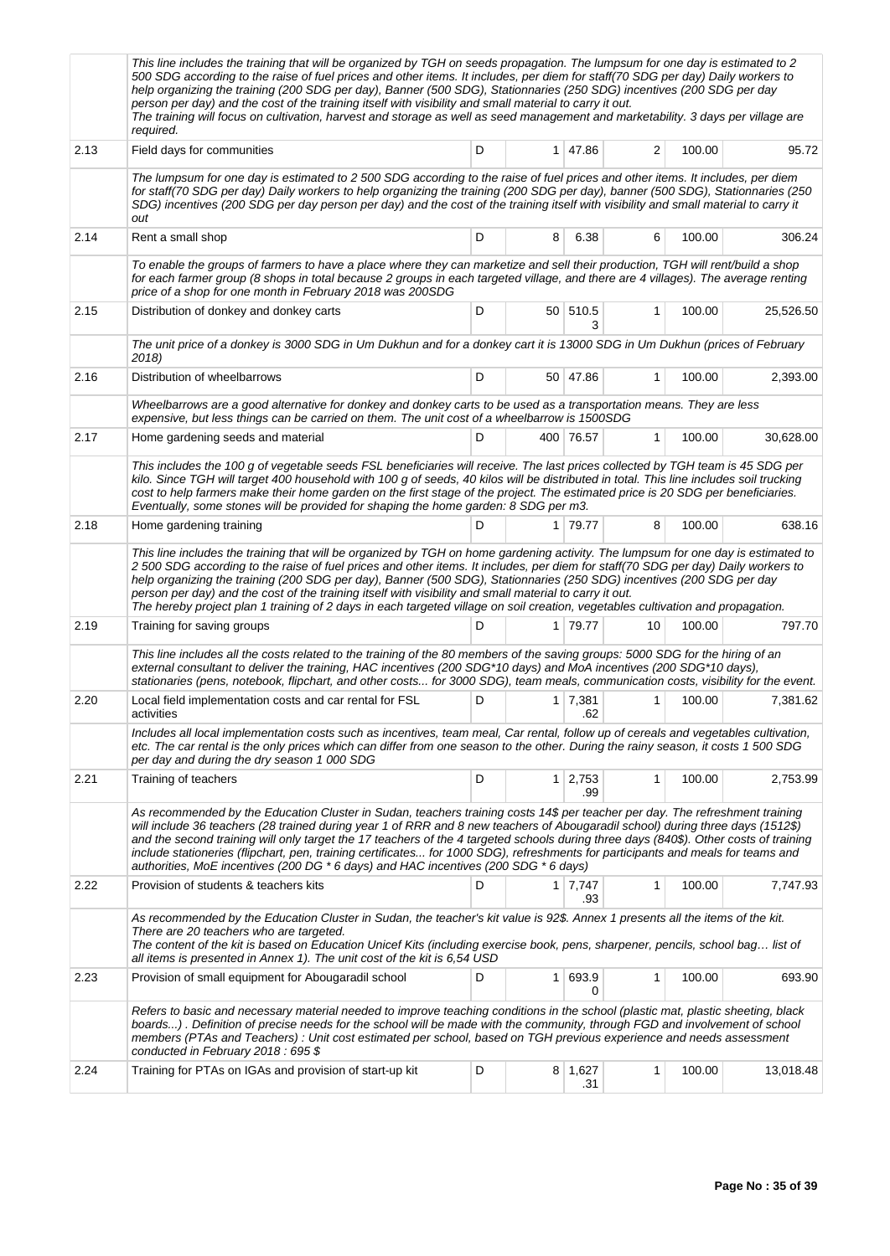|      | This line includes the training that will be organized by TGH on seeds propagation. The lumpsum for one day is estimated to 2<br>500 SDG according to the raise of fuel prices and other items. It includes, per diem for staff(70 SDG per day) Daily workers to<br>help organizing the training (200 SDG per day), Banner (500 SDG), Stationnaries (250 SDG) incentives (200 SDG per day<br>person per day) and the cost of the training itself with visibility and small material to carry it out.<br>The training will focus on cultivation, harvest and storage as well as seed management and marketability. 3 days per village are<br>required. |    |                |                       |              |        |           |  |  |  |
|------|-------------------------------------------------------------------------------------------------------------------------------------------------------------------------------------------------------------------------------------------------------------------------------------------------------------------------------------------------------------------------------------------------------------------------------------------------------------------------------------------------------------------------------------------------------------------------------------------------------------------------------------------------------|----|----------------|-----------------------|--------------|--------|-----------|--|--|--|
| 2.13 | Field days for communities                                                                                                                                                                                                                                                                                                                                                                                                                                                                                                                                                                                                                            | D  | 1              | 47.86                 | 2            | 100.00 | 95.72     |  |  |  |
|      | The lumpsum for one day is estimated to 2 500 SDG according to the raise of fuel prices and other items. It includes, per diem<br>for staff(70 SDG per day) Daily workers to help organizing the training (200 SDG per day), banner (500 SDG), Stationnaries (250<br>SDG) incentives (200 SDG per day person per day) and the cost of the training itself with visibility and small material to carry it<br>out                                                                                                                                                                                                                                       |    |                |                       |              |        |           |  |  |  |
| 2.14 | Rent a small shop                                                                                                                                                                                                                                                                                                                                                                                                                                                                                                                                                                                                                                     | D  | 8              | 6.38                  | 6            | 100.00 | 306.24    |  |  |  |
|      | To enable the groups of farmers to have a place where they can marketize and sell their production, TGH will rent/build a shop<br>for each farmer group (8 shops in total because 2 groups in each targeted village, and there are 4 villages). The average renting<br>price of a shop for one month in February 2018 was 200SDG                                                                                                                                                                                                                                                                                                                      |    |                |                       |              |        |           |  |  |  |
| 2.15 | Distribution of donkey and donkey carts                                                                                                                                                                                                                                                                                                                                                                                                                                                                                                                                                                                                               | D  |                | 50 510.5<br>3         | 1            | 100.00 | 25,526.50 |  |  |  |
|      | The unit price of a donkey is 3000 SDG in Um Dukhun and for a donkey cart it is 13000 SDG in Um Dukhun (prices of February<br>2018)                                                                                                                                                                                                                                                                                                                                                                                                                                                                                                                   |    |                |                       |              |        |           |  |  |  |
| 2.16 | Distribution of wheelbarrows                                                                                                                                                                                                                                                                                                                                                                                                                                                                                                                                                                                                                          | D  |                | 50 47.86              | $\mathbf{1}$ | 100.00 | 2,393.00  |  |  |  |
|      | Wheelbarrows are a good alternative for donkey and donkey carts to be used as a transportation means. They are less<br>expensive, but less things can be carried on them. The unit cost of a wheelbarrow is 1500SDG                                                                                                                                                                                                                                                                                                                                                                                                                                   |    |                |                       |              |        |           |  |  |  |
| 2.17 | Home gardening seeds and material                                                                                                                                                                                                                                                                                                                                                                                                                                                                                                                                                                                                                     | D  |                | 400 76.57             | 1            | 100.00 | 30,628.00 |  |  |  |
|      | This includes the 100 g of vegetable seeds FSL beneficiaries will receive. The last prices collected by TGH team is 45 SDG per<br>kilo. Since TGH will target 400 household with 100 g of seeds, 40 kilos will be distributed in total. This line includes soil trucking<br>cost to help farmers make their home garden on the first stage of the project. The estimated price is 20 SDG per beneficiaries.<br>Eventually, some stones will be provided for shaping the home garden: 8 SDG per m3.                                                                                                                                                    |    |                |                       |              |        |           |  |  |  |
| 2.18 | Home gardening training                                                                                                                                                                                                                                                                                                                                                                                                                                                                                                                                                                                                                               | D. |                | 1 79.77               | 8            | 100.00 | 638.16    |  |  |  |
|      | This line includes the training that will be organized by TGH on home gardening activity. The lumpsum for one day is estimated to<br>2 500 SDG according to the raise of fuel prices and other items. It includes, per diem for staff(70 SDG per day) Daily workers to<br>help organizing the training (200 SDG per day), Banner (500 SDG), Stationnaries (250 SDG) incentives (200 SDG per day<br>person per day) and the cost of the training itself with visibility and small material to carry it out.<br>The hereby project plan 1 training of 2 days in each targeted village on soil creation, vegetables cultivation and propagation.         |    |                |                       |              |        |           |  |  |  |
| 2.19 | Training for saving groups                                                                                                                                                                                                                                                                                                                                                                                                                                                                                                                                                                                                                            | D  |                | 1 79.77               | 10           | 100.00 | 797.70    |  |  |  |
|      | This line includes all the costs related to the training of the 80 members of the saving groups: 5000 SDG for the hiring of an<br>external consultant to deliver the training, HAC incentives (200 SDG*10 days) and MoA incentives (200 SDG*10 days),<br>stationaries (pens, notebook, flipchart, and other costs for 3000 SDG), team meals, communication costs, visibility for the event.                                                                                                                                                                                                                                                           |    |                |                       |              |        |           |  |  |  |
| 2.20 | Local field implementation costs and car rental for FSL<br>activities                                                                                                                                                                                                                                                                                                                                                                                                                                                                                                                                                                                 | D  | 1              | 7,381<br>.62          | 1            | 100.00 | 7,381.62  |  |  |  |
|      | Includes all local implementation costs such as incentives, team meal, Car rental, follow up of cereals and vegetables cultivation,<br>etc. The car rental is the only prices which can differ from one season to the other. During the rainy season, it costs 1 500 SDG<br>per day and during the dry season 1 000 SDG                                                                                                                                                                                                                                                                                                                               |    |                |                       |              |        |           |  |  |  |
| 2.21 | Training of teachers                                                                                                                                                                                                                                                                                                                                                                                                                                                                                                                                                                                                                                  | D  | 1 <sup>1</sup> | 2,753<br>.99          | 1            | 100.00 | 2,753.99  |  |  |  |
|      | As recommended by the Education Cluster in Sudan, teachers training costs 14\$ per teacher per day. The refreshment training<br>will include 36 teachers (28 trained during year 1 of RRR and 8 new teachers of Abougaradil school) during three days (1512\$)<br>and the second training will only target the 17 teachers of the 4 targeted schools during three days (840\$). Other costs of training<br>include stationeries (flipchart, pen, training certificates for 1000 SDG), refreshments for participants and meals for teams and<br>authorities, MoE incentives (200 DG $*$ 6 days) and HAC incentives (200 SDG $*$ 6 days)                |    |                |                       |              |        |           |  |  |  |
| 2.22 | Provision of students & teachers kits                                                                                                                                                                                                                                                                                                                                                                                                                                                                                                                                                                                                                 | D  |                | $1 \mid 7,747$<br>.93 | 1            | 100.00 | 7,747.93  |  |  |  |
|      | As recommended by the Education Cluster in Sudan, the teacher's kit value is 92\$. Annex 1 presents all the items of the kit.<br>There are 20 teachers who are targeted.<br>The content of the kit is based on Education Unicef Kits (including exercise book, pens, sharpener, pencils, school bag list of<br>all items is presented in Annex 1). The unit cost of the kit is 6,54 USD                                                                                                                                                                                                                                                               |    |                |                       |              |        |           |  |  |  |
| 2.23 | Provision of small equipment for Abougaradil school                                                                                                                                                                                                                                                                                                                                                                                                                                                                                                                                                                                                   | D  | 1              | 693.9<br>0            | $\mathbf{1}$ | 100.00 | 693.90    |  |  |  |
|      | Refers to basic and necessary material needed to improve teaching conditions in the school (plastic mat, plastic sheeting, black<br>boards). Definition of precise needs for the school will be made with the community, through FGD and involvement of school<br>members (PTAs and Teachers) : Unit cost estimated per school, based on TGH previous experience and needs assessment<br>conducted in February 2018: 695 \$                                                                                                                                                                                                                           |    |                |                       |              |        |           |  |  |  |
| 2.24 | Training for PTAs on IGAs and provision of start-up kit                                                                                                                                                                                                                                                                                                                                                                                                                                                                                                                                                                                               | D  |                | 8 1,627<br>.31        | 1            | 100.00 | 13,018.48 |  |  |  |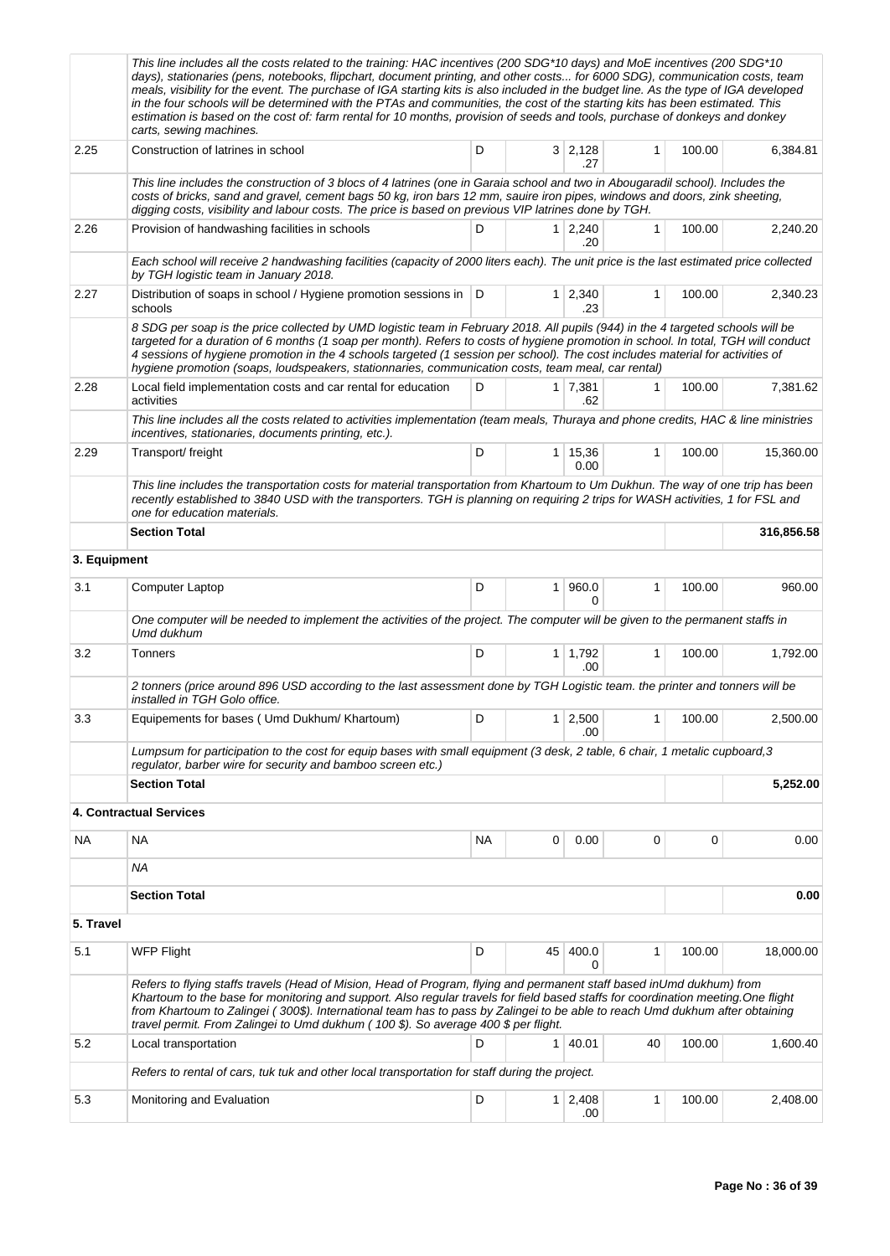|              | This line includes all the costs related to the training: HAC incentives (200 SDG*10 days) and MoE incentives (200 SDG*10<br>days), stationaries (pens, notebooks, flipchart, document printing, and other costs for 6000 SDG), communication costs, team<br>meals, visibility for the event. The purchase of IGA starting kits is also included in the budget line. As the type of IGA developed<br>in the four schools will be determined with the PTAs and communities, the cost of the starting kits has been estimated. This<br>estimation is based on the cost of: farm rental for 10 months, provision of seeds and tools, purchase of donkeys and donkey<br>carts, sewing machines. |           |                |                       |              |        |            |  |
|--------------|---------------------------------------------------------------------------------------------------------------------------------------------------------------------------------------------------------------------------------------------------------------------------------------------------------------------------------------------------------------------------------------------------------------------------------------------------------------------------------------------------------------------------------------------------------------------------------------------------------------------------------------------------------------------------------------------|-----------|----------------|-----------------------|--------------|--------|------------|--|
| 2.25         | Construction of latrines in school<br>D<br>$3 \mid 2,128$<br>$\mathbf{1}$<br>.27                                                                                                                                                                                                                                                                                                                                                                                                                                                                                                                                                                                                            |           |                |                       |              |        | 6,384.81   |  |
|              | This line includes the construction of 3 blocs of 4 latrines (one in Garaia school and two in Abougaradil school). Includes the<br>costs of bricks, sand and gravel, cement bags 50 kg, iron bars 12 mm, sauire iron pipes, windows and doors, zink sheeting,<br>digging costs, visibility and labour costs. The price is based on previous VIP latrines done by TGH.                                                                                                                                                                                                                                                                                                                       |           |                |                       |              |        |            |  |
| 2.26         | Provision of handwashing facilities in schools                                                                                                                                                                                                                                                                                                                                                                                                                                                                                                                                                                                                                                              | 100.00    | 2,240.20       |                       |              |        |            |  |
|              | Each school will receive 2 handwashing facilities (capacity of 2000 liters each). The unit price is the last estimated price collected<br>by TGH logistic team in January 2018.                                                                                                                                                                                                                                                                                                                                                                                                                                                                                                             |           |                |                       |              |        |            |  |
| 2.27         | Distribution of soaps in school / Hygiene promotion sessions in   D<br>schools                                                                                                                                                                                                                                                                                                                                                                                                                                                                                                                                                                                                              |           |                | $1 \mid 2,340$<br>.23 | $\mathbf{1}$ | 100.00 | 2,340.23   |  |
|              | 8 SDG per soap is the price collected by UMD logistic team in February 2018. All pupils (944) in the 4 targeted schools will be<br>targeted for a duration of 6 months (1 soap per month). Refers to costs of hygiene promotion in school. In total, TGH will conduct<br>4 sessions of hygiene promotion in the 4 schools targeted (1 session per school). The cost includes material for activities of<br>hygiene promotion (soaps, loudspeakers, stationnaries, communication costs, team meal, car rental)                                                                                                                                                                               |           |                |                       |              |        |            |  |
| 2.28         | Local field implementation costs and car rental for education<br>activities                                                                                                                                                                                                                                                                                                                                                                                                                                                                                                                                                                                                                 | D         |                | $1 \mid 7,381$<br>.62 | 1            | 100.00 | 7,381.62   |  |
|              | This line includes all the costs related to activities implementation (team meals, Thuraya and phone credits, HAC & line ministries<br>incentives, stationaries, documents printing, etc.).                                                                                                                                                                                                                                                                                                                                                                                                                                                                                                 |           |                |                       |              |        |            |  |
| 2.29         | Transport/ freight                                                                                                                                                                                                                                                                                                                                                                                                                                                                                                                                                                                                                                                                          | D         | 1 <sup>1</sup> | 15,36<br>0.00         | $\mathbf{1}$ | 100.00 | 15,360.00  |  |
|              | This line includes the transportation costs for material transportation from Khartoum to Um Dukhun. The way of one trip has been<br>recently established to 3840 USD with the transporters. TGH is planning on requiring 2 trips for WASH activities, 1 for FSL and<br>one for education materials.                                                                                                                                                                                                                                                                                                                                                                                         |           |                |                       |              |        |            |  |
|              | <b>Section Total</b>                                                                                                                                                                                                                                                                                                                                                                                                                                                                                                                                                                                                                                                                        |           |                |                       |              |        | 316,856.58 |  |
| 3. Equipment |                                                                                                                                                                                                                                                                                                                                                                                                                                                                                                                                                                                                                                                                                             |           |                |                       |              |        |            |  |
| 3.1          | Computer Laptop                                                                                                                                                                                                                                                                                                                                                                                                                                                                                                                                                                                                                                                                             | D         | 1              | 960.0<br>O            | $\mathbf{1}$ | 100.00 | 960.00     |  |
|              | One computer will be needed to implement the activities of the project. The computer will be given to the permanent staffs in<br>Umd dukhum                                                                                                                                                                                                                                                                                                                                                                                                                                                                                                                                                 |           |                |                       |              |        |            |  |
| 3.2          | Tonners                                                                                                                                                                                                                                                                                                                                                                                                                                                                                                                                                                                                                                                                                     | D         | 1 <sup>1</sup> | 1,792<br>.00          | 1            | 100.00 | 1,792.00   |  |
|              | 2 tonners (price around 896 USD according to the last assessment done by TGH Logistic team. the printer and tonners will be<br>installed in TGH Golo office.                                                                                                                                                                                                                                                                                                                                                                                                                                                                                                                                |           |                |                       |              |        |            |  |
| 3.3          | Equipements for bases ( Umd Dukhum/ Khartoum)                                                                                                                                                                                                                                                                                                                                                                                                                                                                                                                                                                                                                                               | D         | 1 <sup>1</sup> | 2,500<br>.00          | 1            | 100.00 | 2,500.00   |  |
|              | Lumpsum for participation to the cost for equip bases with small equipment (3 desk, 2 table, 6 chair, 1 metalic cupboard, 3<br>regulator, barber wire for security and bamboo screen etc.)                                                                                                                                                                                                                                                                                                                                                                                                                                                                                                  |           |                |                       |              |        |            |  |
|              | <b>Section Total</b>                                                                                                                                                                                                                                                                                                                                                                                                                                                                                                                                                                                                                                                                        |           |                | 5,252.00              |              |        |            |  |
|              | 4. Contractual Services                                                                                                                                                                                                                                                                                                                                                                                                                                                                                                                                                                                                                                                                     |           |                |                       |              |        |            |  |
| NA           | <b>NA</b>                                                                                                                                                                                                                                                                                                                                                                                                                                                                                                                                                                                                                                                                                   | <b>NA</b> | 0              | 0.00                  | 0            | 0      | 0.00       |  |
|              | ΝA                                                                                                                                                                                                                                                                                                                                                                                                                                                                                                                                                                                                                                                                                          |           |                |                       |              |        |            |  |
|              | <b>Section Total</b>                                                                                                                                                                                                                                                                                                                                                                                                                                                                                                                                                                                                                                                                        |           |                |                       |              |        | 0.00       |  |
| 5. Travel    |                                                                                                                                                                                                                                                                                                                                                                                                                                                                                                                                                                                                                                                                                             |           |                |                       |              |        |            |  |
| 5.1          | <b>WFP Flight</b>                                                                                                                                                                                                                                                                                                                                                                                                                                                                                                                                                                                                                                                                           | D         | 45             | 400.0<br>0            | 1            | 100.00 | 18,000.00  |  |
|              | Refers to flying staffs travels (Head of Mision, Head of Program, flying and permanent staff based inUmd dukhum) from<br>Khartoum to the base for monitoring and support. Also regular travels for field based staffs for coordination meeting. One flight<br>from Khartoum to Zalingei (300\$). International team has to pass by Zalingei to be able to reach Umd dukhum after obtaining<br>travel permit. From Zalingei to Umd dukhum (100 \$). So average 400 \$ per flight.                                                                                                                                                                                                            |           |                |                       |              |        |            |  |
| 5.2          | Local transportation                                                                                                                                                                                                                                                                                                                                                                                                                                                                                                                                                                                                                                                                        | D         | 1 <sup>1</sup> | 40.01                 | 40           | 100.00 | 1,600.40   |  |
|              | Refers to rental of cars, tuk tuk and other local transportation for staff during the project.                                                                                                                                                                                                                                                                                                                                                                                                                                                                                                                                                                                              |           |                |                       |              |        |            |  |
| 5.3          | Monitoring and Evaluation                                                                                                                                                                                                                                                                                                                                                                                                                                                                                                                                                                                                                                                                   | D         | 1 <sup>1</sup> | 2,408<br>.00          | 1            | 100.00 | 2,408.00   |  |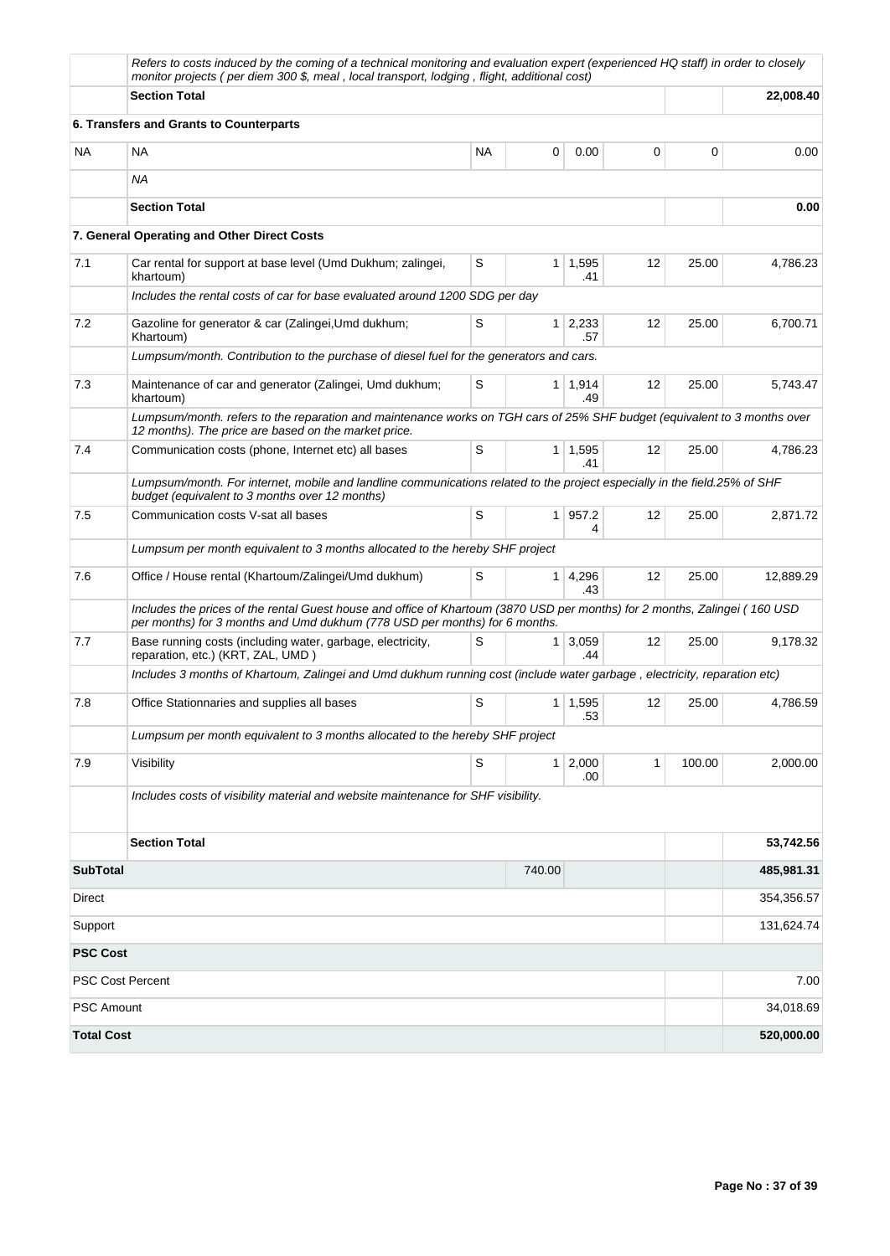|                   | Refers to costs induced by the coming of a technical monitoring and evaluation expert (experienced HQ staff) in order to closely<br>monitor projects (per diem 300 \$, meal, local transport, lodging, flight, additional cost) |           |                |                             |                   |        |            |
|-------------------|---------------------------------------------------------------------------------------------------------------------------------------------------------------------------------------------------------------------------------|-----------|----------------|-----------------------------|-------------------|--------|------------|
|                   | <b>Section Total</b>                                                                                                                                                                                                            |           |                | 22,008.40                   |                   |        |            |
|                   | 6. Transfers and Grants to Counterparts                                                                                                                                                                                         |           |                |                             |                   |        |            |
| <b>NA</b>         | <b>NA</b>                                                                                                                                                                                                                       | <b>NA</b> | 0              | 0.00                        | 0                 | 0      | 0.00       |
|                   | <b>NA</b>                                                                                                                                                                                                                       |           |                |                             |                   |        |            |
|                   | <b>Section Total</b>                                                                                                                                                                                                            |           |                |                             |                   |        | 0.00       |
|                   | 7. General Operating and Other Direct Costs                                                                                                                                                                                     |           |                |                             |                   |        |            |
| 7.1               | Car rental for support at base level (Umd Dukhum; zalingei,<br>khartoum)                                                                                                                                                        | S         |                | $1 \mid 1,595$<br>.41       | 12                | 25.00  | 4,786.23   |
|                   | Includes the rental costs of car for base evaluated around 1200 SDG per day                                                                                                                                                     |           |                |                             |                   |        |            |
| 7.2               | Gazoline for generator & car (Zalingei, Umd dukhum;<br>Khartoum)                                                                                                                                                                | 12        | 25.00          | 6,700.71                    |                   |        |            |
|                   | Lumpsum/month. Contribution to the purchase of diesel fuel for the generators and cars.                                                                                                                                         |           |                |                             |                   |        |            |
| 7.3               | Maintenance of car and generator (Zalingei, Umd dukhum;<br>khartoum)                                                                                                                                                            | S         |                | $1 \mid 1,914$<br>.49       | $12 \overline{ }$ | 25.00  | 5,743.47   |
|                   | Lumpsum/month. refers to the reparation and maintenance works on TGH cars of 25% SHF budget (equivalent to 3 months over<br>12 months). The price are based on the market price.                                                |           |                |                             |                   |        |            |
| 7.4               | Communication costs (phone, Internet etc) all bases                                                                                                                                                                             | 25.00     | 4,786.23       |                             |                   |        |            |
|                   | Lumpsum/month. For internet, mobile and landline communications related to the project especially in the field.25% of SHF<br>budget (equivalent to 3 months over 12 months)                                                     |           |                |                             |                   |        |            |
| 7.5               | Communication costs V-sat all bases                                                                                                                                                                                             | S         | 1 <sup>1</sup> | 957.2<br>4                  | 12                | 25.00  | 2,871.72   |
|                   | Lumpsum per month equivalent to 3 months allocated to the hereby SHF project                                                                                                                                                    |           |                |                             |                   |        |            |
| 7.6               | Office / House rental (Khartoum/Zalingei/Umd dukhum)                                                                                                                                                                            | S         | 1 <sup>1</sup> | 4,296<br>.43                | 12                | 25.00  | 12,889.29  |
|                   | Includes the prices of the rental Guest house and office of Khartoum (3870 USD per months) for 2 months, Zalingei (160 USD<br>per months) for 3 months and Umd dukhum (778 USD per months) for 6 months.                        |           |                |                             |                   |        |            |
| 7.7               | Base running costs (including water, garbage, electricity,<br>reparation, etc.) (KRT, ZAL, UMD)                                                                                                                                 | S         |                | $1 \overline{3,059}$<br>.44 | 12                | 25.00  | 9,178.32   |
|                   | Includes 3 months of Khartoum, Zalingei and Umd dukhum running cost (include water garbage, electricity, reparation etc)                                                                                                        |           |                |                             |                   |        |            |
| 7.8               | Office Stationnaries and supplies all bases                                                                                                                                                                                     | S         |                | $1 \mid 1,595$<br>.53       | 12                | 25.00  | 4,786.59   |
|                   | Lumpsum per month equivalent to 3 months allocated to the hereby SHF project                                                                                                                                                    |           |                |                             |                   |        |            |
| 7.9               | Visibility                                                                                                                                                                                                                      | S         | 1 <sup>1</sup> | 2,000<br>.00                | 1                 | 100.00 | 2,000.00   |
|                   | Includes costs of visibility material and website maintenance for SHF visibility.                                                                                                                                               |           |                |                             |                   |        |            |
|                   | <b>Section Total</b>                                                                                                                                                                                                            |           |                |                             |                   |        | 53,742.56  |
| <b>SubTotal</b>   |                                                                                                                                                                                                                                 |           | 740.00         |                             |                   |        | 485,981.31 |
| Direct            |                                                                                                                                                                                                                                 |           |                |                             |                   |        | 354,356.57 |
| Support           |                                                                                                                                                                                                                                 |           |                |                             |                   |        | 131,624.74 |
| <b>PSC Cost</b>   |                                                                                                                                                                                                                                 |           |                |                             |                   |        |            |
|                   | <b>PSC Cost Percent</b>                                                                                                                                                                                                         |           |                |                             |                   |        | 7.00       |
| <b>PSC Amount</b> |                                                                                                                                                                                                                                 |           |                |                             |                   |        | 34,018.69  |
| <b>Total Cost</b> |                                                                                                                                                                                                                                 |           |                |                             |                   |        | 520,000.00 |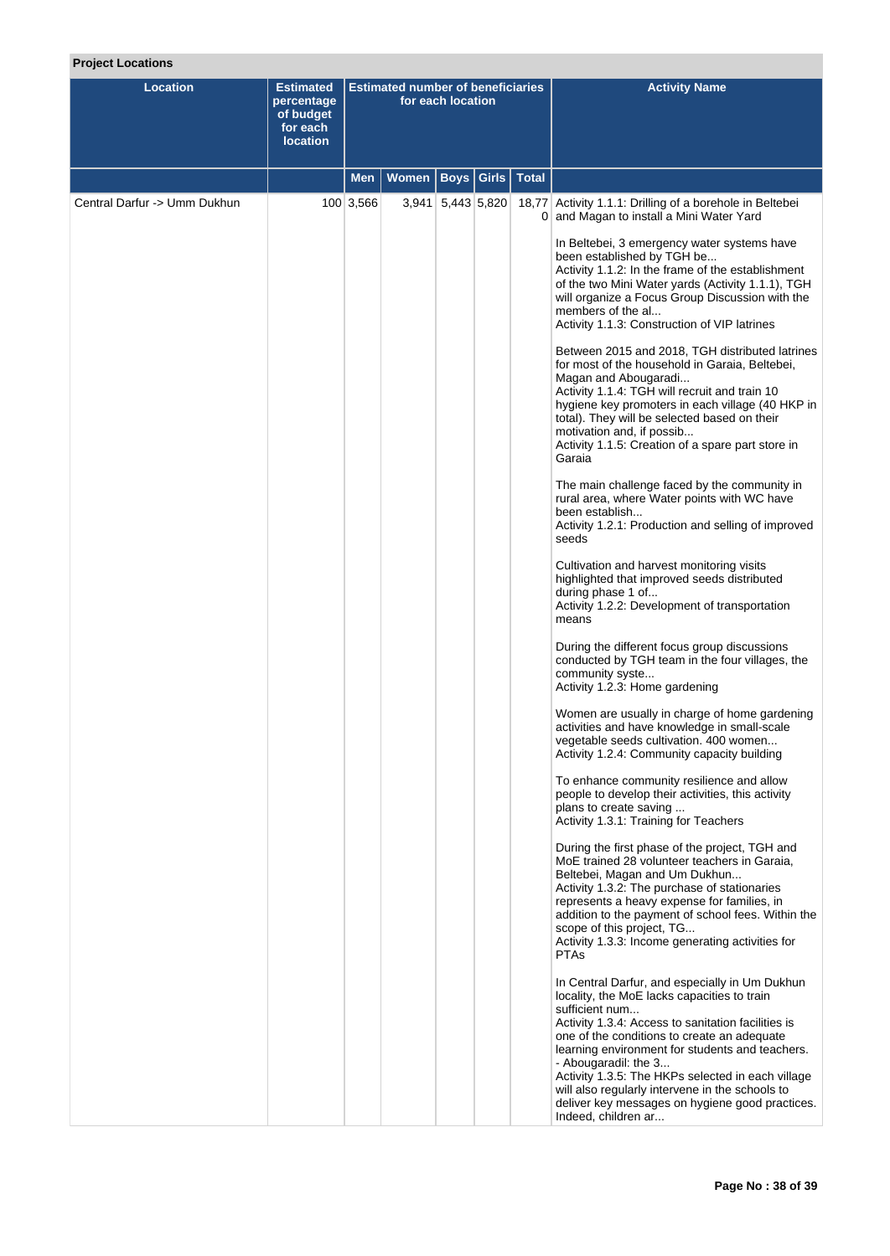# **Project Locations**

| <b>Location</b>              | <b>Estimated</b><br>percentage<br>of budget<br>for each<br><b>location</b> | <b>Estimated number of beneficiaries</b><br>for each location |       |                   |              |              | <b>Activity Name</b>                                                                                                                                                                                                                                                                                                                                                                                                                                                                                                                                                                                                                                                                                                                                                                                                                                                                                                                                                                                                                                                                                                                                                                                                                                                                                                                                                                                                                                                                                                                                                                                                                                                                                                                                                                                                                                                                                                                                                                                                                                                                                                                                                                                                                                                   |
|------------------------------|----------------------------------------------------------------------------|---------------------------------------------------------------|-------|-------------------|--------------|--------------|------------------------------------------------------------------------------------------------------------------------------------------------------------------------------------------------------------------------------------------------------------------------------------------------------------------------------------------------------------------------------------------------------------------------------------------------------------------------------------------------------------------------------------------------------------------------------------------------------------------------------------------------------------------------------------------------------------------------------------------------------------------------------------------------------------------------------------------------------------------------------------------------------------------------------------------------------------------------------------------------------------------------------------------------------------------------------------------------------------------------------------------------------------------------------------------------------------------------------------------------------------------------------------------------------------------------------------------------------------------------------------------------------------------------------------------------------------------------------------------------------------------------------------------------------------------------------------------------------------------------------------------------------------------------------------------------------------------------------------------------------------------------------------------------------------------------------------------------------------------------------------------------------------------------------------------------------------------------------------------------------------------------------------------------------------------------------------------------------------------------------------------------------------------------------------------------------------------------------------------------------------------------|
|                              |                                                                            | Men                                                           | Women | <b>Boys</b>       | <b>Girls</b> | <b>Total</b> |                                                                                                                                                                                                                                                                                                                                                                                                                                                                                                                                                                                                                                                                                                                                                                                                                                                                                                                                                                                                                                                                                                                                                                                                                                                                                                                                                                                                                                                                                                                                                                                                                                                                                                                                                                                                                                                                                                                                                                                                                                                                                                                                                                                                                                                                        |
| Central Darfur -> Umm Dukhun |                                                                            | 100 3,566                                                     |       | 3,941 5,443 5,820 |              |              | 18,77 Activity 1.1.1: Drilling of a borehole in Beltebei<br>0 and Magan to install a Mini Water Yard                                                                                                                                                                                                                                                                                                                                                                                                                                                                                                                                                                                                                                                                                                                                                                                                                                                                                                                                                                                                                                                                                                                                                                                                                                                                                                                                                                                                                                                                                                                                                                                                                                                                                                                                                                                                                                                                                                                                                                                                                                                                                                                                                                   |
|                              |                                                                            |                                                               |       |                   |              |              | In Beltebei, 3 emergency water systems have<br>been established by TGH be<br>Activity 1.1.2: In the frame of the establishment<br>of the two Mini Water yards (Activity 1.1.1), TGH<br>will organize a Focus Group Discussion with the<br>members of the al<br>Activity 1.1.3: Construction of VIP latrines<br>Between 2015 and 2018, TGH distributed latrines<br>for most of the household in Garaia, Beltebei,<br>Magan and Abougaradi<br>Activity 1.1.4: TGH will recruit and train 10<br>hygiene key promoters in each village (40 HKP in<br>total). They will be selected based on their<br>motivation and, if possib<br>Activity 1.1.5: Creation of a spare part store in<br>Garaia<br>The main challenge faced by the community in<br>rural area, where Water points with WC have<br>been establish<br>Activity 1.2.1: Production and selling of improved<br>seeds<br>Cultivation and harvest monitoring visits<br>highlighted that improved seeds distributed<br>during phase 1 of<br>Activity 1.2.2: Development of transportation<br>means<br>During the different focus group discussions<br>conducted by TGH team in the four villages, the<br>community syste<br>Activity 1.2.3: Home gardening<br>Women are usually in charge of home gardening<br>activities and have knowledge in small-scale<br>vegetable seeds cultivation. 400 women<br>Activity 1.2.4: Community capacity building<br>To enhance community resilience and allow<br>people to develop their activities, this activity<br>plans to create saving<br>Activity 1.3.1: Training for Teachers<br>During the first phase of the project, TGH and<br>MoE trained 28 volunteer teachers in Garaia,<br>Beltebei, Magan and Um Dukhun<br>Activity 1.3.2: The purchase of stationaries<br>represents a heavy expense for families, in<br>addition to the payment of school fees. Within the<br>scope of this project, TG<br>Activity 1.3.3: Income generating activities for<br><b>PTAs</b><br>In Central Darfur, and especially in Um Dukhun<br>locality, the MoE lacks capacities to train<br>sufficient num<br>Activity 1.3.4: Access to sanitation facilities is<br>one of the conditions to create an adequate<br>learning environment for students and teachers.<br>- Abougaradil: the 3 |
|                              |                                                                            |                                                               |       |                   |              |              | Activity 1.3.5: The HKPs selected in each village<br>will also regularly intervene in the schools to<br>deliver key messages on hygiene good practices.<br>Indeed, children ar                                                                                                                                                                                                                                                                                                                                                                                                                                                                                                                                                                                                                                                                                                                                                                                                                                                                                                                                                                                                                                                                                                                                                                                                                                                                                                                                                                                                                                                                                                                                                                                                                                                                                                                                                                                                                                                                                                                                                                                                                                                                                         |